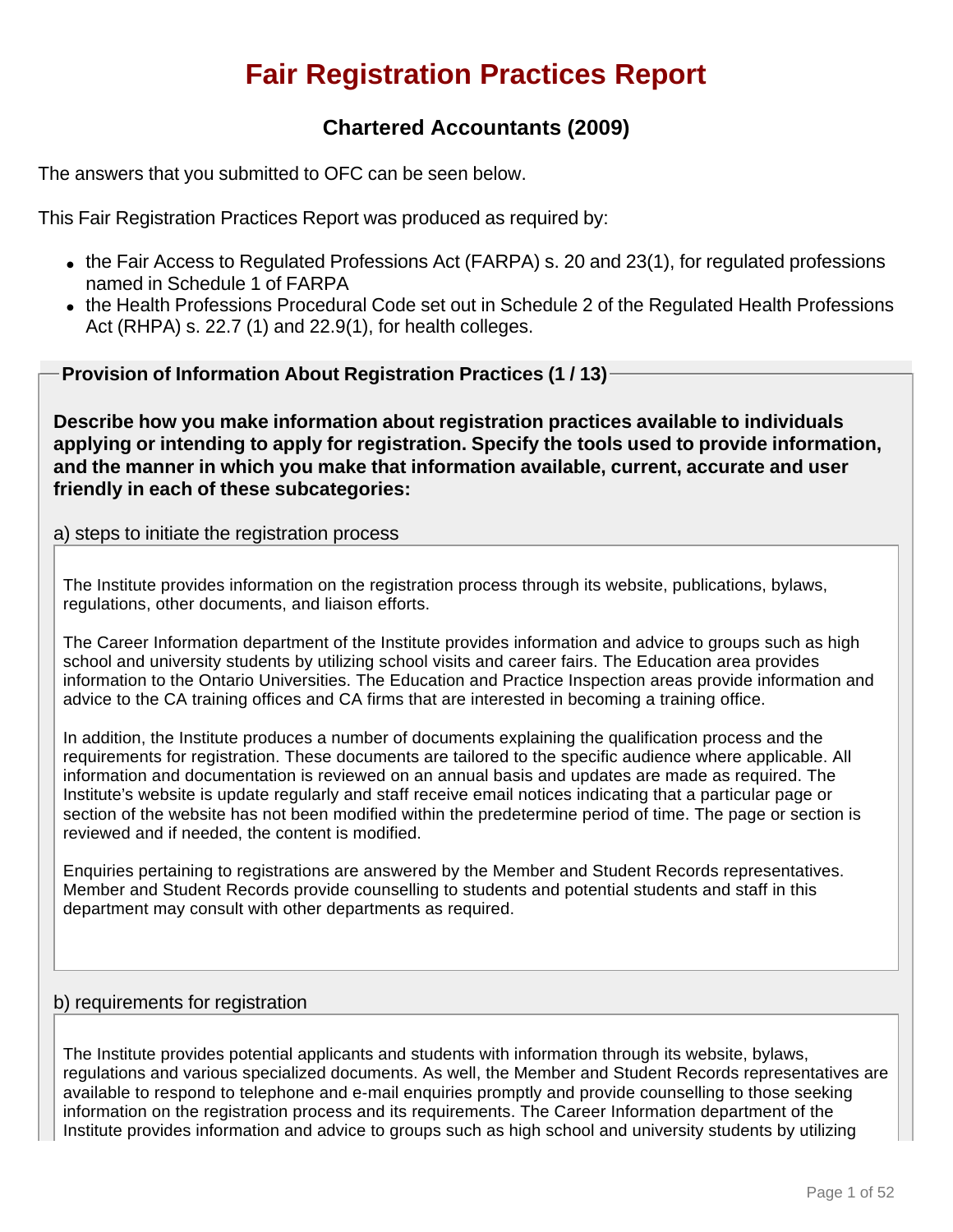# **Fair Registration Practices Report**

# **Chartered Accountants (2009)**

The answers that you submitted to OFC can be seen below.

This Fair Registration Practices Report was produced as required by:

- $\bullet$  the Fair Access to Regulated Professions Act (FARPA) s. 20 and 23(1), for regulated professions named in Schedule 1 of FARPA
- the Health Professions Procedural Code set out in Schedule 2 of the Regulated Health Professions Act (RHPA) s. 22.7 (1) and 22.9(1), for health colleges.

**Provision of Information About Registration Practices (1 / 13)**

**Describe how you make information about registration practices available to individuals applying or intending to apply for registration. Specify the tools used to provide information, and the manner in which you make that information available, current, accurate and user friendly in each of these subcategories:**

### a) steps to initiate the registration process

The Institute provides information on the registration process through its website, publications, bylaws, regulations, other documents, and liaison efforts.

The Career Information department of the Institute provides information and advice to groups such as high school and university students by utilizing school visits and career fairs. The Education area provides information to the Ontario Universities. The Education and Practice Inspection areas provide information and advice to the CA training offices and CA firms that are interested in becoming a training office.

In addition, the Institute produces a number of documents explaining the qualification process and the requirements for registration. These documents are tailored to the specific audience where applicable. All information and documentation is reviewed on an annual basis and updates are made as required. The Institute's website is update regularly and staff receive email notices indicating that a particular page or section of the website has not been modified within the predetermine period of time. The page or section is reviewed and if needed, the content is modified.

Enquiries pertaining to registrations are answered by the Member and Student Records representatives. Member and Student Records provide counselling to students and potential students and staff in this department may consult with other departments as required.

### b) requirements for registration

The Institute provides potential applicants and students with information through its website, bylaws, regulations and various specialized documents. As well, the Member and Student Records representatives are available to respond to telephone and e-mail enquiries promptly and provide counselling to those seeking information on the registration process and its requirements. The Career Information department of the Institute provides information and advice to groups such as high school and university students by utilizing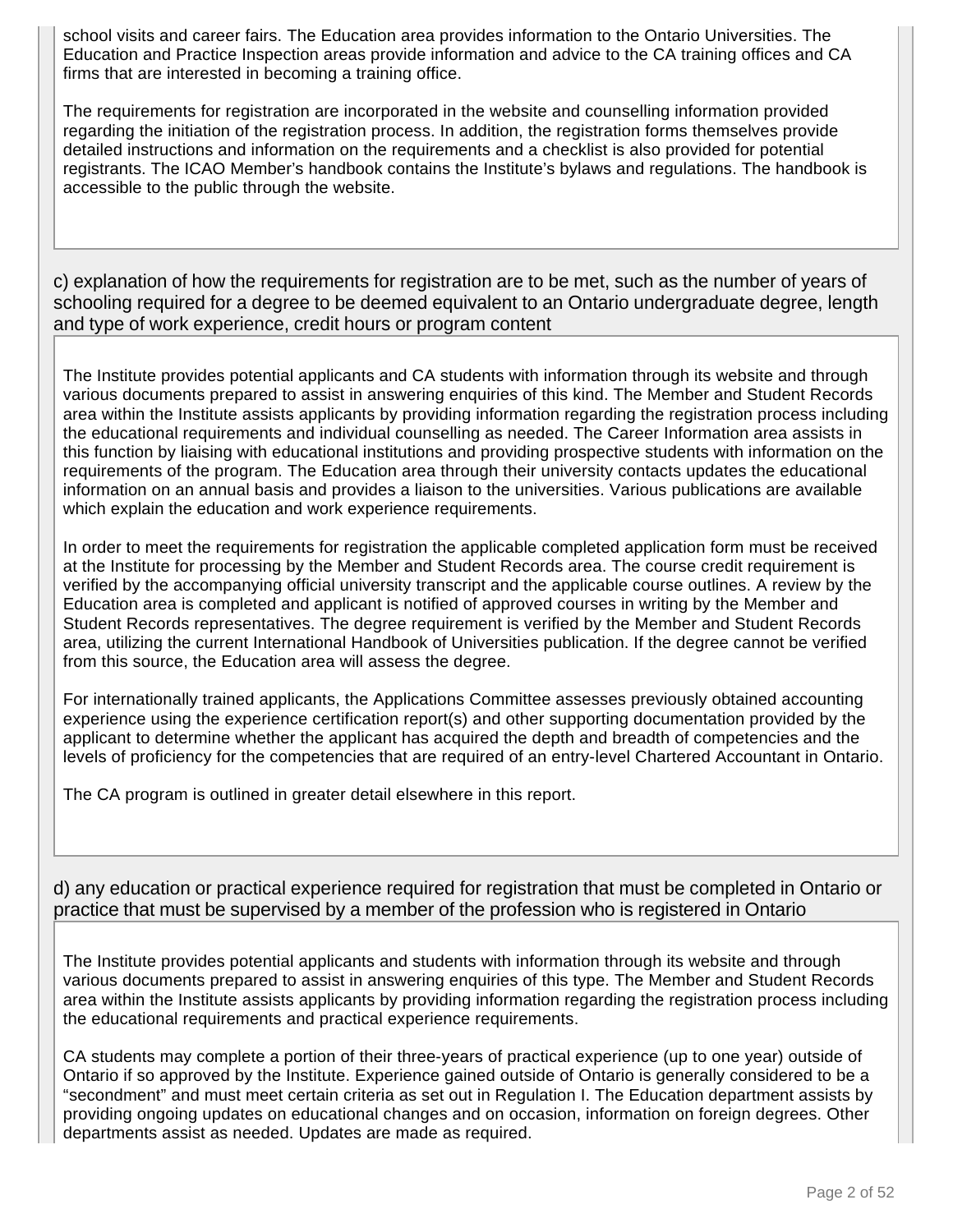school visits and career fairs. The Education area provides information to the Ontario Universities. The Education and Practice Inspection areas provide information and advice to the CA training offices and CA firms that are interested in becoming a training office.

The requirements for registration are incorporated in the website and counselling information provided regarding the initiation of the registration process. In addition, the registration forms themselves provide detailed instructions and information on the requirements and a checklist is also provided for potential registrants. The ICAO Member's handbook contains the Institute's bylaws and regulations. The handbook is accessible to the public through the website.

c) explanation of how the requirements for registration are to be met, such as the number of years of schooling required for a degree to be deemed equivalent to an Ontario undergraduate degree, length and type of work experience, credit hours or program content

The Institute provides potential applicants and CA students with information through its website and through various documents prepared to assist in answering enquiries of this kind. The Member and Student Records area within the Institute assists applicants by providing information regarding the registration process including the educational requirements and individual counselling as needed. The Career Information area assists in this function by liaising with educational institutions and providing prospective students with information on the requirements of the program. The Education area through their university contacts updates the educational information on an annual basis and provides a liaison to the universities. Various publications are available which explain the education and work experience requirements.

In order to meet the requirements for registration the applicable completed application form must be received at the Institute for processing by the Member and Student Records area. The course credit requirement is verified by the accompanying official university transcript and the applicable course outlines. A review by the Education area is completed and applicant is notified of approved courses in writing by the Member and Student Records representatives. The degree requirement is verified by the Member and Student Records area, utilizing the current International Handbook of Universities publication. If the degree cannot be verified from this source, the Education area will assess the degree.

For internationally trained applicants, the Applications Committee assesses previously obtained accounting experience using the experience certification report(s) and other supporting documentation provided by the applicant to determine whether the applicant has acquired the depth and breadth of competencies and the levels of proficiency for the competencies that are required of an entry-level Chartered Accountant in Ontario.

The CA program is outlined in greater detail elsewhere in this report.

d) any education or practical experience required for registration that must be completed in Ontario or practice that must be supervised by a member of the profession who is registered in Ontario

The Institute provides potential applicants and students with information through its website and through various documents prepared to assist in answering enquiries of this type. The Member and Student Records area within the Institute assists applicants by providing information regarding the registration process including the educational requirements and practical experience requirements.

CA students may complete a portion of their three-years of practical experience (up to one year) outside of Ontario if so approved by the Institute. Experience gained outside of Ontario is generally considered to be a "secondment" and must meet certain criteria as set out in Regulation I. The Education department assists by providing ongoing updates on educational changes and on occasion, information on foreign degrees. Other departments assist as needed. Updates are made as required.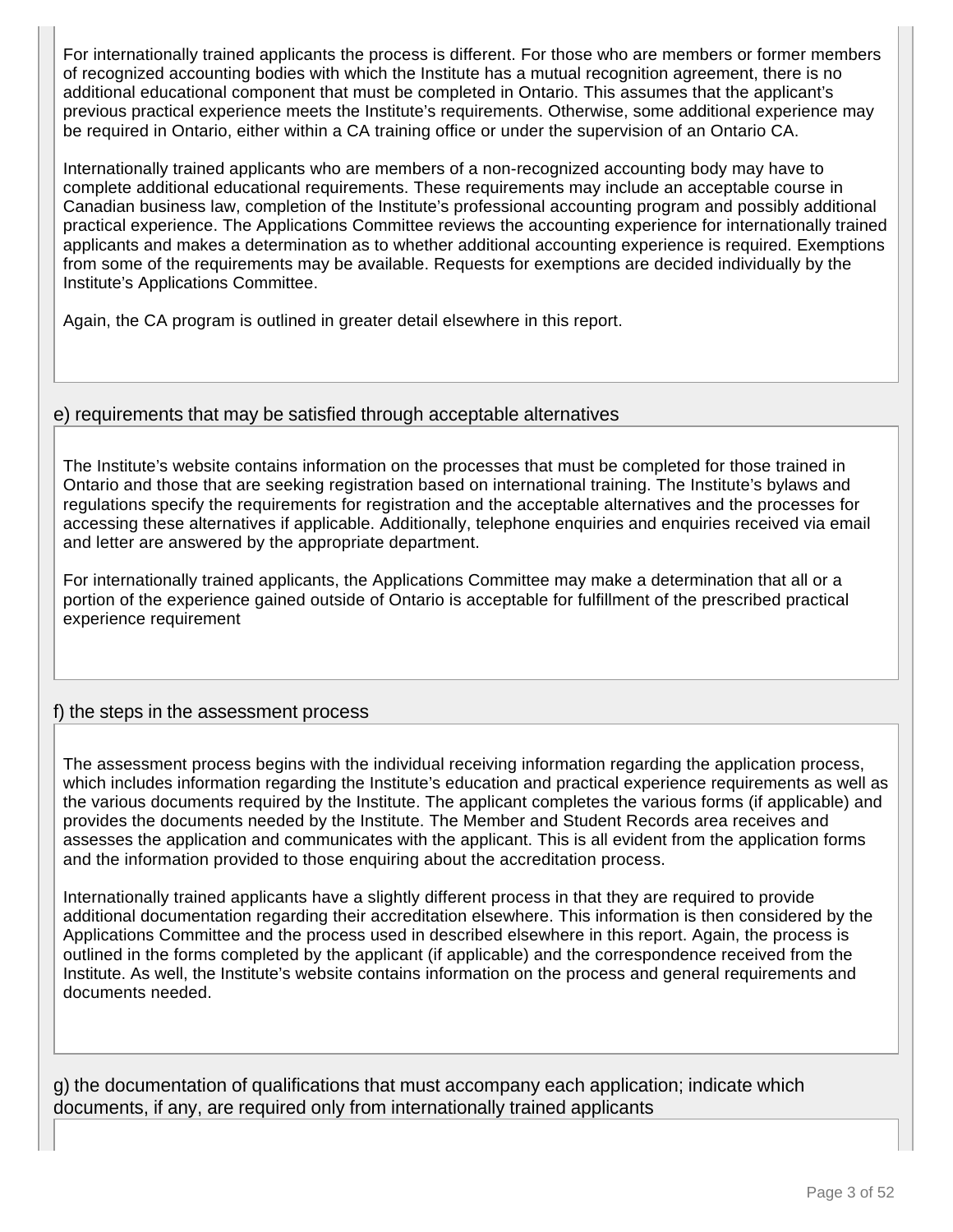For internationally trained applicants the process is different. For those who are members or former members of recognized accounting bodies with which the Institute has a mutual recognition agreement, there is no additional educational component that must be completed in Ontario. This assumes that the applicant's previous practical experience meets the Institute's requirements. Otherwise, some additional experience may be required in Ontario, either within a CA training office or under the supervision of an Ontario CA.

Internationally trained applicants who are members of a non-recognized accounting body may have to complete additional educational requirements. These requirements may include an acceptable course in Canadian business law, completion of the Institute's professional accounting program and possibly additional practical experience. The Applications Committee reviews the accounting experience for internationally trained applicants and makes a determination as to whether additional accounting experience is required. Exemptions from some of the requirements may be available. Requests for exemptions are decided individually by the Institute's Applications Committee.

Again, the CA program is outlined in greater detail elsewhere in this report.

### e) requirements that may be satisfied through acceptable alternatives

The Institute's website contains information on the processes that must be completed for those trained in Ontario and those that are seeking registration based on international training. The Institute's bylaws and regulations specify the requirements for registration and the acceptable alternatives and the processes for accessing these alternatives if applicable. Additionally, telephone enquiries and enquiries received via email and letter are answered by the appropriate department.

For internationally trained applicants, the Applications Committee may make a determination that all or a portion of the experience gained outside of Ontario is acceptable for fulfillment of the prescribed practical experience requirement

### f) the steps in the assessment process

The assessment process begins with the individual receiving information regarding the application process, which includes information regarding the Institute's education and practical experience requirements as well as the various documents required by the Institute. The applicant completes the various forms (if applicable) and provides the documents needed by the Institute. The Member and Student Records area receives and assesses the application and communicates with the applicant. This is all evident from the application forms and the information provided to those enquiring about the accreditation process.

Internationally trained applicants have a slightly different process in that they are required to provide additional documentation regarding their accreditation elsewhere. This information is then considered by the Applications Committee and the process used in described elsewhere in this report. Again, the process is outlined in the forms completed by the applicant (if applicable) and the correspondence received from the Institute. As well, the Institute's website contains information on the process and general requirements and documents needed.

g) the documentation of qualifications that must accompany each application; indicate which documents, if any, are required only from internationally trained applicants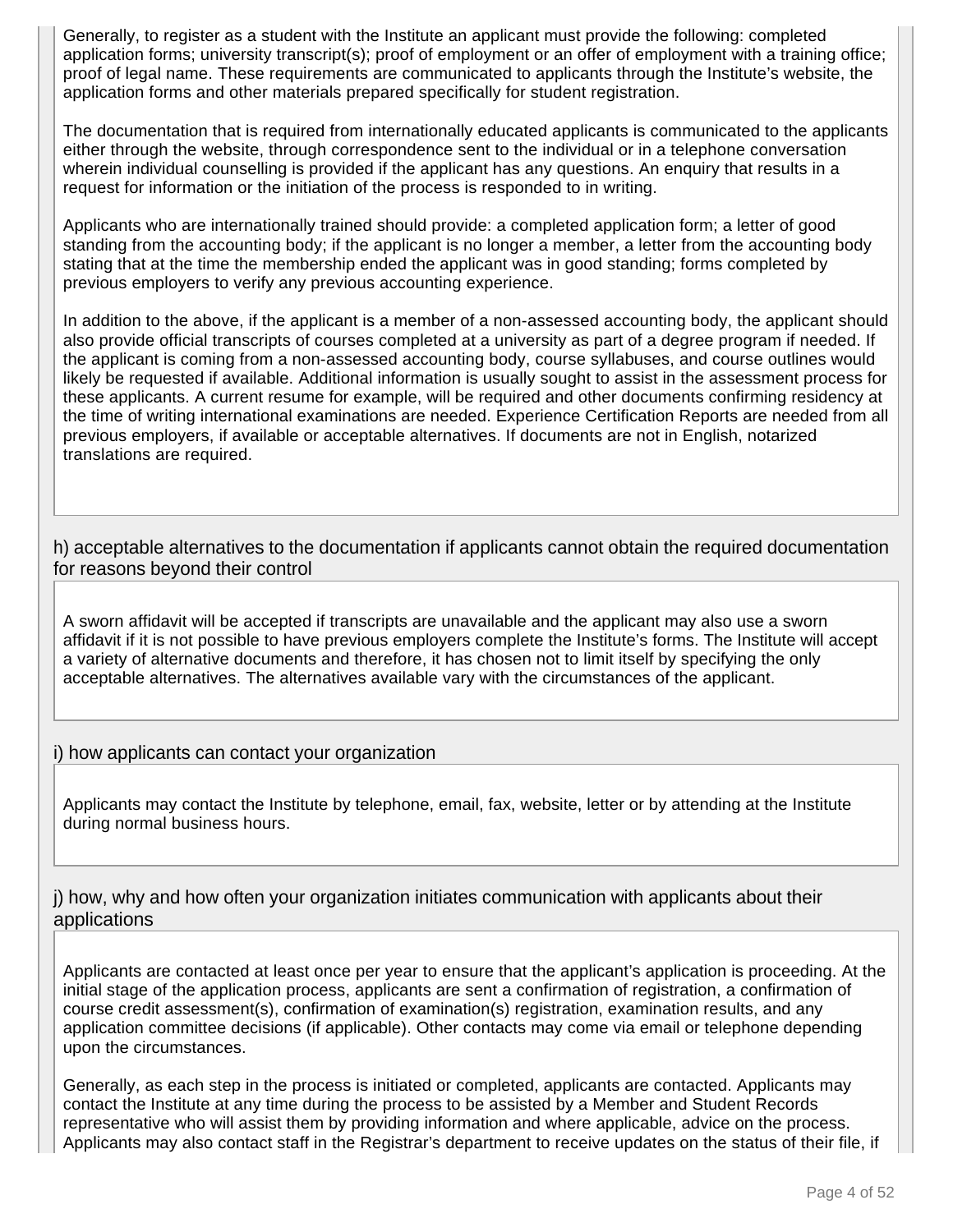Generally, to register as a student with the Institute an applicant must provide the following: completed application forms; university transcript(s); proof of employment or an offer of employment with a training office; proof of legal name. These requirements are communicated to applicants through the Institute's website, the application forms and other materials prepared specifically for student registration.

The documentation that is required from internationally educated applicants is communicated to the applicants either through the website, through correspondence sent to the individual or in a telephone conversation wherein individual counselling is provided if the applicant has any questions. An enquiry that results in a request for information or the initiation of the process is responded to in writing.

Applicants who are internationally trained should provide: a completed application form; a letter of good standing from the accounting body; if the applicant is no longer a member, a letter from the accounting body stating that at the time the membership ended the applicant was in good standing; forms completed by previous employers to verify any previous accounting experience.

In addition to the above, if the applicant is a member of a non-assessed accounting body, the applicant should also provide official transcripts of courses completed at a university as part of a degree program if needed. If the applicant is coming from a non-assessed accounting body, course syllabuses, and course outlines would likely be requested if available. Additional information is usually sought to assist in the assessment process for these applicants. A current resume for example, will be required and other documents confirming residency at the time of writing international examinations are needed. Experience Certification Reports are needed from all previous employers, if available or acceptable alternatives. If documents are not in English, notarized translations are required.

h) acceptable alternatives to the documentation if applicants cannot obtain the required documentation for reasons beyond their control

A sworn affidavit will be accepted if transcripts are unavailable and the applicant may also use a sworn affidavit if it is not possible to have previous employers complete the Institute's forms. The Institute will accept a variety of alternative documents and therefore, it has chosen not to limit itself by specifying the only acceptable alternatives. The alternatives available vary with the circumstances of the applicant.

#### i) how applicants can contact your organization

Applicants may contact the Institute by telephone, email, fax, website, letter or by attending at the Institute during normal business hours.

j) how, why and how often your organization initiates communication with applicants about their applications

Applicants are contacted at least once per year to ensure that the applicant's application is proceeding. At the initial stage of the application process, applicants are sent a confirmation of registration, a confirmation of course credit assessment(s), confirmation of examination(s) registration, examination results, and any application committee decisions (if applicable). Other contacts may come via email or telephone depending upon the circumstances.

Generally, as each step in the process is initiated or completed, applicants are contacted. Applicants may contact the Institute at any time during the process to be assisted by a Member and Student Records representative who will assist them by providing information and where applicable, advice on the process. Applicants may also contact staff in the Registrar's department to receive updates on the status of their file, if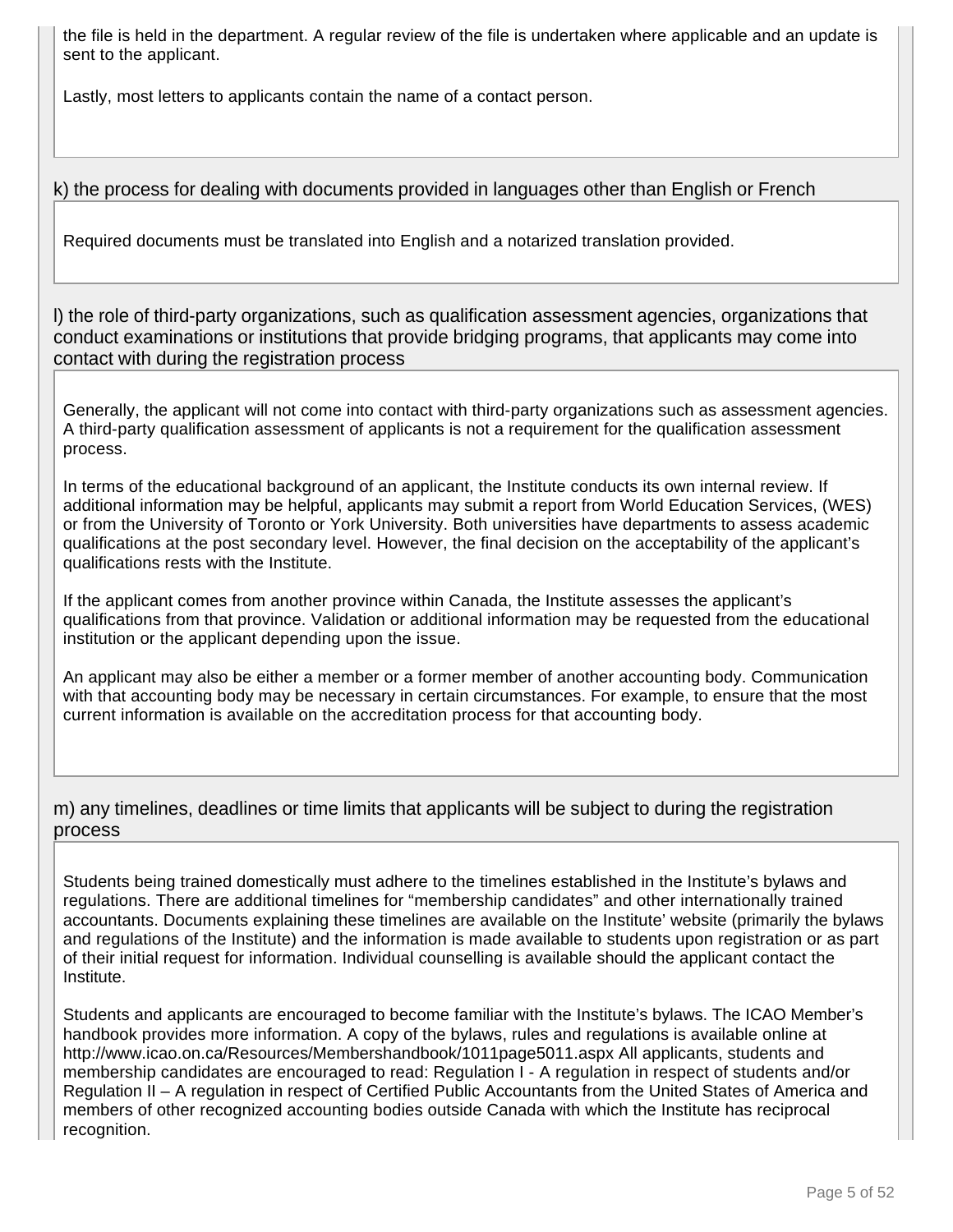the file is held in the department. A regular review of the file is undertaken where applicable and an update is sent to the applicant.

Lastly, most letters to applicants contain the name of a contact person.

# k) the process for dealing with documents provided in languages other than English or French

Required documents must be translated into English and a notarized translation provided.

l) the role of third-party organizations, such as qualification assessment agencies, organizations that conduct examinations or institutions that provide bridging programs, that applicants may come into contact with during the registration process

Generally, the applicant will not come into contact with third-party organizations such as assessment agencies. A third-party qualification assessment of applicants is not a requirement for the qualification assessment process.

In terms of the educational background of an applicant, the Institute conducts its own internal review. If additional information may be helpful, applicants may submit a report from World Education Services, (WES) or from the University of Toronto or York University. Both universities have departments to assess academic qualifications at the post secondary level. However, the final decision on the acceptability of the applicant's qualifications rests with the Institute.

If the applicant comes from another province within Canada, the Institute assesses the applicant's qualifications from that province. Validation or additional information may be requested from the educational institution or the applicant depending upon the issue.

An applicant may also be either a member or a former member of another accounting body. Communication with that accounting body may be necessary in certain circumstances. For example, to ensure that the most current information is available on the accreditation process for that accounting body.

### m) any timelines, deadlines or time limits that applicants will be subject to during the registration process

Students being trained domestically must adhere to the timelines established in the Institute's bylaws and regulations. There are additional timelines for "membership candidates" and other internationally trained accountants. Documents explaining these timelines are available on the Institute' website (primarily the bylaws and regulations of the Institute) and the information is made available to students upon registration or as part of their initial request for information. Individual counselling is available should the applicant contact the Institute.

Students and applicants are encouraged to become familiar with the Institute's bylaws. The ICAO Member's handbook provides more information. A copy of the bylaws, rules and regulations is available online at http://www.icao.on.ca/Resources/Membershandbook/1011page5011.aspx All applicants, students and membership candidates are encouraged to read: Regulation I - A regulation in respect of students and/or Regulation II – A regulation in respect of Certified Public Accountants from the United States of America and members of other recognized accounting bodies outside Canada with which the Institute has reciprocal recognition.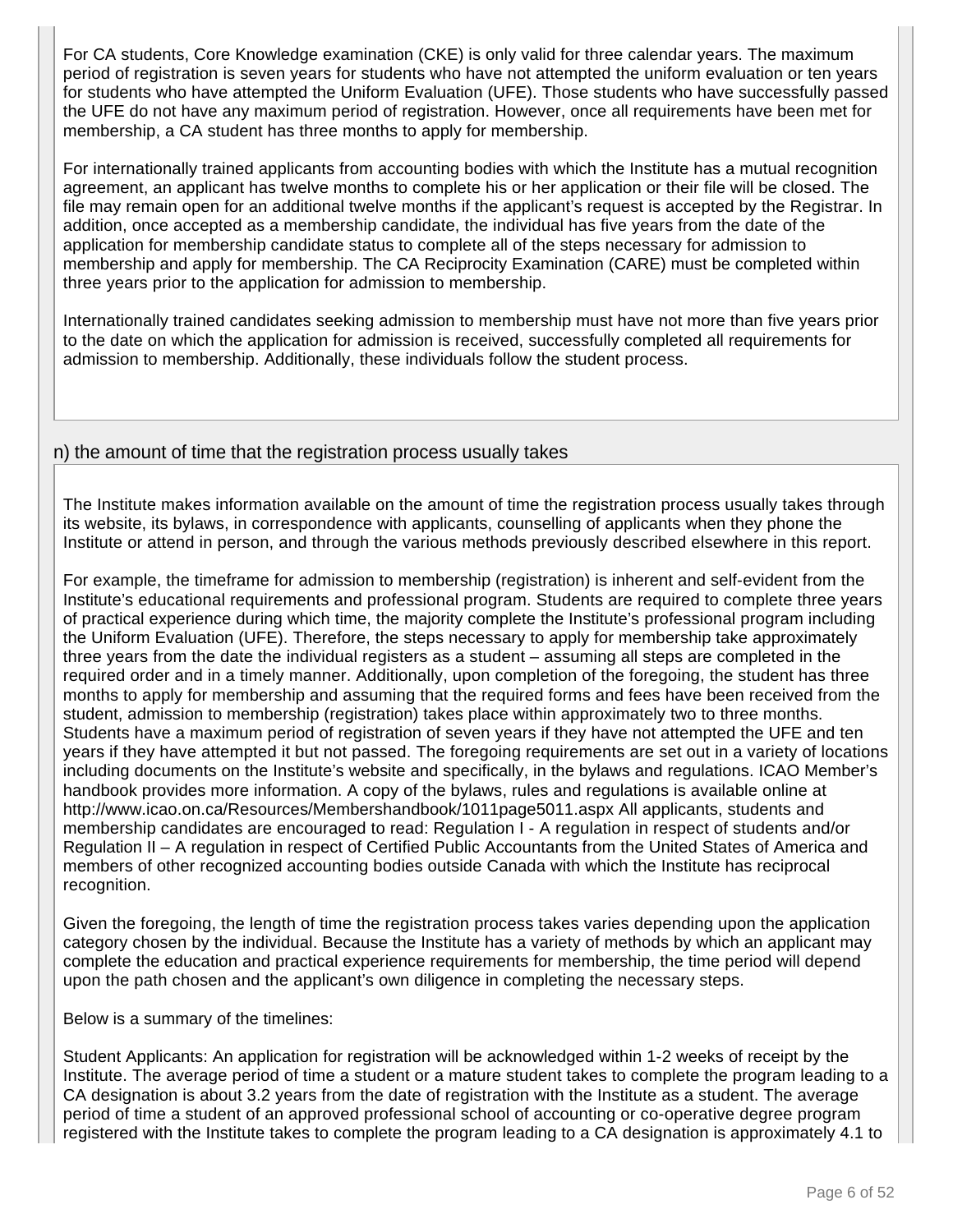For CA students, Core Knowledge examination (CKE) is only valid for three calendar years. The maximum period of registration is seven years for students who have not attempted the uniform evaluation or ten years for students who have attempted the Uniform Evaluation (UFE). Those students who have successfully passed the UFE do not have any maximum period of registration. However, once all requirements have been met for membership, a CA student has three months to apply for membership.

For internationally trained applicants from accounting bodies with which the Institute has a mutual recognition agreement, an applicant has twelve months to complete his or her application or their file will be closed. The file may remain open for an additional twelve months if the applicant's request is accepted by the Registrar. In addition, once accepted as a membership candidate, the individual has five years from the date of the application for membership candidate status to complete all of the steps necessary for admission to membership and apply for membership. The CA Reciprocity Examination (CARE) must be completed within three years prior to the application for admission to membership.

Internationally trained candidates seeking admission to membership must have not more than five years prior to the date on which the application for admission is received, successfully completed all requirements for admission to membership. Additionally, these individuals follow the student process.

### n) the amount of time that the registration process usually takes

The Institute makes information available on the amount of time the registration process usually takes through its website, its bylaws, in correspondence with applicants, counselling of applicants when they phone the Institute or attend in person, and through the various methods previously described elsewhere in this report.

For example, the timeframe for admission to membership (registration) is inherent and self-evident from the Institute's educational requirements and professional program. Students are required to complete three years of practical experience during which time, the majority complete the Institute's professional program including the Uniform Evaluation (UFE). Therefore, the steps necessary to apply for membership take approximately three years from the date the individual registers as a student – assuming all steps are completed in the required order and in a timely manner. Additionally, upon completion of the foregoing, the student has three months to apply for membership and assuming that the required forms and fees have been received from the student, admission to membership (registration) takes place within approximately two to three months. Students have a maximum period of registration of seven years if they have not attempted the UFE and ten years if they have attempted it but not passed. The foregoing requirements are set out in a variety of locations including documents on the Institute's website and specifically, in the bylaws and regulations. ICAO Member's handbook provides more information. A copy of the bylaws, rules and regulations is available online at http://www.icao.on.ca/Resources/Membershandbook/1011page5011.aspx All applicants, students and membership candidates are encouraged to read: Regulation I - A regulation in respect of students and/or Regulation II – A regulation in respect of Certified Public Accountants from the United States of America and members of other recognized accounting bodies outside Canada with which the Institute has reciprocal recognition.

Given the foregoing, the length of time the registration process takes varies depending upon the application category chosen by the individual. Because the Institute has a variety of methods by which an applicant may complete the education and practical experience requirements for membership, the time period will depend upon the path chosen and the applicant's own diligence in completing the necessary steps.

Below is a summary of the timelines:

Student Applicants: An application for registration will be acknowledged within 1-2 weeks of receipt by the Institute. The average period of time a student or a mature student takes to complete the program leading to a CA designation is about 3.2 years from the date of registration with the Institute as a student. The average period of time a student of an approved professional school of accounting or co-operative degree program registered with the Institute takes to complete the program leading to a CA designation is approximately 4.1 to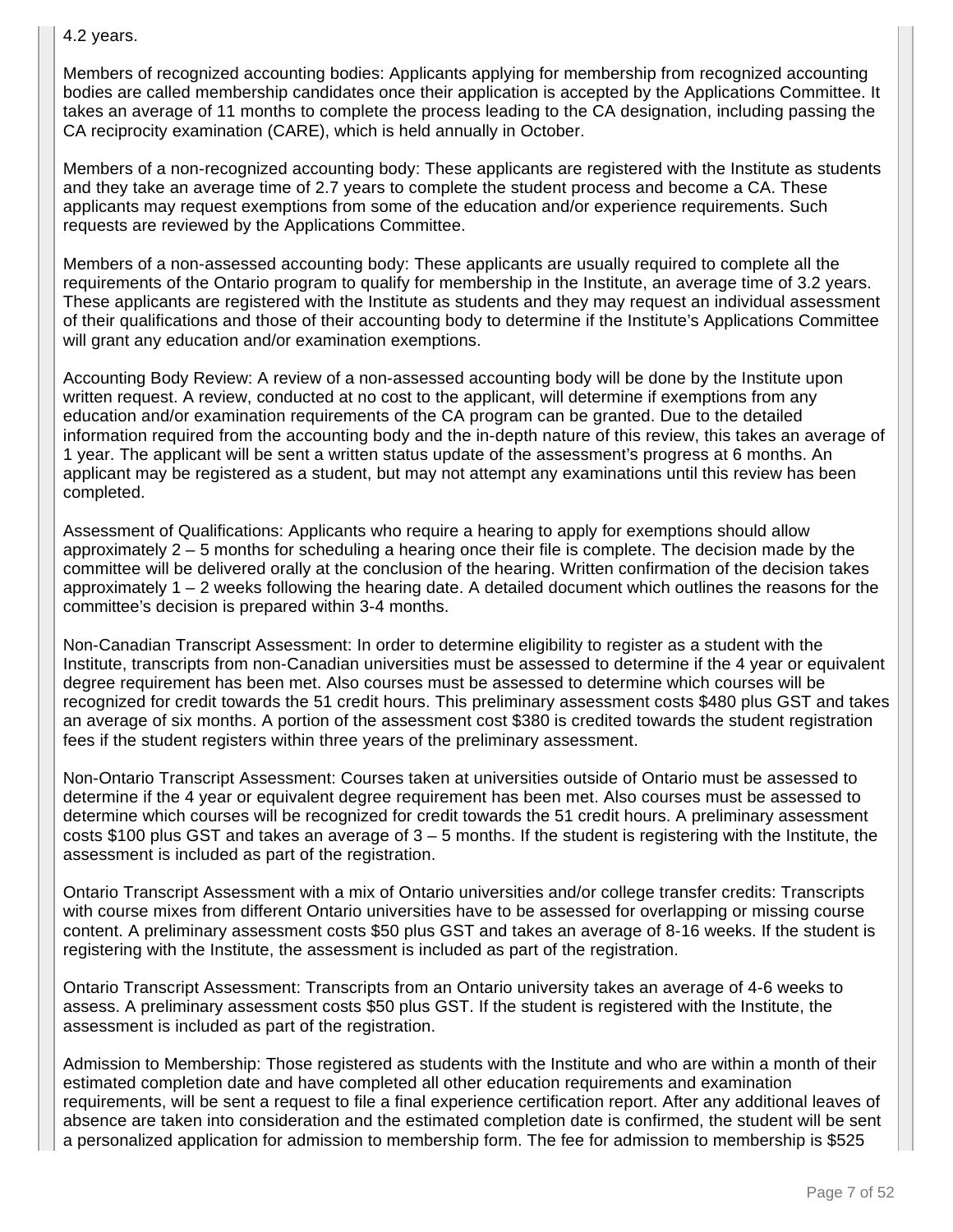#### 4.2 years.

Members of recognized accounting bodies: Applicants applying for membership from recognized accounting bodies are called membership candidates once their application is accepted by the Applications Committee. It takes an average of 11 months to complete the process leading to the CA designation, including passing the CA reciprocity examination (CARE), which is held annually in October.

Members of a non-recognized accounting body: These applicants are registered with the Institute as students and they take an average time of 2.7 years to complete the student process and become a CA. These applicants may request exemptions from some of the education and/or experience requirements. Such requests are reviewed by the Applications Committee.

Members of a non-assessed accounting body: These applicants are usually required to complete all the requirements of the Ontario program to qualify for membership in the Institute, an average time of 3.2 years. These applicants are registered with the Institute as students and they may request an individual assessment of their qualifications and those of their accounting body to determine if the Institute's Applications Committee will grant any education and/or examination exemptions.

Accounting Body Review: A review of a non-assessed accounting body will be done by the Institute upon written request. A review, conducted at no cost to the applicant, will determine if exemptions from any education and/or examination requirements of the CA program can be granted. Due to the detailed information required from the accounting body and the in-depth nature of this review, this takes an average of 1 year. The applicant will be sent a written status update of the assessment's progress at 6 months. An applicant may be registered as a student, but may not attempt any examinations until this review has been completed.

Assessment of Qualifications: Applicants who require a hearing to apply for exemptions should allow approximately 2 – 5 months for scheduling a hearing once their file is complete. The decision made by the committee will be delivered orally at the conclusion of the hearing. Written confirmation of the decision takes approximately 1 – 2 weeks following the hearing date. A detailed document which outlines the reasons for the committee's decision is prepared within 3-4 months.

Non-Canadian Transcript Assessment: In order to determine eligibility to register as a student with the Institute, transcripts from non-Canadian universities must be assessed to determine if the 4 year or equivalent degree requirement has been met. Also courses must be assessed to determine which courses will be recognized for credit towards the 51 credit hours. This preliminary assessment costs \$480 plus GST and takes an average of six months. A portion of the assessment cost \$380 is credited towards the student registration fees if the student registers within three years of the preliminary assessment.

Non-Ontario Transcript Assessment: Courses taken at universities outside of Ontario must be assessed to determine if the 4 year or equivalent degree requirement has been met. Also courses must be assessed to determine which courses will be recognized for credit towards the 51 credit hours. A preliminary assessment costs \$100 plus GST and takes an average of 3 – 5 months. If the student is registering with the Institute, the assessment is included as part of the registration.

Ontario Transcript Assessment with a mix of Ontario universities and/or college transfer credits: Transcripts with course mixes from different Ontario universities have to be assessed for overlapping or missing course content. A preliminary assessment costs \$50 plus GST and takes an average of 8-16 weeks. If the student is registering with the Institute, the assessment is included as part of the registration.

Ontario Transcript Assessment: Transcripts from an Ontario university takes an average of 4-6 weeks to assess. A preliminary assessment costs \$50 plus GST. If the student is registered with the Institute, the assessment is included as part of the registration.

Admission to Membership: Those registered as students with the Institute and who are within a month of their estimated completion date and have completed all other education requirements and examination requirements, will be sent a request to file a final experience certification report. After any additional leaves of absence are taken into consideration and the estimated completion date is confirmed, the student will be sent a personalized application for admission to membership form. The fee for admission to membership is \$525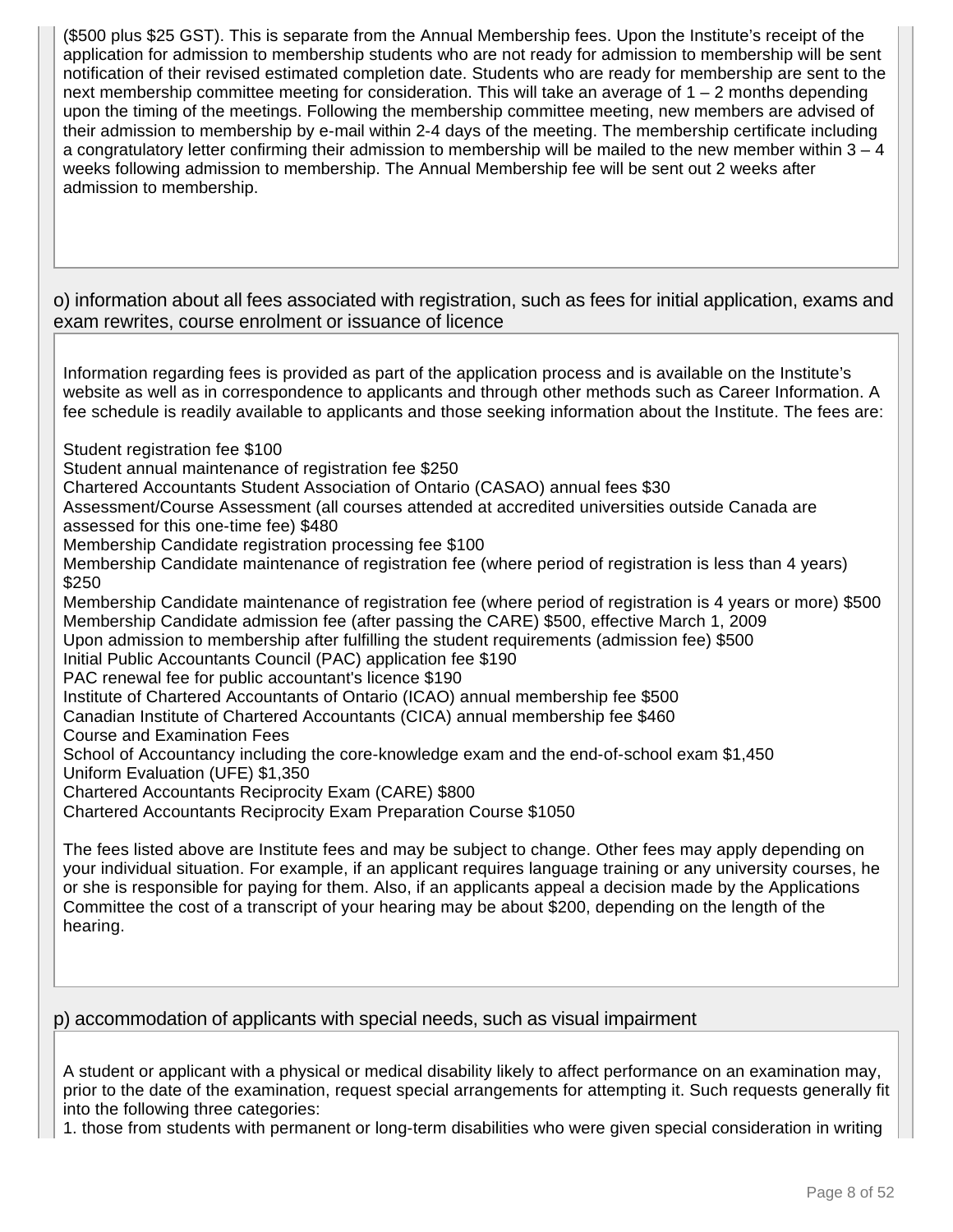(\$500 plus \$25 GST). This is separate from the Annual Membership fees. Upon the Institute's receipt of the application for admission to membership students who are not ready for admission to membership will be sent notification of their revised estimated completion date. Students who are ready for membership are sent to the next membership committee meeting for consideration. This will take an average of 1 – 2 months depending upon the timing of the meetings. Following the membership committee meeting, new members are advised of their admission to membership by e-mail within 2-4 days of the meeting. The membership certificate including a congratulatory letter confirming their admission to membership will be mailed to the new member within  $3 - 4$ weeks following admission to membership. The Annual Membership fee will be sent out 2 weeks after admission to membership.

o) information about all fees associated with registration, such as fees for initial application, exams and exam rewrites, course enrolment or issuance of licence

Information regarding fees is provided as part of the application process and is available on the Institute's website as well as in correspondence to applicants and through other methods such as Career Information. A fee schedule is readily available to applicants and those seeking information about the Institute. The fees are:

Student registration fee \$100

Student annual maintenance of registration fee \$250

Chartered Accountants Student Association of Ontario (CASAO) annual fees \$30

Assessment/Course Assessment (all courses attended at accredited universities outside Canada are assessed for this one-time fee) \$480

Membership Candidate registration processing fee \$100

Membership Candidate maintenance of registration fee (where period of registration is less than 4 years) \$250

Membership Candidate maintenance of registration fee (where period of registration is 4 years or more) \$500 Membership Candidate admission fee (after passing the CARE) \$500, effective March 1, 2009 Upon admission to membership after fulfilling the student requirements (admission fee) \$500

Initial Public Accountants Council (PAC) application fee \$190

PAC renewal fee for public accountant's licence \$190

Institute of Chartered Accountants of Ontario (ICAO) annual membership fee \$500

Canadian Institute of Chartered Accountants (CICA) annual membership fee \$460

Course and Examination Fees

School of Accountancy including the core-knowledge exam and the end-of-school exam \$1,450 Uniform Evaluation (UFE) \$1,350

Chartered Accountants Reciprocity Exam (CARE) \$800

Chartered Accountants Reciprocity Exam Preparation Course \$1050

The fees listed above are Institute fees and may be subject to change. Other fees may apply depending on your individual situation. For example, if an applicant requires language training or any university courses, he or she is responsible for paying for them. Also, if an applicants appeal a decision made by the Applications Committee the cost of a transcript of your hearing may be about \$200, depending on the length of the hearing.

### p) accommodation of applicants with special needs, such as visual impairment

A student or applicant with a physical or medical disability likely to affect performance on an examination may, prior to the date of the examination, request special arrangements for attempting it. Such requests generally fit into the following three categories:

1. those from students with permanent or long-term disabilities who were given special consideration in writing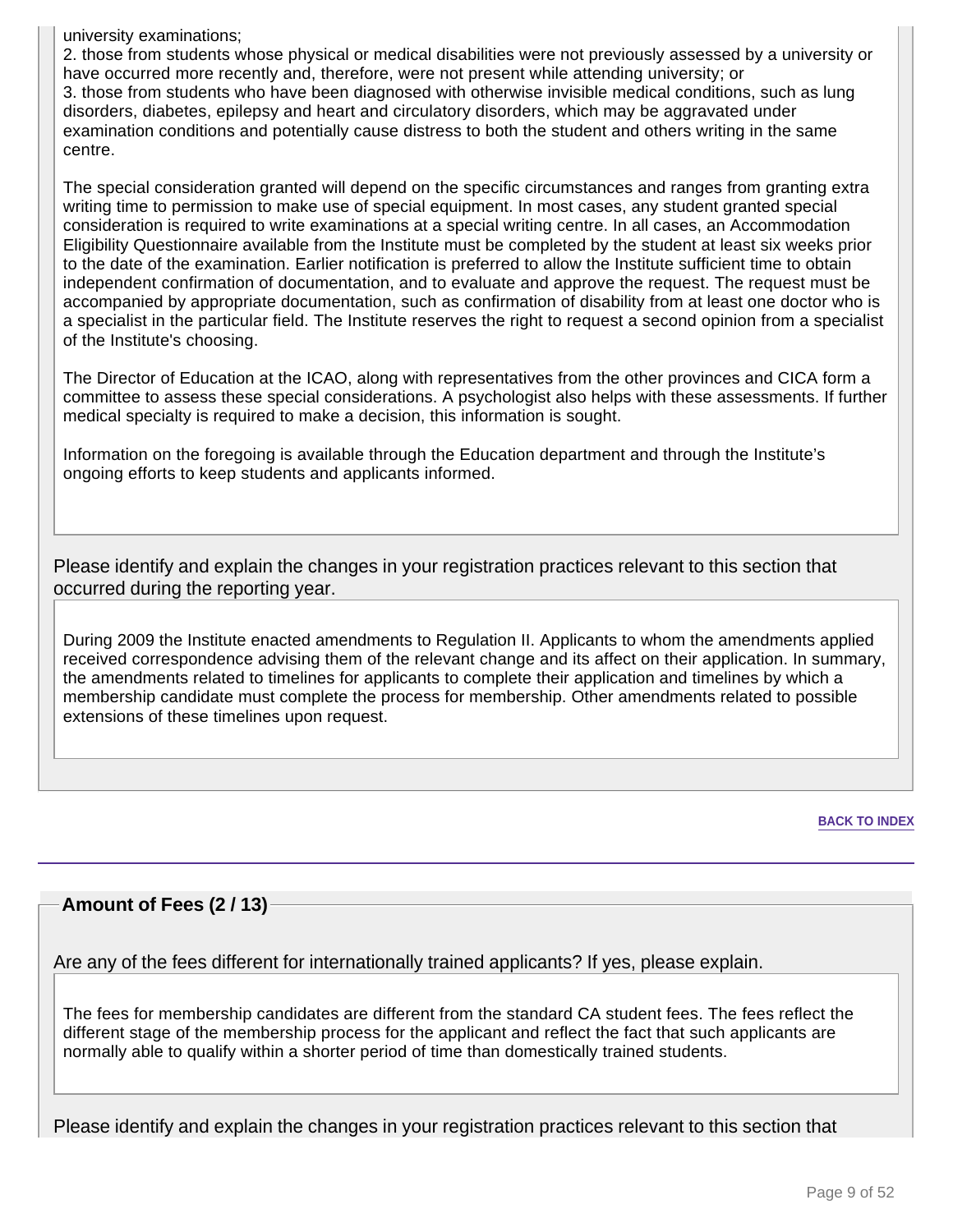university examinations;

2. those from students whose physical or medical disabilities were not previously assessed by a university or have occurred more recently and, therefore, were not present while attending university; or 3. those from students who have been diagnosed with otherwise invisible medical conditions, such as lung disorders, diabetes, epilepsy and heart and circulatory disorders, which may be aggravated under examination conditions and potentially cause distress to both the student and others writing in the same centre.

The special consideration granted will depend on the specific circumstances and ranges from granting extra writing time to permission to make use of special equipment. In most cases, any student granted special consideration is required to write examinations at a special writing centre. In all cases, an Accommodation Eligibility Questionnaire available from the Institute must be completed by the student at least six weeks prior to the date of the examination. Earlier notification is preferred to allow the Institute sufficient time to obtain independent confirmation of documentation, and to evaluate and approve the request. The request must be accompanied by appropriate documentation, such as confirmation of disability from at least one doctor who is a specialist in the particular field. The Institute reserves the right to request a second opinion from a specialist of the Institute's choosing.

The Director of Education at the ICAO, along with representatives from the other provinces and CICA form a committee to assess these special considerations. A psychologist also helps with these assessments. If further medical specialty is required to make a decision, this information is sought.

Information on the foregoing is available through the Education department and through the Institute's ongoing efforts to keep students and applicants informed.

Please identify and explain the changes in your registration practices relevant to this section that occurred during the reporting year.

During 2009 the Institute enacted amendments to Regulation II. Applicants to whom the amendments applied received correspondence advising them of the relevant change and its affect on their application. In summary, the amendments related to timelines for applicants to complete their application and timelines by which a membership candidate must complete the process for membership. Other amendments related to possible extensions of these timelines upon request.

**BACK TO INDEX**

### **Amount of Fees (2 / 13)**

Are any of the fees different for internationally trained applicants? If yes, please explain.

The fees for membership candidates are different from the standard CA student fees. The fees reflect the different stage of the membership process for the applicant and reflect the fact that such applicants are normally able to qualify within a shorter period of time than domestically trained students.

Please identify and explain the changes in your registration practices relevant to this section that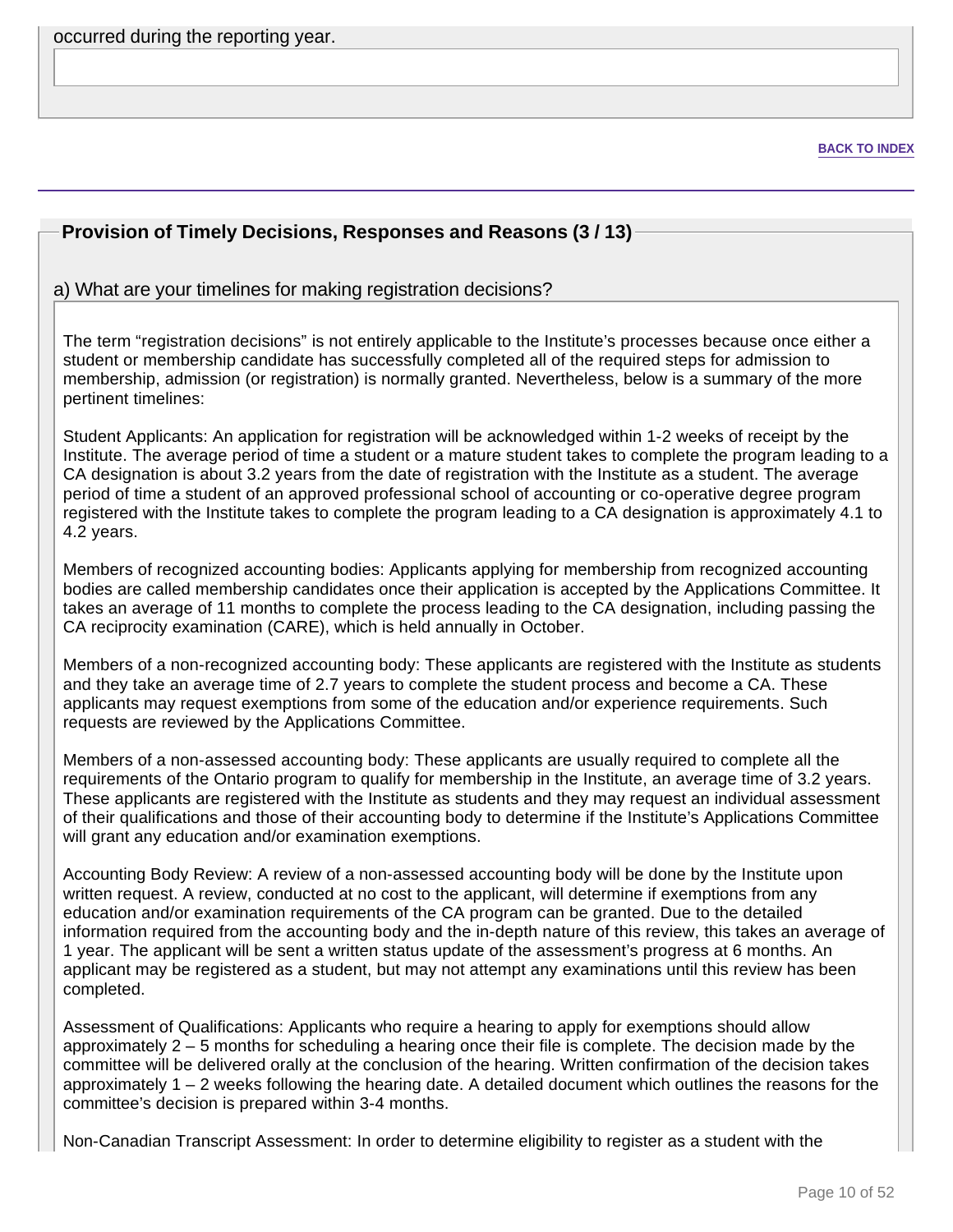occurred during the reporting year.

**BACK TO INDEX**

### **Provision of Timely Decisions, Responses and Reasons (3 / 13)**

#### a) What are your timelines for making registration decisions?

The term "registration decisions" is not entirely applicable to the Institute's processes because once either a student or membership candidate has successfully completed all of the required steps for admission to membership, admission (or registration) is normally granted. Nevertheless, below is a summary of the more pertinent timelines:

Student Applicants: An application for registration will be acknowledged within 1-2 weeks of receipt by the Institute. The average period of time a student or a mature student takes to complete the program leading to a CA designation is about 3.2 years from the date of registration with the Institute as a student. The average period of time a student of an approved professional school of accounting or co-operative degree program registered with the Institute takes to complete the program leading to a CA designation is approximately 4.1 to 4.2 years.

Members of recognized accounting bodies: Applicants applying for membership from recognized accounting bodies are called membership candidates once their application is accepted by the Applications Committee. It takes an average of 11 months to complete the process leading to the CA designation, including passing the CA reciprocity examination (CARE), which is held annually in October.

Members of a non-recognized accounting body: These applicants are registered with the Institute as students and they take an average time of 2.7 years to complete the student process and become a CA. These applicants may request exemptions from some of the education and/or experience requirements. Such requests are reviewed by the Applications Committee.

Members of a non-assessed accounting body: These applicants are usually required to complete all the requirements of the Ontario program to qualify for membership in the Institute, an average time of 3.2 years. These applicants are registered with the Institute as students and they may request an individual assessment of their qualifications and those of their accounting body to determine if the Institute's Applications Committee will grant any education and/or examination exemptions.

Accounting Body Review: A review of a non-assessed accounting body will be done by the Institute upon written request. A review, conducted at no cost to the applicant, will determine if exemptions from any education and/or examination requirements of the CA program can be granted. Due to the detailed information required from the accounting body and the in-depth nature of this review, this takes an average of 1 year. The applicant will be sent a written status update of the assessment's progress at 6 months. An applicant may be registered as a student, but may not attempt any examinations until this review has been completed.

Assessment of Qualifications: Applicants who require a hearing to apply for exemptions should allow approximately 2 – 5 months for scheduling a hearing once their file is complete. The decision made by the committee will be delivered orally at the conclusion of the hearing. Written confirmation of the decision takes approximately 1 – 2 weeks following the hearing date. A detailed document which outlines the reasons for the committee's decision is prepared within 3-4 months.

Non-Canadian Transcript Assessment: In order to determine eligibility to register as a student with the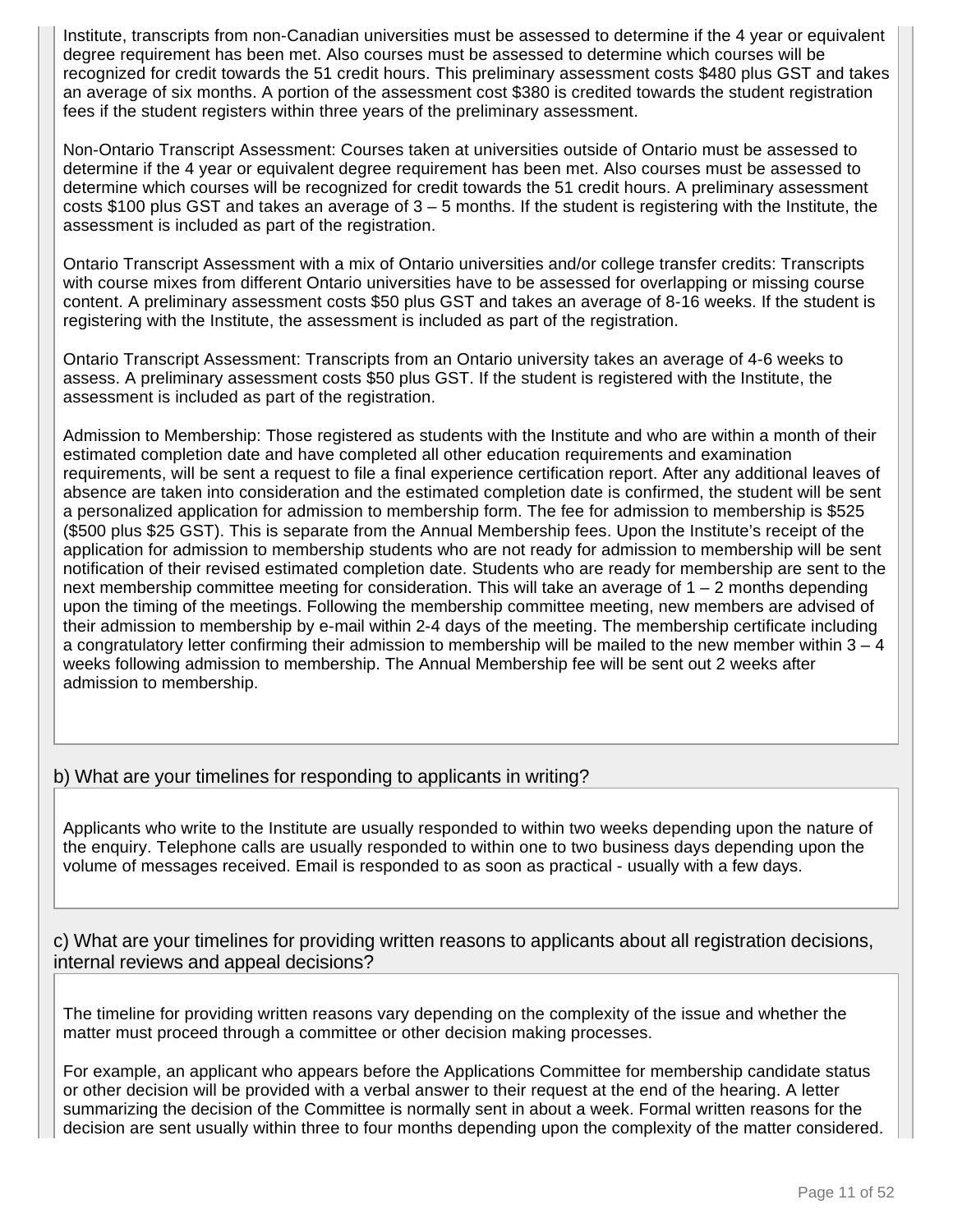Institute, transcripts from non-Canadian universities must be assessed to determine if the 4 year or equivalent degree requirement has been met. Also courses must be assessed to determine which courses will be recognized for credit towards the 51 credit hours. This preliminary assessment costs \$480 plus GST and takes an average of six months. A portion of the assessment cost \$380 is credited towards the student registration fees if the student registers within three years of the preliminary assessment.

Non-Ontario Transcript Assessment: Courses taken at universities outside of Ontario must be assessed to determine if the 4 year or equivalent degree requirement has been met. Also courses must be assessed to determine which courses will be recognized for credit towards the 51 credit hours. A preliminary assessment costs \$100 plus GST and takes an average of  $3 - 5$  months. If the student is registering with the Institute, the assessment is included as part of the registration.

Ontario Transcript Assessment with a mix of Ontario universities and/or college transfer credits: Transcripts with course mixes from different Ontario universities have to be assessed for overlapping or missing course content. A preliminary assessment costs \$50 plus GST and takes an average of 8-16 weeks. If the student is registering with the Institute, the assessment is included as part of the registration.

Ontario Transcript Assessment: Transcripts from an Ontario university takes an average of 4-6 weeks to assess. A preliminary assessment costs \$50 plus GST. If the student is registered with the Institute, the assessment is included as part of the registration.

Admission to Membership: Those registered as students with the Institute and who are within a month of their estimated completion date and have completed all other education requirements and examination requirements, will be sent a request to file a final experience certification report. After any additional leaves of absence are taken into consideration and the estimated completion date is confirmed, the student will be sent a personalized application for admission to membership form. The fee for admission to membership is \$525 (\$500 plus \$25 GST). This is separate from the Annual Membership fees. Upon the Institute's receipt of the application for admission to membership students who are not ready for admission to membership will be sent notification of their revised estimated completion date. Students who are ready for membership are sent to the next membership committee meeting for consideration. This will take an average of 1 – 2 months depending upon the timing of the meetings. Following the membership committee meeting, new members are advised of their admission to membership by e-mail within 2-4 days of the meeting. The membership certificate including a congratulatory letter confirming their admission to membership will be mailed to the new member within 3 – 4 weeks following admission to membership. The Annual Membership fee will be sent out 2 weeks after admission to membership.

### b) What are your timelines for responding to applicants in writing?

Applicants who write to the Institute are usually responded to within two weeks depending upon the nature of the enquiry. Telephone calls are usually responded to within one to two business days depending upon the volume of messages received. Email is responded to as soon as practical - usually with a few days.

c) What are your timelines for providing written reasons to applicants about all registration decisions, internal reviews and appeal decisions?

The timeline for providing written reasons vary depending on the complexity of the issue and whether the matter must proceed through a committee or other decision making processes.

For example, an applicant who appears before the Applications Committee for membership candidate status or other decision will be provided with a verbal answer to their request at the end of the hearing. A letter summarizing the decision of the Committee is normally sent in about a week. Formal written reasons for the decision are sent usually within three to four months depending upon the complexity of the matter considered.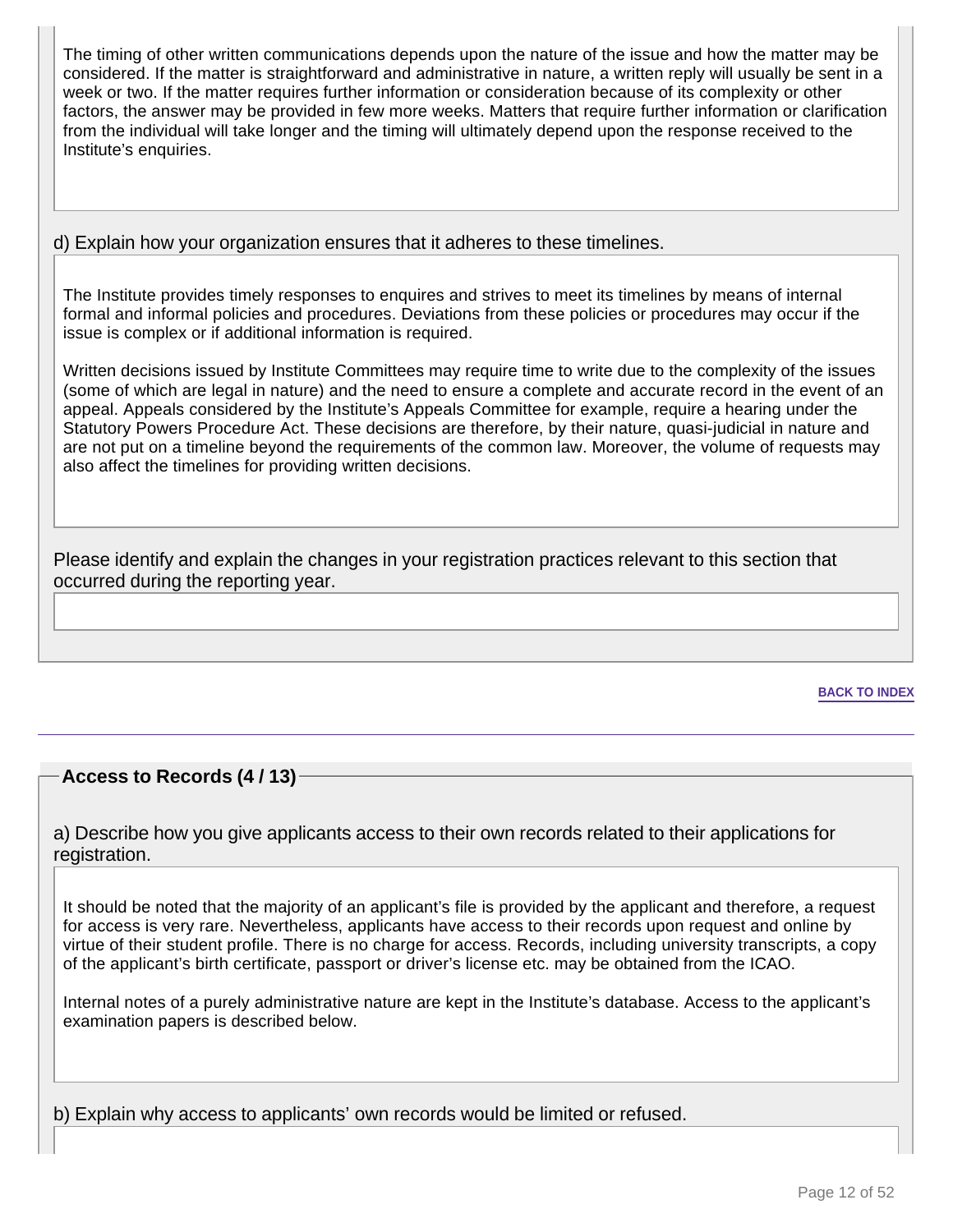The timing of other written communications depends upon the nature of the issue and how the matter may be considered. If the matter is straightforward and administrative in nature, a written reply will usually be sent in a week or two. If the matter requires further information or consideration because of its complexity or other factors, the answer may be provided in few more weeks. Matters that require further information or clarification from the individual will take longer and the timing will ultimately depend upon the response received to the Institute's enquiries.

### d) Explain how your organization ensures that it adheres to these timelines.

The Institute provides timely responses to enquires and strives to meet its timelines by means of internal formal and informal policies and procedures. Deviations from these policies or procedures may occur if the issue is complex or if additional information is required.

Written decisions issued by Institute Committees may require time to write due to the complexity of the issues (some of which are legal in nature) and the need to ensure a complete and accurate record in the event of an appeal. Appeals considered by the Institute's Appeals Committee for example, require a hearing under the Statutory Powers Procedure Act. These decisions are therefore, by their nature, quasi-judicial in nature and are not put on a timeline beyond the requirements of the common law. Moreover, the volume of requests may also affect the timelines for providing written decisions.

Please identify and explain the changes in your registration practices relevant to this section that occurred during the reporting year.

**BACK TO INDEX**

### **Access to Records (4 / 13)**

a) Describe how you give applicants access to their own records related to their applications for registration.

It should be noted that the majority of an applicant's file is provided by the applicant and therefore, a request for access is very rare. Nevertheless, applicants have access to their records upon request and online by virtue of their student profile. There is no charge for access. Records, including university transcripts, a copy of the applicant's birth certificate, passport or driver's license etc. may be obtained from the ICAO.

Internal notes of a purely administrative nature are kept in the Institute's database. Access to the applicant's examination papers is described below.

b) Explain why access to applicants' own records would be limited or refused.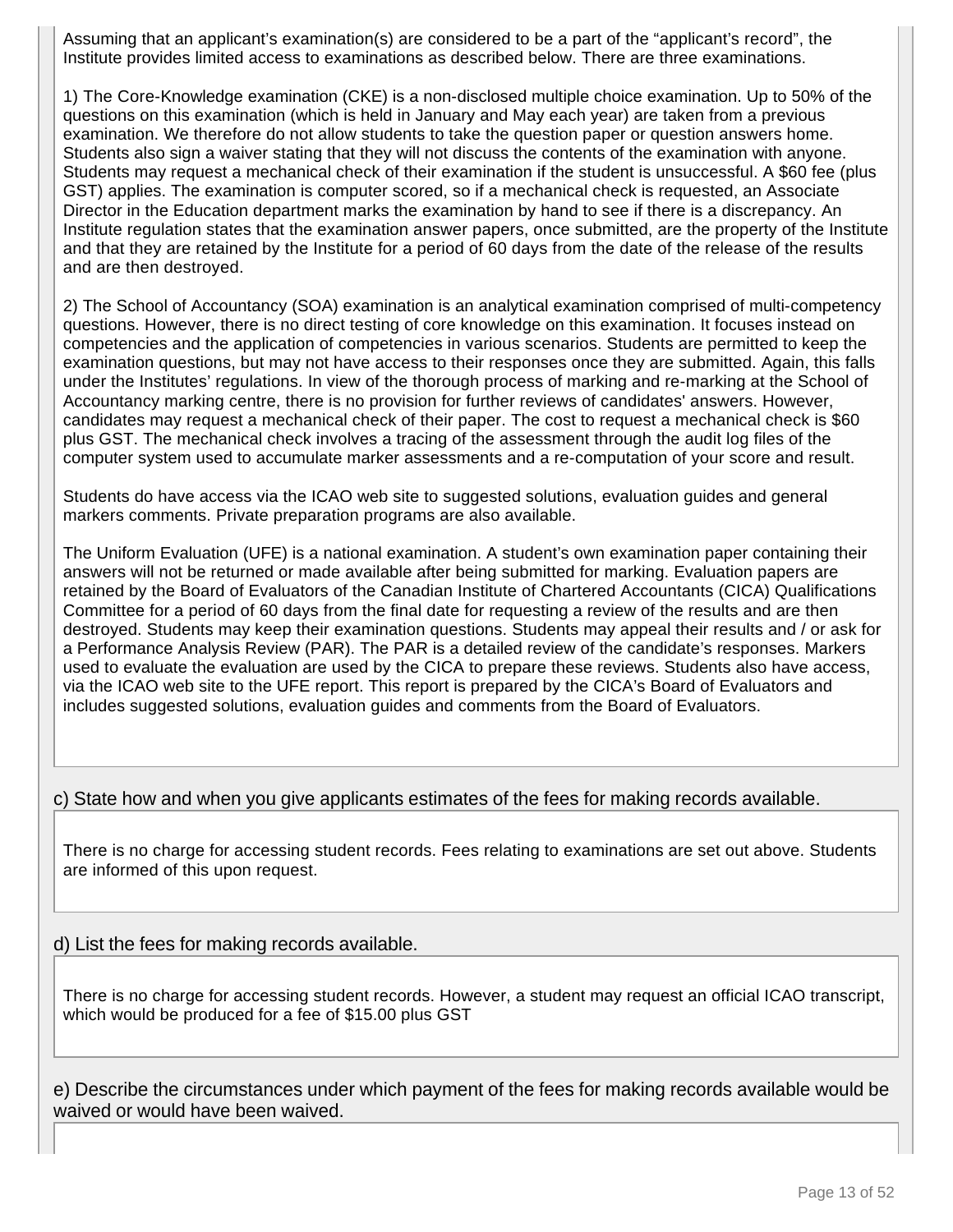Assuming that an applicant's examination(s) are considered to be a part of the "applicant's record", the Institute provides limited access to examinations as described below. There are three examinations.

1) The Core-Knowledge examination (CKE) is a non-disclosed multiple choice examination. Up to 50% of the questions on this examination (which is held in January and May each year) are taken from a previous examination. We therefore do not allow students to take the question paper or question answers home. Students also sign a waiver stating that they will not discuss the contents of the examination with anyone. Students may request a mechanical check of their examination if the student is unsuccessful. A \$60 fee (plus GST) applies. The examination is computer scored, so if a mechanical check is requested, an Associate Director in the Education department marks the examination by hand to see if there is a discrepancy. An Institute regulation states that the examination answer papers, once submitted, are the property of the Institute and that they are retained by the Institute for a period of 60 days from the date of the release of the results and are then destroyed.

2) The School of Accountancy (SOA) examination is an analytical examination comprised of multi-competency questions. However, there is no direct testing of core knowledge on this examination. It focuses instead on competencies and the application of competencies in various scenarios. Students are permitted to keep the examination questions, but may not have access to their responses once they are submitted. Again, this falls under the Institutes' regulations. In view of the thorough process of marking and re-marking at the School of Accountancy marking centre, there is no provision for further reviews of candidates' answers. However, candidates may request a mechanical check of their paper. The cost to request a mechanical check is \$60 plus GST. The mechanical check involves a tracing of the assessment through the audit log files of the computer system used to accumulate marker assessments and a re-computation of your score and result.

Students do have access via the ICAO web site to suggested solutions, evaluation guides and general markers comments. Private preparation programs are also available.

The Uniform Evaluation (UFE) is a national examination. A student's own examination paper containing their answers will not be returned or made available after being submitted for marking. Evaluation papers are retained by the Board of Evaluators of the Canadian Institute of Chartered Accountants (CICA) Qualifications Committee for a period of 60 days from the final date for requesting a review of the results and are then destroyed. Students may keep their examination questions. Students may appeal their results and / or ask for a Performance Analysis Review (PAR). The PAR is a detailed review of the candidate's responses. Markers used to evaluate the evaluation are used by the CICA to prepare these reviews. Students also have access, via the ICAO web site to the UFE report. This report is prepared by the CICA's Board of Evaluators and includes suggested solutions, evaluation guides and comments from the Board of Evaluators.

#### c) State how and when you give applicants estimates of the fees for making records available.

There is no charge for accessing student records. Fees relating to examinations are set out above. Students are informed of this upon request.

#### d) List the fees for making records available.

There is no charge for accessing student records. However, a student may request an official ICAO transcript, which would be produced for a fee of \$15.00 plus GST

e) Describe the circumstances under which payment of the fees for making records available would be waived or would have been waived.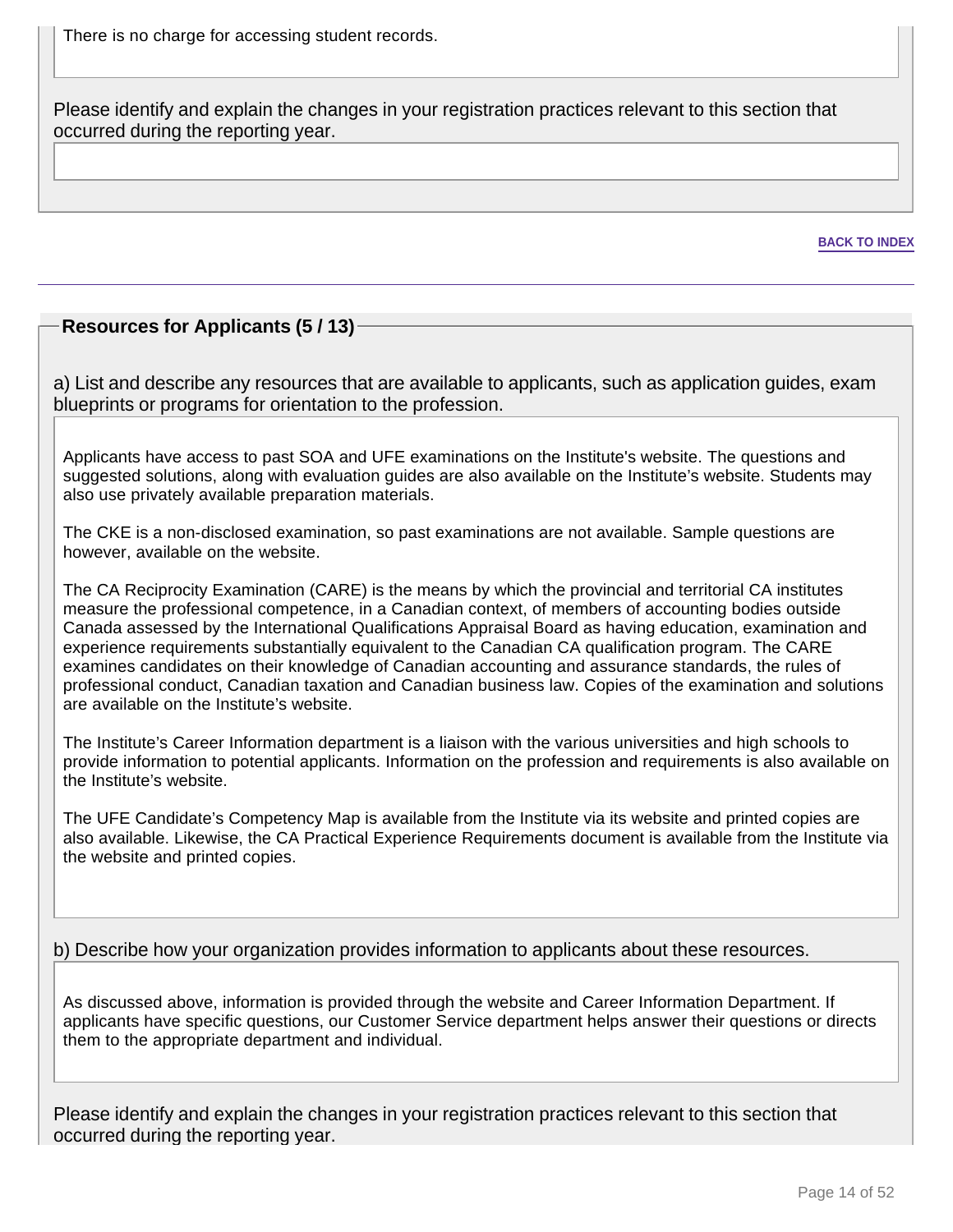There is no charge for accessing student records.

Please identify and explain the changes in your registration practices relevant to this section that occurred during the reporting year.

**BACK TO INDEX**

### **Resources for Applicants (5 / 13)**

a) List and describe any resources that are available to applicants, such as application guides, exam blueprints or programs for orientation to the profession.

Applicants have access to past SOA and UFE examinations on the Institute's website. The questions and suggested solutions, along with evaluation guides are also available on the Institute's website. Students may also use privately available preparation materials.

The CKE is a non-disclosed examination, so past examinations are not available. Sample questions are however, available on the website.

The CA Reciprocity Examination (CARE) is the means by which the provincial and territorial CA institutes measure the professional competence, in a Canadian context, of members of accounting bodies outside Canada assessed by the International Qualifications Appraisal Board as having education, examination and experience requirements substantially equivalent to the Canadian CA qualification program. The CARE examines candidates on their knowledge of Canadian accounting and assurance standards, the rules of professional conduct, Canadian taxation and Canadian business law. Copies of the examination and solutions are available on the Institute's website.

The Institute's Career Information department is a liaison with the various universities and high schools to provide information to potential applicants. Information on the profession and requirements is also available on the Institute's website.

The UFE Candidate's Competency Map is available from the Institute via its website and printed copies are also available. Likewise, the CA Practical Experience Requirements document is available from the Institute via the website and printed copies.

b) Describe how your organization provides information to applicants about these resources.

As discussed above, information is provided through the website and Career Information Department. If applicants have specific questions, our Customer Service department helps answer their questions or directs them to the appropriate department and individual.

Please identify and explain the changes in your registration practices relevant to this section that occurred during the reporting year.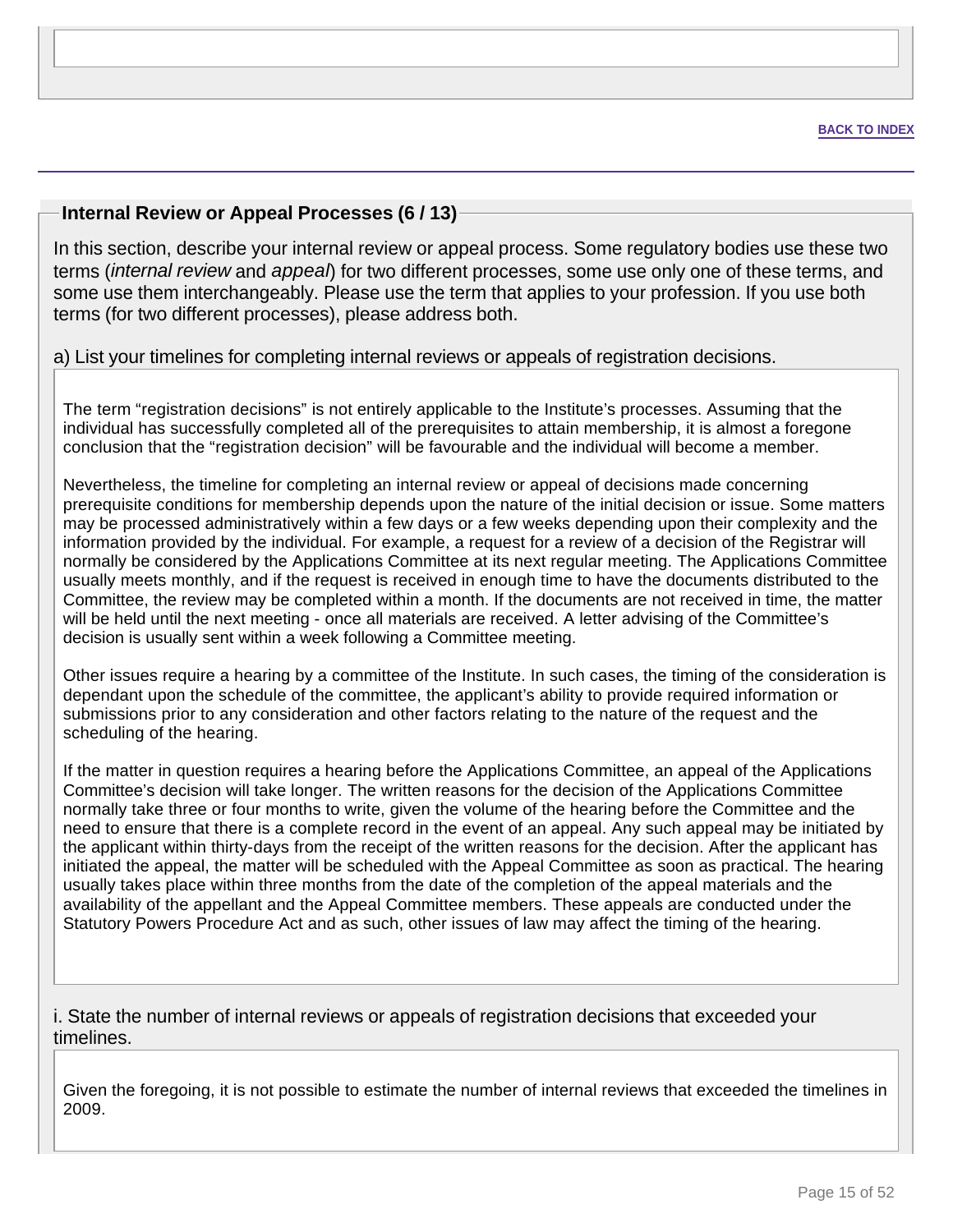### **Internal Review or Appeal Processes (6 / 13)**

In this section, describe your internal review or appeal process. Some regulatory bodies use these two terms (*internal review* and appeal) for two different processes, some use only one of these terms, and some use them interchangeably. Please use the term that applies to your profession. If you use both terms (for two different processes), please address both.

#### a) List your timelines for completing internal reviews or appeals of registration decisions.

The term "registration decisions" is not entirely applicable to the Institute's processes. Assuming that the individual has successfully completed all of the prerequisites to attain membership, it is almost a foregone conclusion that the "registration decision" will be favourable and the individual will become a member.

Nevertheless, the timeline for completing an internal review or appeal of decisions made concerning prerequisite conditions for membership depends upon the nature of the initial decision or issue. Some matters may be processed administratively within a few days or a few weeks depending upon their complexity and the information provided by the individual. For example, a request for a review of a decision of the Registrar will normally be considered by the Applications Committee at its next regular meeting. The Applications Committee usually meets monthly, and if the request is received in enough time to have the documents distributed to the Committee, the review may be completed within a month. If the documents are not received in time, the matter will be held until the next meeting - once all materials are received. A letter advising of the Committee's decision is usually sent within a week following a Committee meeting.

Other issues require a hearing by a committee of the Institute. In such cases, the timing of the consideration is dependant upon the schedule of the committee, the applicant's ability to provide required information or submissions prior to any consideration and other factors relating to the nature of the request and the scheduling of the hearing.

If the matter in question requires a hearing before the Applications Committee, an appeal of the Applications Committee's decision will take longer. The written reasons for the decision of the Applications Committee normally take three or four months to write, given the volume of the hearing before the Committee and the need to ensure that there is a complete record in the event of an appeal. Any such appeal may be initiated by the applicant within thirty-days from the receipt of the written reasons for the decision. After the applicant has initiated the appeal, the matter will be scheduled with the Appeal Committee as soon as practical. The hearing usually takes place within three months from the date of the completion of the appeal materials and the availability of the appellant and the Appeal Committee members. These appeals are conducted under the Statutory Powers Procedure Act and as such, other issues of law may affect the timing of the hearing.

i. State the number of internal reviews or appeals of registration decisions that exceeded your timelines.

Given the foregoing, it is not possible to estimate the number of internal reviews that exceeded the timelines in 2009.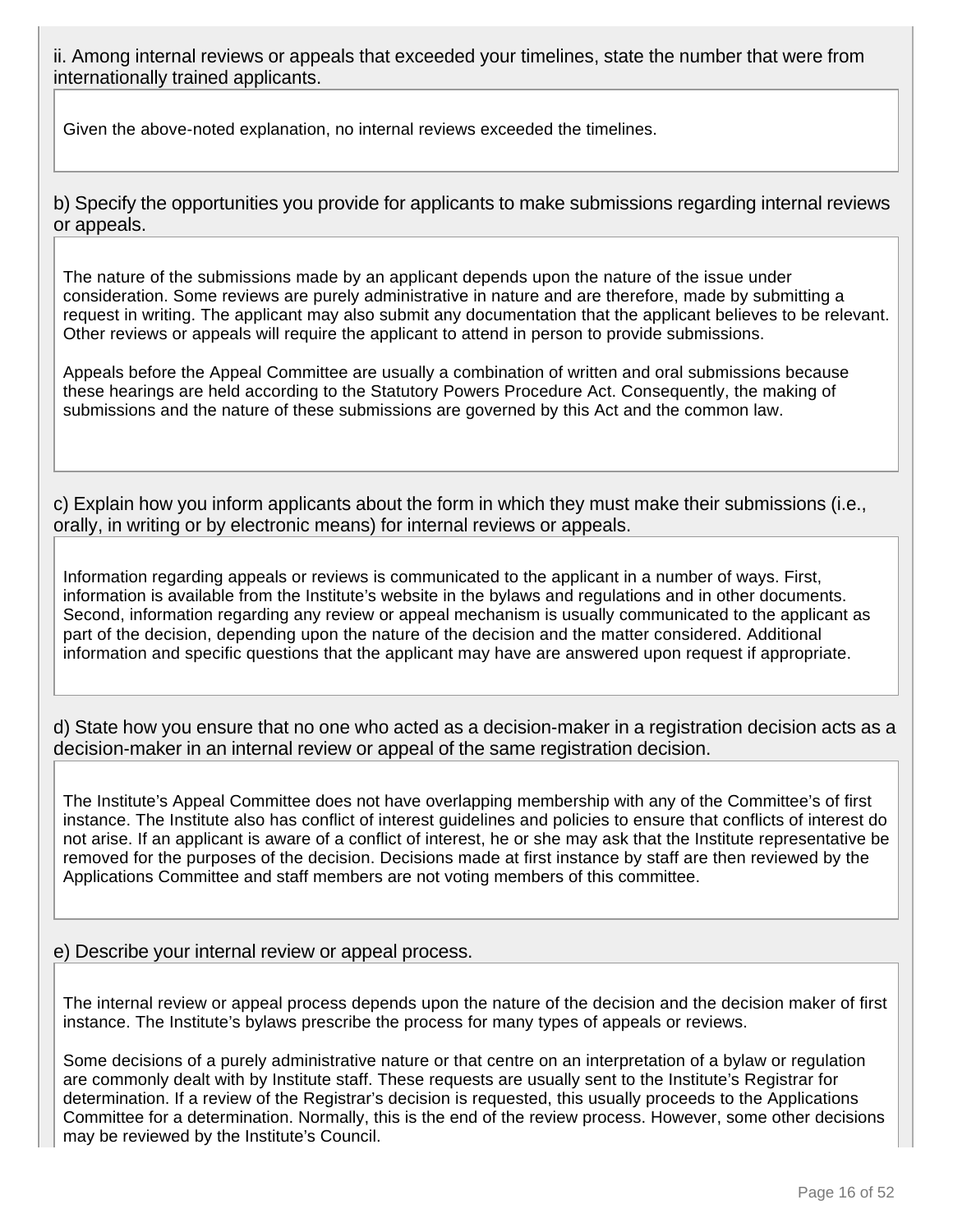ii. Among internal reviews or appeals that exceeded your timelines, state the number that were from internationally trained applicants.

Given the above-noted explanation, no internal reviews exceeded the timelines.

b) Specify the opportunities you provide for applicants to make submissions regarding internal reviews or appeals.

The nature of the submissions made by an applicant depends upon the nature of the issue under consideration. Some reviews are purely administrative in nature and are therefore, made by submitting a request in writing. The applicant may also submit any documentation that the applicant believes to be relevant. Other reviews or appeals will require the applicant to attend in person to provide submissions.

Appeals before the Appeal Committee are usually a combination of written and oral submissions because these hearings are held according to the Statutory Powers Procedure Act. Consequently, the making of submissions and the nature of these submissions are governed by this Act and the common law.

c) Explain how you inform applicants about the form in which they must make their submissions (i.e., orally, in writing or by electronic means) for internal reviews or appeals.

Information regarding appeals or reviews is communicated to the applicant in a number of ways. First, information is available from the Institute's website in the bylaws and regulations and in other documents. Second, information regarding any review or appeal mechanism is usually communicated to the applicant as part of the decision, depending upon the nature of the decision and the matter considered. Additional information and specific questions that the applicant may have are answered upon request if appropriate.

d) State how you ensure that no one who acted as a decision-maker in a registration decision acts as a decision-maker in an internal review or appeal of the same registration decision.

The Institute's Appeal Committee does not have overlapping membership with any of the Committee's of first instance. The Institute also has conflict of interest guidelines and policies to ensure that conflicts of interest do not arise. If an applicant is aware of a conflict of interest, he or she may ask that the Institute representative be removed for the purposes of the decision. Decisions made at first instance by staff are then reviewed by the Applications Committee and staff members are not voting members of this committee.

#### e) Describe your internal review or appeal process.

The internal review or appeal process depends upon the nature of the decision and the decision maker of first instance. The Institute's bylaws prescribe the process for many types of appeals or reviews.

Some decisions of a purely administrative nature or that centre on an interpretation of a bylaw or regulation are commonly dealt with by Institute staff. These requests are usually sent to the Institute's Registrar for determination. If a review of the Registrar's decision is requested, this usually proceeds to the Applications Committee for a determination. Normally, this is the end of the review process. However, some other decisions may be reviewed by the Institute's Council.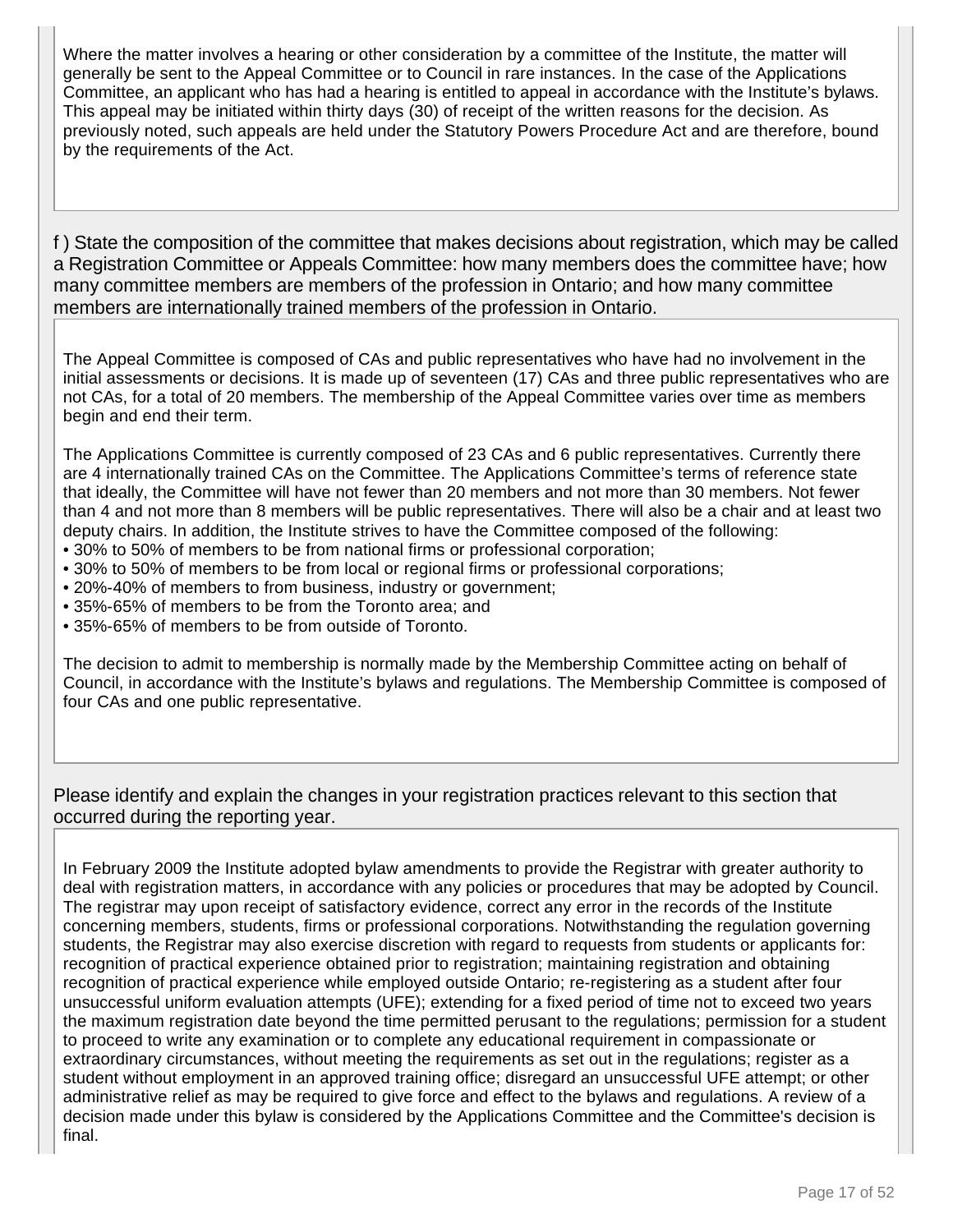Where the matter involves a hearing or other consideration by a committee of the Institute, the matter will generally be sent to the Appeal Committee or to Council in rare instances. In the case of the Applications Committee, an applicant who has had a hearing is entitled to appeal in accordance with the Institute's bylaws. This appeal may be initiated within thirty days (30) of receipt of the written reasons for the decision. As previously noted, such appeals are held under the Statutory Powers Procedure Act and are therefore, bound by the requirements of the Act.

f ) State the composition of the committee that makes decisions about registration, which may be called a Registration Committee or Appeals Committee: how many members does the committee have; how many committee members are members of the profession in Ontario; and how many committee members are internationally trained members of the profession in Ontario.

The Appeal Committee is composed of CAs and public representatives who have had no involvement in the initial assessments or decisions. It is made up of seventeen (17) CAs and three public representatives who are not CAs, for a total of 20 members. The membership of the Appeal Committee varies over time as members begin and end their term.

The Applications Committee is currently composed of 23 CAs and 6 public representatives. Currently there are 4 internationally trained CAs on the Committee. The Applications Committee's terms of reference state that ideally, the Committee will have not fewer than 20 members and not more than 30 members. Not fewer than 4 and not more than 8 members will be public representatives. There will also be a chair and at least two deputy chairs. In addition, the Institute strives to have the Committee composed of the following:

- 30% to 50% of members to be from national firms or professional corporation;
- 30% to 50% of members to be from local or regional firms or professional corporations;
- 20%-40% of members to from business, industry or government;
- 35%-65% of members to be from the Toronto area; and
- 35%-65% of members to be from outside of Toronto.

The decision to admit to membership is normally made by the Membership Committee acting on behalf of Council, in accordance with the Institute's bylaws and regulations. The Membership Committee is composed of four CAs and one public representative.

Please identify and explain the changes in your registration practices relevant to this section that occurred during the reporting year.

In February 2009 the Institute adopted bylaw amendments to provide the Registrar with greater authority to deal with registration matters, in accordance with any policies or procedures that may be adopted by Council. The registrar may upon receipt of satisfactory evidence, correct any error in the records of the Institute concerning members, students, firms or professional corporations. Notwithstanding the regulation governing students, the Registrar may also exercise discretion with regard to requests from students or applicants for: recognition of practical experience obtained prior to registration; maintaining registration and obtaining recognition of practical experience while employed outside Ontario; re-registering as a student after four unsuccessful uniform evaluation attempts (UFE); extending for a fixed period of time not to exceed two years the maximum registration date beyond the time permitted perusant to the regulations; permission for a student to proceed to write any examination or to complete any educational requirement in compassionate or extraordinary circumstances, without meeting the requirements as set out in the regulations; register as a student without employment in an approved training office; disregard an unsuccessful UFE attempt; or other administrative relief as may be required to give force and effect to the bylaws and regulations. A review of a decision made under this bylaw is considered by the Applications Committee and the Committee's decision is final.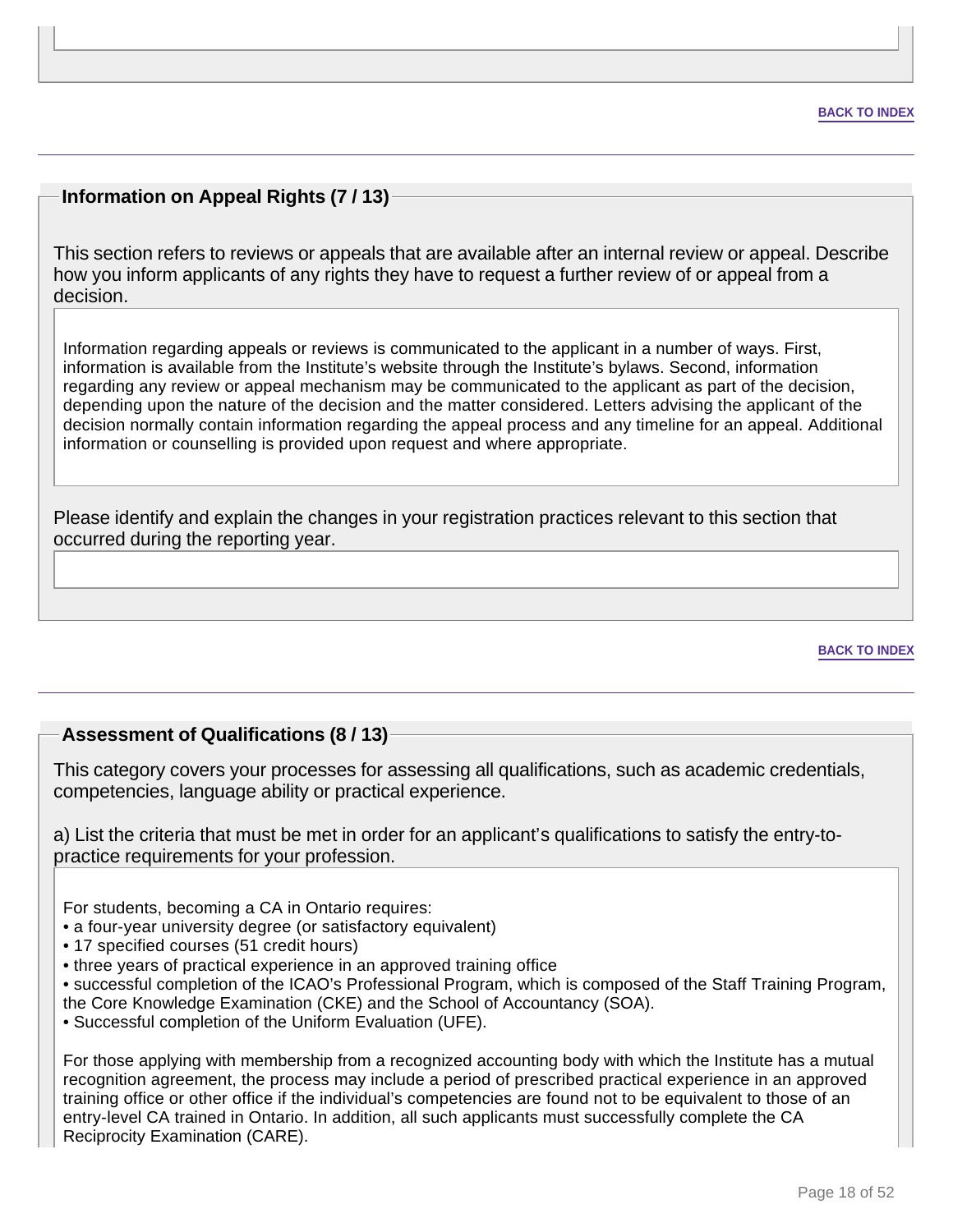### **Information on Appeal Rights (7 / 13)**

This section refers to reviews or appeals that are available after an internal review or appeal. Describe how you inform applicants of any rights they have to request a further review of or appeal from a decision.

Information regarding appeals or reviews is communicated to the applicant in a number of ways. First, information is available from the Institute's website through the Institute's bylaws. Second, information regarding any review or appeal mechanism may be communicated to the applicant as part of the decision, depending upon the nature of the decision and the matter considered. Letters advising the applicant of the decision normally contain information regarding the appeal process and any timeline for an appeal. Additional information or counselling is provided upon request and where appropriate.

Please identify and explain the changes in your registration practices relevant to this section that occurred during the reporting year.

**BACK TO INDEX**

#### **Assessment of Qualifications (8 / 13)**

This category covers your processes for assessing all qualifications, such as academic credentials, competencies, language ability or practical experience.

a) List the criteria that must be met in order for an applicant's qualifications to satisfy the entry-topractice requirements for your profession.

For students, becoming a CA in Ontario requires:

- a four-year university degree (or satisfactory equivalent)
- 17 specified courses (51 credit hours)
- three years of practical experience in an approved training office
- successful completion of the ICAO's Professional Program, which is composed of the Staff Training Program,
- the Core Knowledge Examination (CKE) and the School of Accountancy (SOA).
- Successful completion of the Uniform Evaluation (UFE).

For those applying with membership from a recognized accounting body with which the Institute has a mutual recognition agreement, the process may include a period of prescribed practical experience in an approved training office or other office if the individual's competencies are found not to be equivalent to those of an entry-level CA trained in Ontario. In addition, all such applicants must successfully complete the CA Reciprocity Examination (CARE).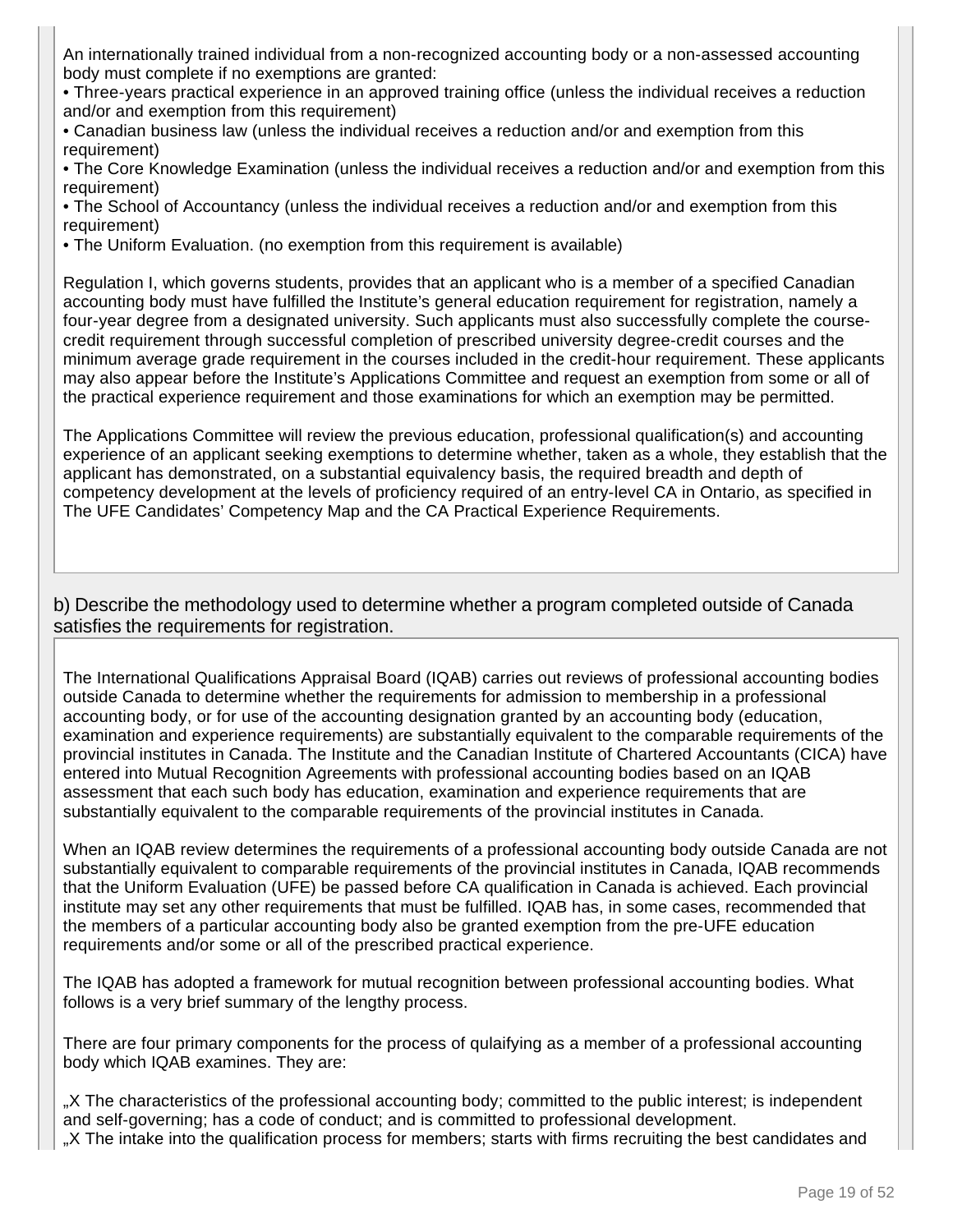An internationally trained individual from a non-recognized accounting body or a non-assessed accounting body must complete if no exemptions are granted:

• Three-years practical experience in an approved training office (unless the individual receives a reduction and/or and exemption from this requirement)

• Canadian business law (unless the individual receives a reduction and/or and exemption from this requirement)

• The Core Knowledge Examination (unless the individual receives a reduction and/or and exemption from this requirement)

• The School of Accountancy (unless the individual receives a reduction and/or and exemption from this requirement)

• The Uniform Evaluation. (no exemption from this requirement is available)

Regulation I, which governs students, provides that an applicant who is a member of a specified Canadian accounting body must have fulfilled the Institute's general education requirement for registration, namely a four-year degree from a designated university. Such applicants must also successfully complete the coursecredit requirement through successful completion of prescribed university degree-credit courses and the minimum average grade requirement in the courses included in the credit-hour requirement. These applicants may also appear before the Institute's Applications Committee and request an exemption from some or all of the practical experience requirement and those examinations for which an exemption may be permitted.

The Applications Committee will review the previous education, professional qualification(s) and accounting experience of an applicant seeking exemptions to determine whether, taken as a whole, they establish that the applicant has demonstrated, on a substantial equivalency basis, the required breadth and depth of competency development at the levels of proficiency required of an entry-level CA in Ontario, as specified in The UFE Candidates' Competency Map and the CA Practical Experience Requirements.

b) Describe the methodology used to determine whether a program completed outside of Canada satisfies the requirements for registration.

The International Qualifications Appraisal Board (IQAB) carries out reviews of professional accounting bodies outside Canada to determine whether the requirements for admission to membership in a professional accounting body, or for use of the accounting designation granted by an accounting body (education, examination and experience requirements) are substantially equivalent to the comparable requirements of the provincial institutes in Canada. The Institute and the Canadian Institute of Chartered Accountants (CICA) have entered into Mutual Recognition Agreements with professional accounting bodies based on an IQAB assessment that each such body has education, examination and experience requirements that are substantially equivalent to the comparable requirements of the provincial institutes in Canada.

When an IQAB review determines the requirements of a professional accounting body outside Canada are not substantially equivalent to comparable requirements of the provincial institutes in Canada, IQAB recommends that the Uniform Evaluation (UFE) be passed before CA qualification in Canada is achieved. Each provincial institute may set any other requirements that must be fulfilled. IQAB has, in some cases, recommended that the members of a particular accounting body also be granted exemption from the pre-UFE education requirements and/or some or all of the prescribed practical experience.

The IQAB has adopted a framework for mutual recognition between professional accounting bodies. What follows is a very brief summary of the lengthy process.

There are four primary components for the process of qulaifying as a member of a professional accounting body which IQAB examines. They are:

"X The characteristics of the professional accounting body; committed to the public interest; is independent and self-governing; has a code of conduct; and is committed to professional development. "X The intake into the qualification process for members; starts with firms recruiting the best candidates and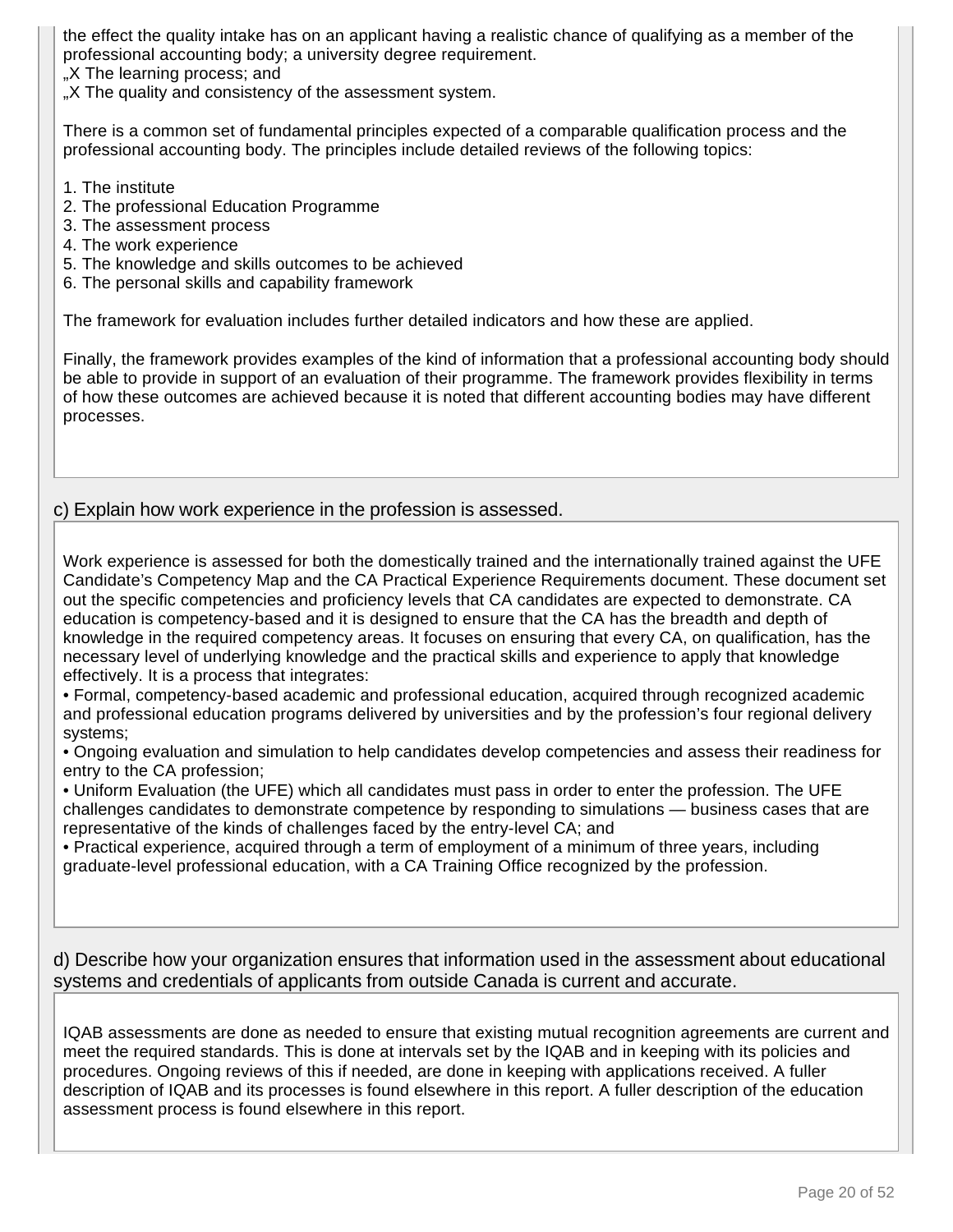the effect the quality intake has on an applicant having a realistic chance of qualifying as a member of the professional accounting body; a university degree requirement.

"X The learning process; and

"X The quality and consistency of the assessment system.

There is a common set of fundamental principles expected of a comparable qualification process and the professional accounting body. The principles include detailed reviews of the following topics:

- 1. The institute
- 2. The professional Education Programme
- 3. The assessment process
- 4. The work experience
- 5. The knowledge and skills outcomes to be achieved
- 6. The personal skills and capability framework

The framework for evaluation includes further detailed indicators and how these are applied.

Finally, the framework provides examples of the kind of information that a professional accounting body should be able to provide in support of an evaluation of their programme. The framework provides flexibility in terms of how these outcomes are achieved because it is noted that different accounting bodies may have different processes.

### c) Explain how work experience in the profession is assessed.

Work experience is assessed for both the domestically trained and the internationally trained against the UFE Candidate's Competency Map and the CA Practical Experience Requirements document. These document set out the specific competencies and proficiency levels that CA candidates are expected to demonstrate. CA education is competency-based and it is designed to ensure that the CA has the breadth and depth of knowledge in the required competency areas. It focuses on ensuring that every CA, on qualification, has the necessary level of underlying knowledge and the practical skills and experience to apply that knowledge effectively. It is a process that integrates:

• Formal, competency-based academic and professional education, acquired through recognized academic and professional education programs delivered by universities and by the profession's four regional delivery systems;

• Ongoing evaluation and simulation to help candidates develop competencies and assess their readiness for entry to the CA profession;

• Uniform Evaluation (the UFE) which all candidates must pass in order to enter the profession. The UFE challenges candidates to demonstrate competence by responding to simulations — business cases that are representative of the kinds of challenges faced by the entry-level CA; and

• Practical experience, acquired through a term of employment of a minimum of three years, including graduate-level professional education, with a CA Training Office recognized by the profession.

#### d) Describe how your organization ensures that information used in the assessment about educational systems and credentials of applicants from outside Canada is current and accurate.

IQAB assessments are done as needed to ensure that existing mutual recognition agreements are current and meet the required standards. This is done at intervals set by the IQAB and in keeping with its policies and procedures. Ongoing reviews of this if needed, are done in keeping with applications received. A fuller description of IQAB and its processes is found elsewhere in this report. A fuller description of the education assessment process is found elsewhere in this report.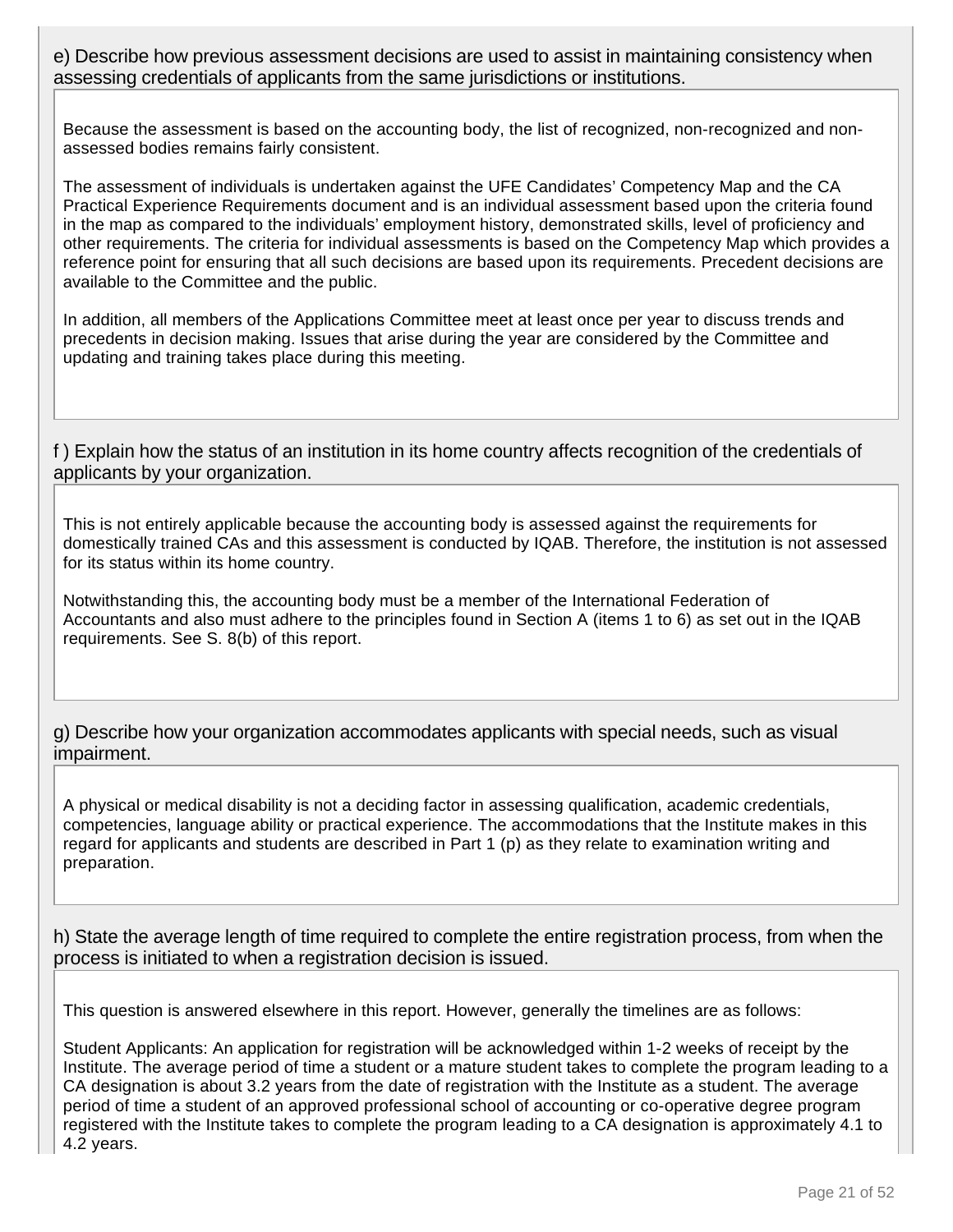e) Describe how previous assessment decisions are used to assist in maintaining consistency when assessing credentials of applicants from the same jurisdictions or institutions.

Because the assessment is based on the accounting body, the list of recognized, non-recognized and nonassessed bodies remains fairly consistent.

The assessment of individuals is undertaken against the UFE Candidates' Competency Map and the CA Practical Experience Requirements document and is an individual assessment based upon the criteria found in the map as compared to the individuals' employment history, demonstrated skills, level of proficiency and other requirements. The criteria for individual assessments is based on the Competency Map which provides a reference point for ensuring that all such decisions are based upon its requirements. Precedent decisions are available to the Committee and the public.

In addition, all members of the Applications Committee meet at least once per year to discuss trends and precedents in decision making. Issues that arise during the year are considered by the Committee and updating and training takes place during this meeting.

f ) Explain how the status of an institution in its home country affects recognition of the credentials of applicants by your organization.

This is not entirely applicable because the accounting body is assessed against the requirements for domestically trained CAs and this assessment is conducted by IQAB. Therefore, the institution is not assessed for its status within its home country.

Notwithstanding this, the accounting body must be a member of the International Federation of Accountants and also must adhere to the principles found in Section A (items 1 to 6) as set out in the IQAB requirements. See S. 8(b) of this report.

g) Describe how your organization accommodates applicants with special needs, such as visual impairment.

A physical or medical disability is not a deciding factor in assessing qualification, academic credentials, competencies, language ability or practical experience. The accommodations that the Institute makes in this regard for applicants and students are described in Part 1 (p) as they relate to examination writing and preparation.

h) State the average length of time required to complete the entire registration process, from when the process is initiated to when a registration decision is issued.

This question is answered elsewhere in this report. However, generally the timelines are as follows:

Student Applicants: An application for registration will be acknowledged within 1-2 weeks of receipt by the Institute. The average period of time a student or a mature student takes to complete the program leading to a CA designation is about 3.2 years from the date of registration with the Institute as a student. The average period of time a student of an approved professional school of accounting or co-operative degree program registered with the Institute takes to complete the program leading to a CA designation is approximately 4.1 to 4.2 years.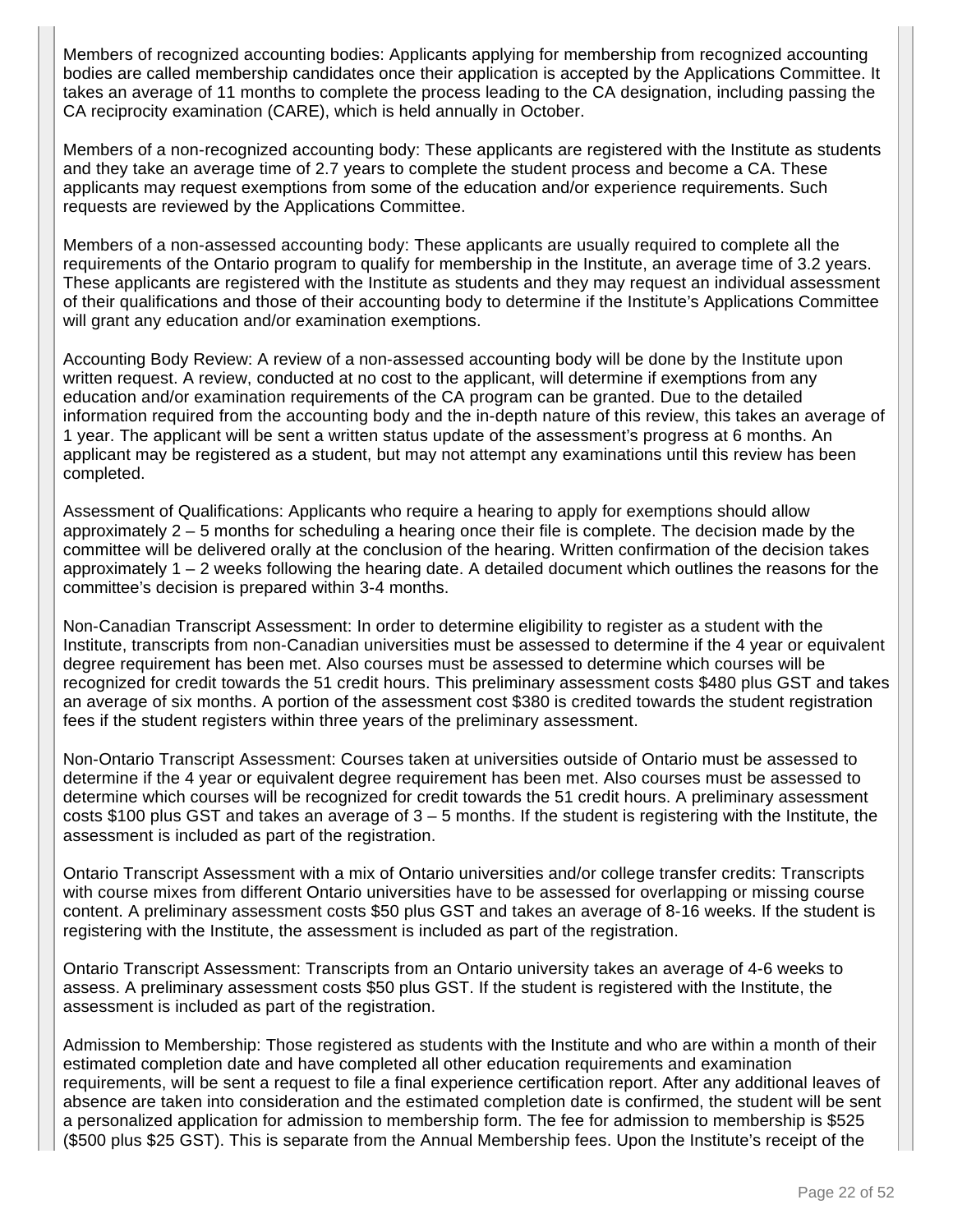Members of recognized accounting bodies: Applicants applying for membership from recognized accounting bodies are called membership candidates once their application is accepted by the Applications Committee. It takes an average of 11 months to complete the process leading to the CA designation, including passing the CA reciprocity examination (CARE), which is held annually in October.

Members of a non-recognized accounting body: These applicants are registered with the Institute as students and they take an average time of 2.7 years to complete the student process and become a CA. These applicants may request exemptions from some of the education and/or experience requirements. Such requests are reviewed by the Applications Committee.

Members of a non-assessed accounting body: These applicants are usually required to complete all the requirements of the Ontario program to qualify for membership in the Institute, an average time of 3.2 years. These applicants are registered with the Institute as students and they may request an individual assessment of their qualifications and those of their accounting body to determine if the Institute's Applications Committee will grant any education and/or examination exemptions.

Accounting Body Review: A review of a non-assessed accounting body will be done by the Institute upon written request. A review, conducted at no cost to the applicant, will determine if exemptions from any education and/or examination requirements of the CA program can be granted. Due to the detailed information required from the accounting body and the in-depth nature of this review, this takes an average of 1 year. The applicant will be sent a written status update of the assessment's progress at 6 months. An applicant may be registered as a student, but may not attempt any examinations until this review has been completed.

Assessment of Qualifications: Applicants who require a hearing to apply for exemptions should allow approximately 2 – 5 months for scheduling a hearing once their file is complete. The decision made by the committee will be delivered orally at the conclusion of the hearing. Written confirmation of the decision takes approximately 1 – 2 weeks following the hearing date. A detailed document which outlines the reasons for the committee's decision is prepared within 3-4 months.

Non-Canadian Transcript Assessment: In order to determine eligibility to register as a student with the Institute, transcripts from non-Canadian universities must be assessed to determine if the 4 year or equivalent degree requirement has been met. Also courses must be assessed to determine which courses will be recognized for credit towards the 51 credit hours. This preliminary assessment costs \$480 plus GST and takes an average of six months. A portion of the assessment cost \$380 is credited towards the student registration fees if the student registers within three years of the preliminary assessment.

Non-Ontario Transcript Assessment: Courses taken at universities outside of Ontario must be assessed to determine if the 4 year or equivalent degree requirement has been met. Also courses must be assessed to determine which courses will be recognized for credit towards the 51 credit hours. A preliminary assessment costs \$100 plus GST and takes an average of 3 – 5 months. If the student is registering with the Institute, the assessment is included as part of the registration.

Ontario Transcript Assessment with a mix of Ontario universities and/or college transfer credits: Transcripts with course mixes from different Ontario universities have to be assessed for overlapping or missing course content. A preliminary assessment costs \$50 plus GST and takes an average of 8-16 weeks. If the student is registering with the Institute, the assessment is included as part of the registration.

Ontario Transcript Assessment: Transcripts from an Ontario university takes an average of 4-6 weeks to assess. A preliminary assessment costs \$50 plus GST. If the student is registered with the Institute, the assessment is included as part of the registration.

Admission to Membership: Those registered as students with the Institute and who are within a month of their estimated completion date and have completed all other education requirements and examination requirements, will be sent a request to file a final experience certification report. After any additional leaves of absence are taken into consideration and the estimated completion date is confirmed, the student will be sent a personalized application for admission to membership form. The fee for admission to membership is \$525 (\$500 plus \$25 GST). This is separate from the Annual Membership fees. Upon the Institute's receipt of the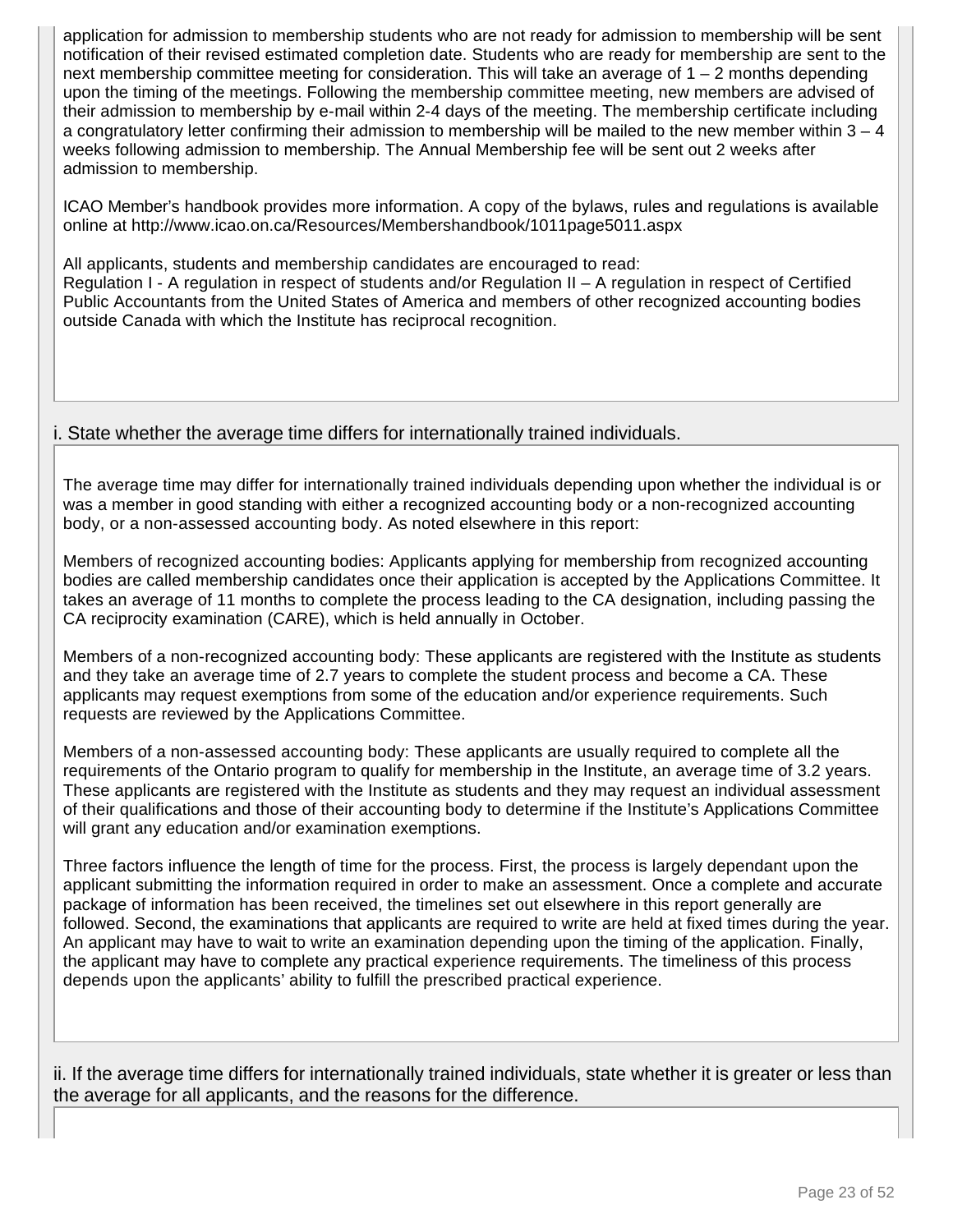application for admission to membership students who are not ready for admission to membership will be sent notification of their revised estimated completion date. Students who are ready for membership are sent to the next membership committee meeting for consideration. This will take an average of 1 – 2 months depending upon the timing of the meetings. Following the membership committee meeting, new members are advised of their admission to membership by e-mail within 2-4 days of the meeting. The membership certificate including a congratulatory letter confirming their admission to membership will be mailed to the new member within  $3 - 4$ weeks following admission to membership. The Annual Membership fee will be sent out 2 weeks after admission to membership.

ICAO Member's handbook provides more information. A copy of the bylaws, rules and regulations is available online at http://www.icao.on.ca/Resources/Membershandbook/1011page5011.aspx

All applicants, students and membership candidates are encouraged to read: Regulation I - A regulation in respect of students and/or Regulation II – A regulation in respect of Certified Public Accountants from the United States of America and members of other recognized accounting bodies outside Canada with which the Institute has reciprocal recognition.

### i. State whether the average time differs for internationally trained individuals.

The average time may differ for internationally trained individuals depending upon whether the individual is or was a member in good standing with either a recognized accounting body or a non-recognized accounting body, or a non-assessed accounting body. As noted elsewhere in this report:

Members of recognized accounting bodies: Applicants applying for membership from recognized accounting bodies are called membership candidates once their application is accepted by the Applications Committee. It takes an average of 11 months to complete the process leading to the CA designation, including passing the CA reciprocity examination (CARE), which is held annually in October.

Members of a non-recognized accounting body: These applicants are registered with the Institute as students and they take an average time of 2.7 years to complete the student process and become a CA. These applicants may request exemptions from some of the education and/or experience requirements. Such requests are reviewed by the Applications Committee.

Members of a non-assessed accounting body: These applicants are usually required to complete all the requirements of the Ontario program to qualify for membership in the Institute, an average time of 3.2 years. These applicants are registered with the Institute as students and they may request an individual assessment of their qualifications and those of their accounting body to determine if the Institute's Applications Committee will grant any education and/or examination exemptions.

Three factors influence the length of time for the process. First, the process is largely dependant upon the applicant submitting the information required in order to make an assessment. Once a complete and accurate package of information has been received, the timelines set out elsewhere in this report generally are followed. Second, the examinations that applicants are required to write are held at fixed times during the year. An applicant may have to wait to write an examination depending upon the timing of the application. Finally, the applicant may have to complete any practical experience requirements. The timeliness of this process depends upon the applicants' ability to fulfill the prescribed practical experience.

ii. If the average time differs for internationally trained individuals, state whether it is greater or less than the average for all applicants, and the reasons for the difference.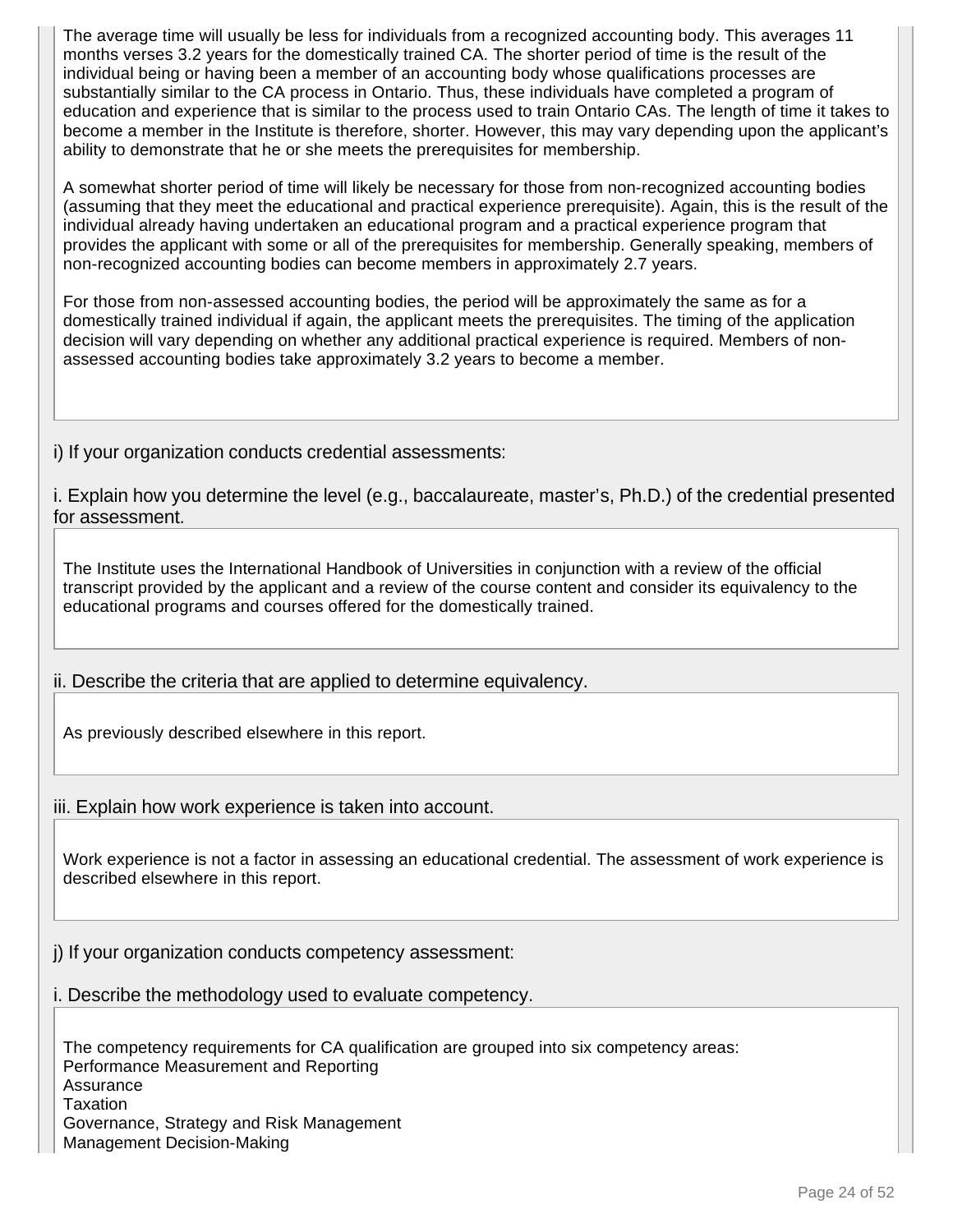The average time will usually be less for individuals from a recognized accounting body. This averages 11 months verses 3.2 years for the domestically trained CA. The shorter period of time is the result of the individual being or having been a member of an accounting body whose qualifications processes are substantially similar to the CA process in Ontario. Thus, these individuals have completed a program of education and experience that is similar to the process used to train Ontario CAs. The length of time it takes to become a member in the Institute is therefore, shorter. However, this may vary depending upon the applicant's ability to demonstrate that he or she meets the prerequisites for membership.

A somewhat shorter period of time will likely be necessary for those from non-recognized accounting bodies (assuming that they meet the educational and practical experience prerequisite). Again, this is the result of the individual already having undertaken an educational program and a practical experience program that provides the applicant with some or all of the prerequisites for membership. Generally speaking, members of non-recognized accounting bodies can become members in approximately 2.7 years.

For those from non-assessed accounting bodies, the period will be approximately the same as for a domestically trained individual if again, the applicant meets the prerequisites. The timing of the application decision will vary depending on whether any additional practical experience is required. Members of nonassessed accounting bodies take approximately 3.2 years to become a member.

i) If your organization conducts credential assessments:

i. Explain how you determine the level (e.g., baccalaureate, master's, Ph.D.) of the credential presented for assessment.

The Institute uses the International Handbook of Universities in conjunction with a review of the official transcript provided by the applicant and a review of the course content and consider its equivalency to the educational programs and courses offered for the domestically trained.

ii. Describe the criteria that are applied to determine equivalency.

As previously described elsewhere in this report.

iii. Explain how work experience is taken into account.

Work experience is not a factor in assessing an educational credential. The assessment of work experience is described elsewhere in this report.

j) If your organization conducts competency assessment:

i. Describe the methodology used to evaluate competency.

The competency requirements for CA qualification are grouped into six competency areas: Performance Measurement and Reporting **Assurance** Taxation Governance, Strategy and Risk Management Management Decision-Making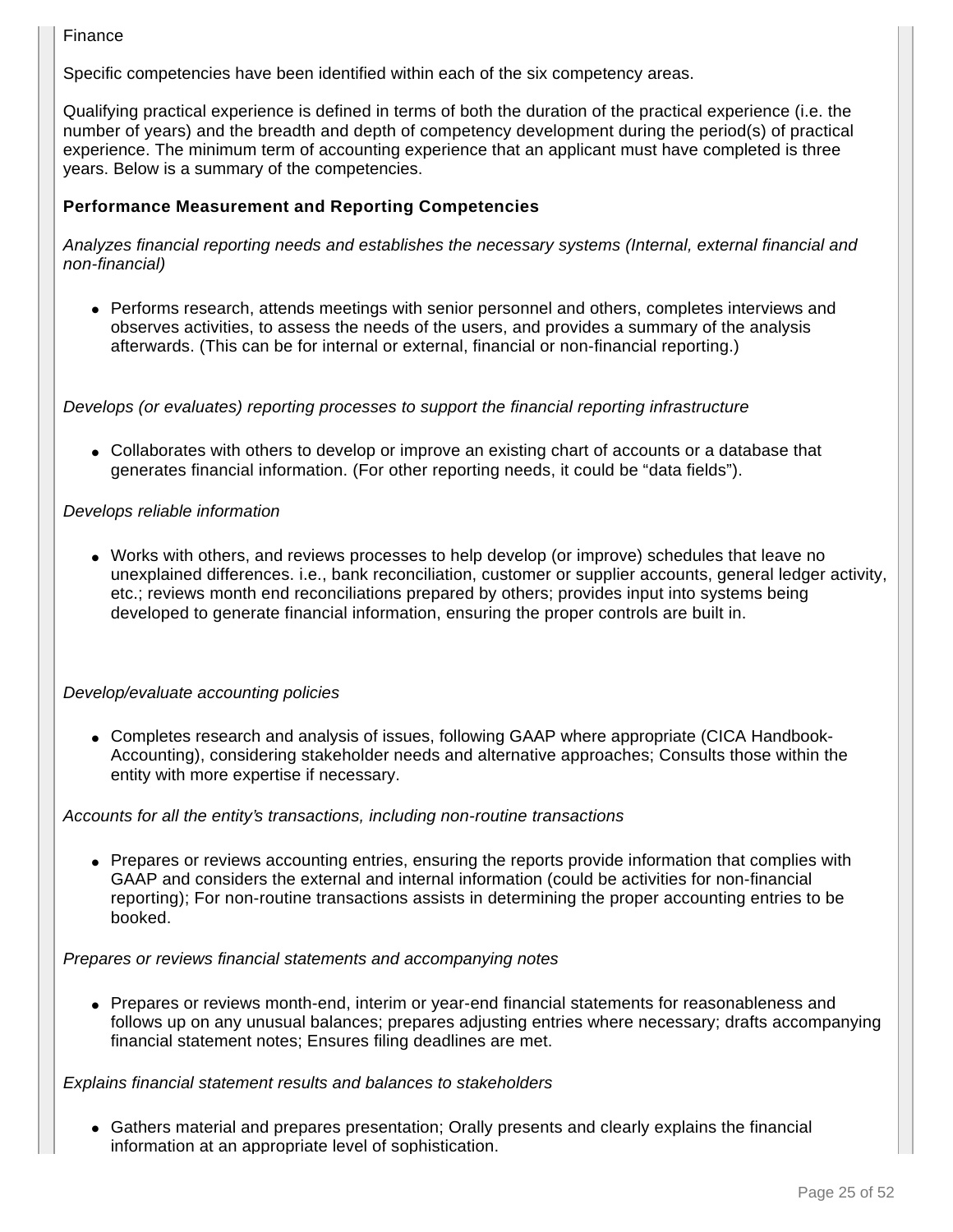#### Finance

Specific competencies have been identified within each of the six competency areas.

Qualifying practical experience is defined in terms of both the duration of the practical experience (i.e. the number of years) and the breadth and depth of competency development during the period(s) of practical experience. The minimum term of accounting experience that an applicant must have completed is three years. Below is a summary of the competencies.

#### **Performance Measurement and Reporting Competencies**

Analyzes financial reporting needs and establishes the necessary systems (Internal, external financial and non-financial)

• Performs research, attends meetings with senior personnel and others, completes interviews and observes activities, to assess the needs of the users, and provides a summary of the analysis afterwards. (This can be for internal or external, financial or non-financial reporting.)

Develops (or evaluates) reporting processes to support the financial reporting infrastructure

• Collaborates with others to develop or improve an existing chart of accounts or a database that generates financial information. (For other reporting needs, it could be "data fields").

#### Develops reliable information

• Works with others, and reviews processes to help develop (or improve) schedules that leave no unexplained differences. i.e., bank reconciliation, customer or supplier accounts, general ledger activity, etc.; reviews month end reconciliations prepared by others; provides input into systems being developed to generate financial information, ensuring the proper controls are built in.

#### Develop/evaluate accounting policies

• Completes research and analysis of issues, following GAAP where appropriate (CICA Handbook-Accounting), considering stakeholder needs and alternative approaches; Consults those within the entity with more expertise if necessary.

#### Accounts for all the entity's transactions, including non-routine transactions

• Prepares or reviews accounting entries, ensuring the reports provide information that complies with GAAP and considers the external and internal information (could be activities for non-financial reporting); For non-routine transactions assists in determining the proper accounting entries to be booked.

#### Prepares or reviews financial statements and accompanying notes

• Prepares or reviews month-end, interim or year-end financial statements for reasonableness and follows up on any unusual balances; prepares adjusting entries where necessary; drafts accompanying financial statement notes; Ensures filing deadlines are met.

#### Explains financial statement results and balances to stakeholders

● Gathers material and prepares presentation; Orally presents and clearly explains the financial information at an appropriate level of sophistication.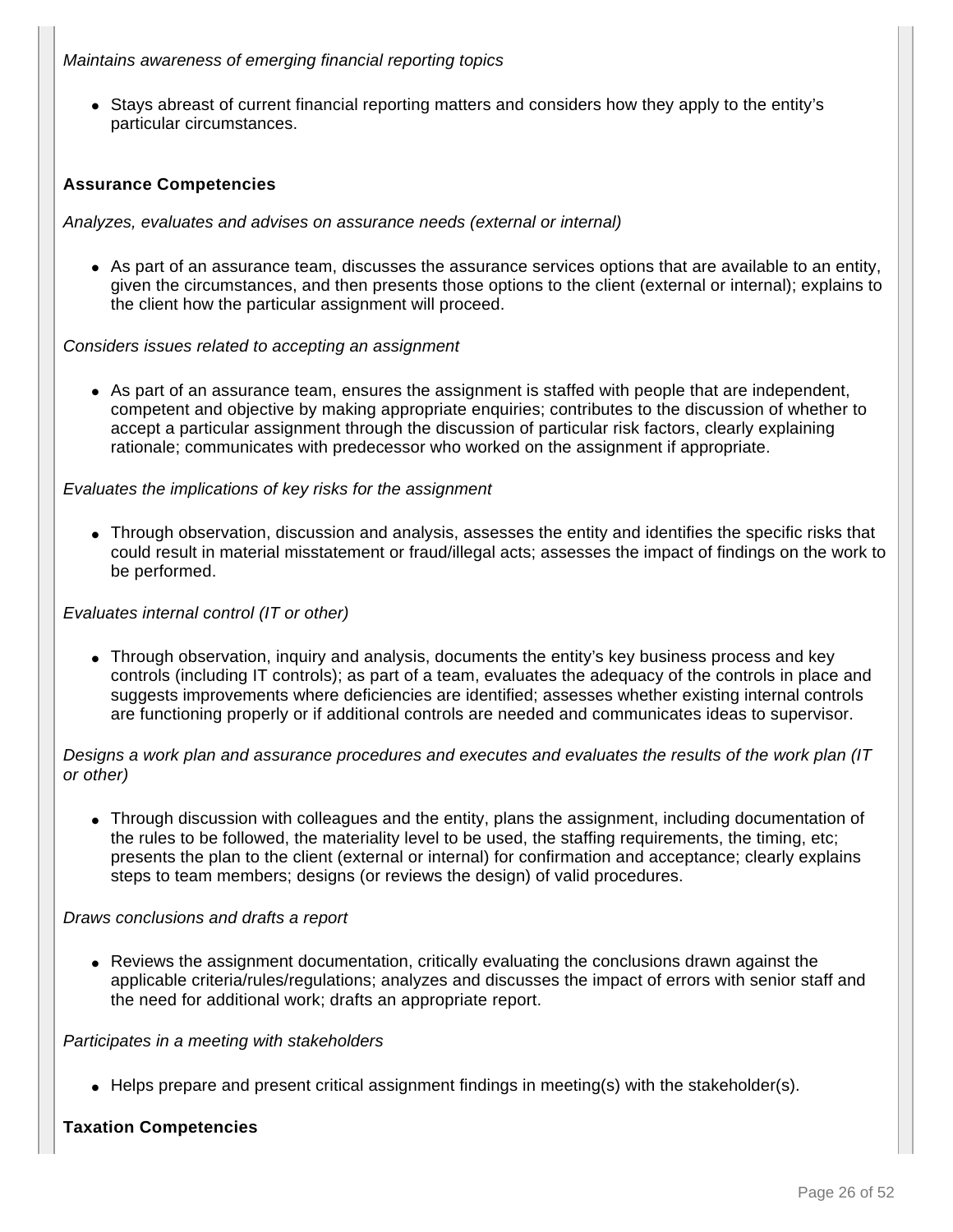Maintains awareness of emerging financial reporting topics

• Stays abreast of current financial reporting matters and considers how they apply to the entity's particular circumstances.

#### **Assurance Competencies**

Analyzes, evaluates and advises on assurance needs (external or internal)

• As part of an assurance team, discusses the assurance services options that are available to an entity, given the circumstances, and then presents those options to the client (external or internal); explains to the client how the particular assignment will proceed.

Considers issues related to accepting an assignment

• As part of an assurance team, ensures the assignment is staffed with people that are independent, competent and objective by making appropriate enquiries; contributes to the discussion of whether to accept a particular assignment through the discussion of particular risk factors, clearly explaining rationale; communicates with predecessor who worked on the assignment if appropriate.

#### Evaluates the implications of key risks for the assignment

• Through observation, discussion and analysis, assesses the entity and identifies the specific risks that could result in material misstatement or fraud/illegal acts; assesses the impact of findings on the work to be performed.

#### Evaluates internal control (IT or other)

• Through observation, inquiry and analysis, documents the entity's key business process and key controls (including IT controls); as part of a team, evaluates the adequacy of the controls in place and suggests improvements where deficiencies are identified; assesses whether existing internal controls are functioning properly or if additional controls are needed and communicates ideas to supervisor.

Designs a work plan and assurance procedures and executes and evaluates the results of the work plan (IT or other)

• Through discussion with colleagues and the entity, plans the assignment, including documentation of the rules to be followed, the materiality level to be used, the staffing requirements, the timing, etc; presents the plan to the client (external or internal) for confirmation and acceptance; clearly explains steps to team members; designs (or reviews the design) of valid procedures.

#### Draws conclusions and drafts a report

• Reviews the assignment documentation, critically evaluating the conclusions drawn against the applicable criteria/rules/regulations; analyzes and discusses the impact of errors with senior staff and the need for additional work; drafts an appropriate report.

#### Participates in a meeting with stakeholders

• Helps prepare and present critical assignment findings in meeting(s) with the stakeholder(s).

#### **Taxation Competencies**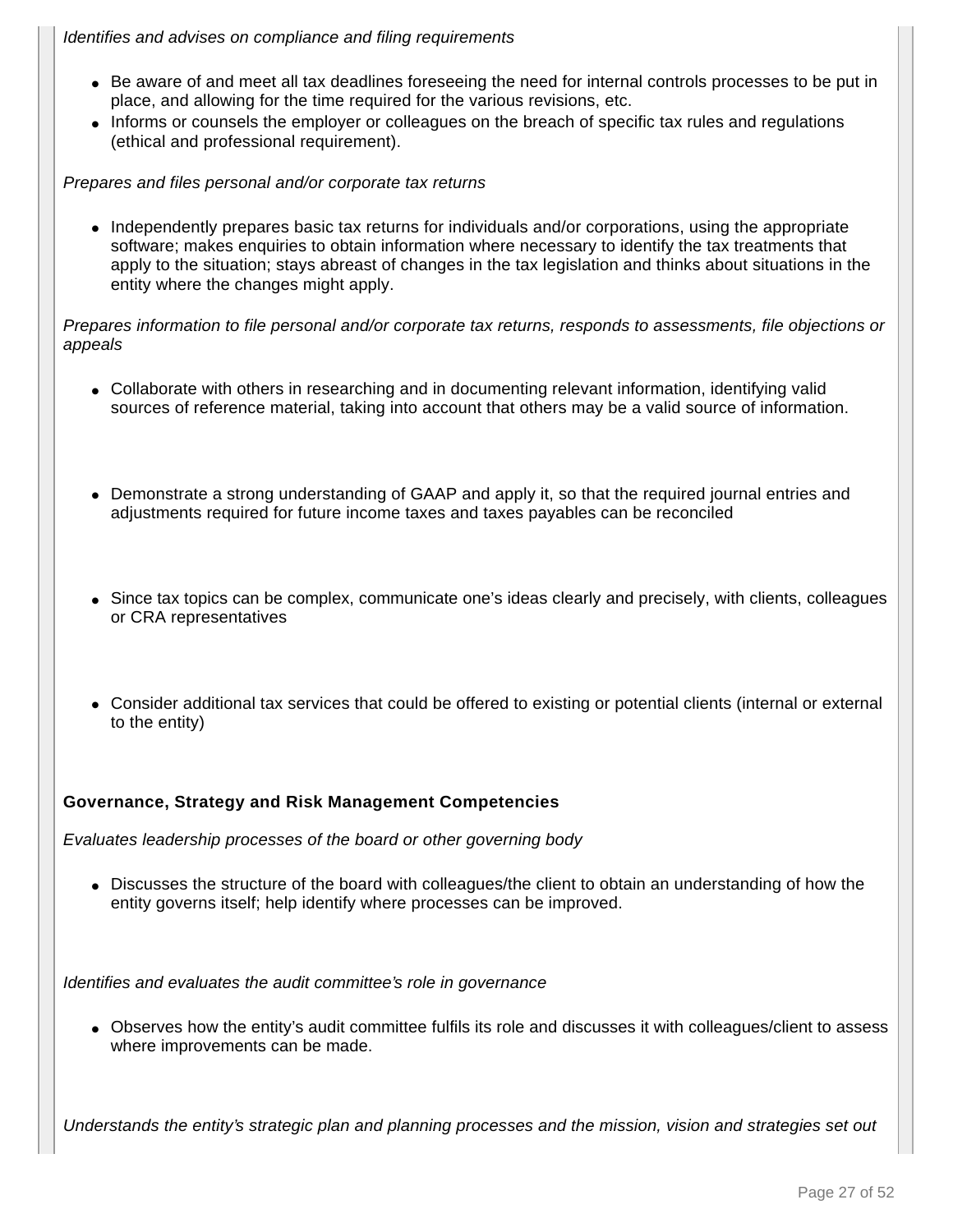#### Identifies and advises on compliance and filing requirements

- Be aware of and meet all tax deadlines foreseeing the need for internal controls processes to be put in place, and allowing for the time required for the various revisions, etc.
- Informs or counsels the employer or colleagues on the breach of specific tax rules and regulations (ethical and professional requirement).

Prepares and files personal and/or corporate tax returns

• Independently prepares basic tax returns for individuals and/or corporations, using the appropriate software; makes enquiries to obtain information where necessary to identify the tax treatments that apply to the situation; stays abreast of changes in the tax legislation and thinks about situations in the entity where the changes might apply.

Prepares information to file personal and/or corporate tax returns, responds to assessments, file objections or appeals

- Collaborate with others in researching and in documenting relevant information, identifying valid sources of reference material, taking into account that others may be a valid source of information.
- Demonstrate a strong understanding of GAAP and apply it, so that the required journal entries and adjustments required for future income taxes and taxes payables can be reconciled
- Since tax topics can be complex, communicate one's ideas clearly and precisely, with clients, colleagues or CRA representatives
- Consider additional tax services that could be offered to existing or potential clients (internal or external to the entity)

#### **Governance, Strategy and Risk Management Competencies**

Evaluates leadership processes of the board or other governing body

• Discusses the structure of the board with colleagues/the client to obtain an understanding of how the entity governs itself; help identify where processes can be improved.

Identifies and evaluates the audit committee's role in governance

● Observes how the entity's audit committee fulfils its role and discusses it with colleagues/client to assess where improvements can be made.

Understands the entity's strategic plan and planning processes and the mission, vision and strategies set out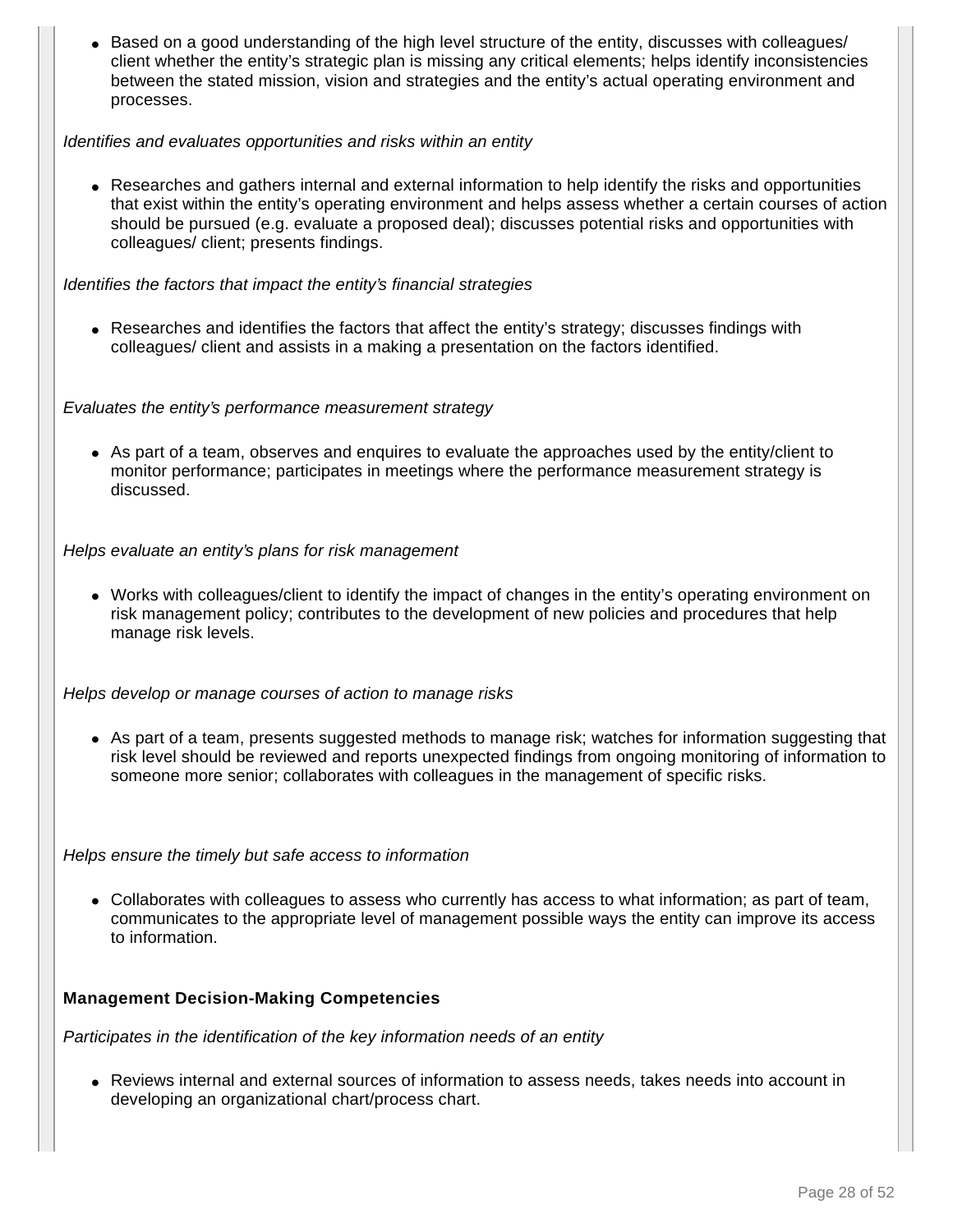• Based on a good understanding of the high level structure of the entity, discusses with colleagues/ client whether the entity's strategic plan is missing any critical elements; helps identify inconsistencies between the stated mission, vision and strategies and the entity's actual operating environment and processes.

#### Identifies and evaluates opportunities and risks within an entity

• Researches and gathers internal and external information to help identify the risks and opportunities that exist within the entity's operating environment and helps assess whether a certain courses of action should be pursued (e.g. evaluate a proposed deal); discusses potential risks and opportunities with colleagues/ client; presents findings.

#### Identifies the factors that impact the entity's financial strategies

• Researches and identifies the factors that affect the entity's strategy; discusses findings with colleagues/ client and assists in a making a presentation on the factors identified.

#### Evaluates the entity's performance measurement strategy

• As part of a team, observes and enquires to evaluate the approaches used by the entity/client to monitor performance; participates in meetings where the performance measurement strategy is discussed.

#### Helps evaluate an entity's plans for risk management

• Works with colleagues/client to identify the impact of changes in the entity's operating environment on risk management policy; contributes to the development of new policies and procedures that help manage risk levels.

Helps develop or manage courses of action to manage risks

• As part of a team, presents suggested methods to manage risk; watches for information suggesting that risk level should be reviewed and reports unexpected findings from ongoing monitoring of information to someone more senior; collaborates with colleagues in the management of specific risks.

Helps ensure the timely but safe access to information

• Collaborates with colleagues to assess who currently has access to what information; as part of team, communicates to the appropriate level of management possible ways the entity can improve its access to information.

#### **Management Decision-Making Competencies**

Participates in the identification of the key information needs of an entity

• Reviews internal and external sources of information to assess needs, takes needs into account in developing an organizational chart/process chart.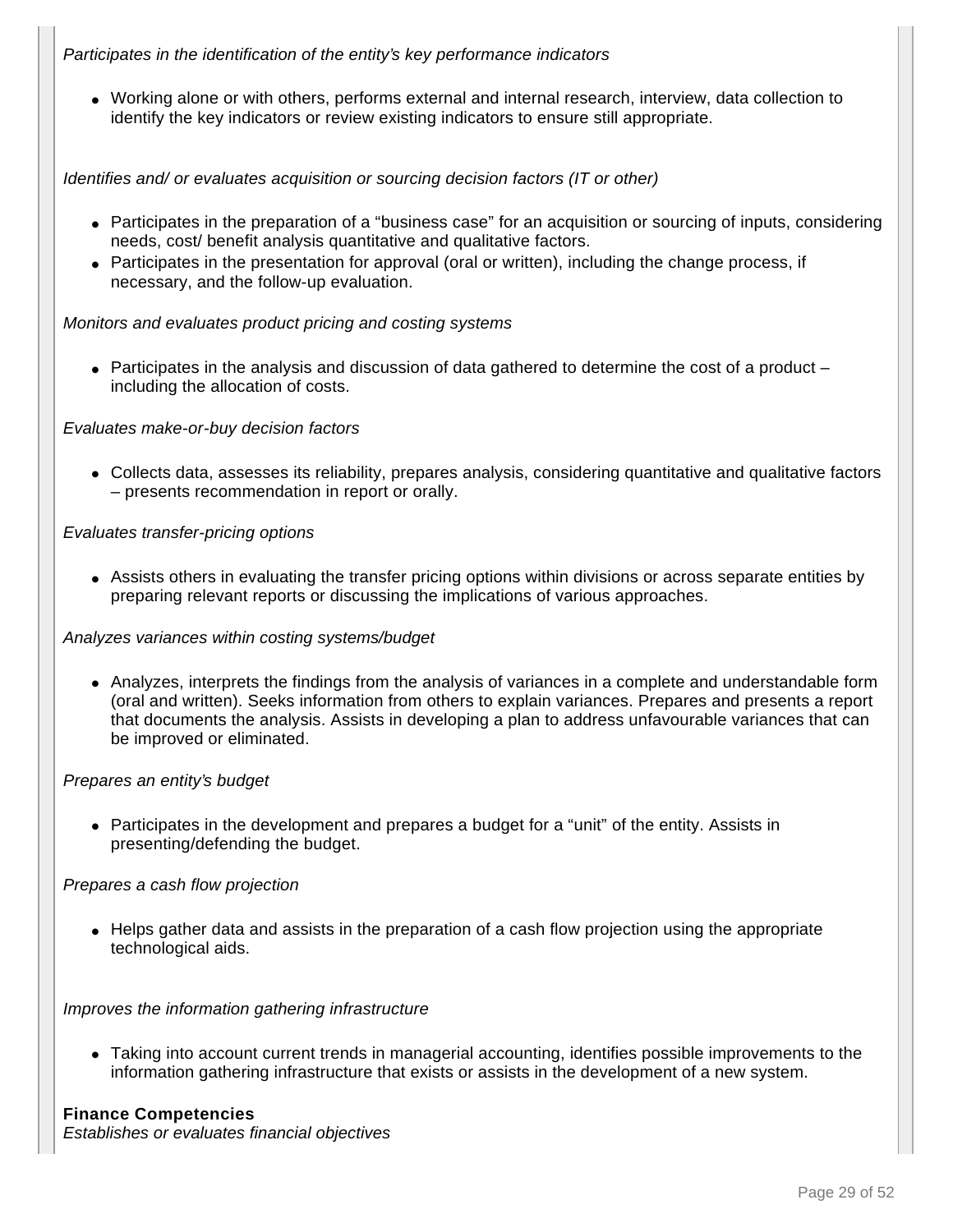#### Participates in the identification of the entity's key performance indicators

● Working alone or with others, performs external and internal research, interview, data collection to identify the key indicators or review existing indicators to ensure still appropriate.

Identifies and/ or evaluates acquisition or sourcing decision factors (IT or other)

- Participates in the preparation of a "business case" for an acquisition or sourcing of inputs, considering needs, cost/ benefit analysis quantitative and qualitative factors.
- Participates in the presentation for approval (oral or written), including the change process, if necessary, and the follow-up evaluation.

#### Monitors and evaluates product pricing and costing systems

• Participates in the analysis and discussion of data gathered to determine the cost of a product – including the allocation of costs.

#### Evaluates make-or-buy decision factors

• Collects data, assesses its reliability, prepares analysis, considering quantitative and qualitative factors – presents recommendation in report or orally.

#### Evaluates transfer-pricing options

• Assists others in evaluating the transfer pricing options within divisions or across separate entities by preparing relevant reports or discussing the implications of various approaches.

#### Analyzes variances within costing systems/budget

● Analyzes, interprets the findings from the analysis of variances in a complete and understandable form (oral and written). Seeks information from others to explain variances. Prepares and presents a report that documents the analysis. Assists in developing a plan to address unfavourable variances that can be improved or eliminated.

#### Prepares an entity's budget

• Participates in the development and prepares a budget for a "unit" of the entity. Assists in presenting/defending the budget.

#### Prepares a cash flow projection

• Helps gather data and assists in the preparation of a cash flow projection using the appropriate technological aids.

#### Improves the information gathering infrastructure

• Taking into account current trends in managerial accounting, identifies possible improvements to the information gathering infrastructure that exists or assists in the development of a new system.

#### **Finance Competencies**

Establishes or evaluates financial objectives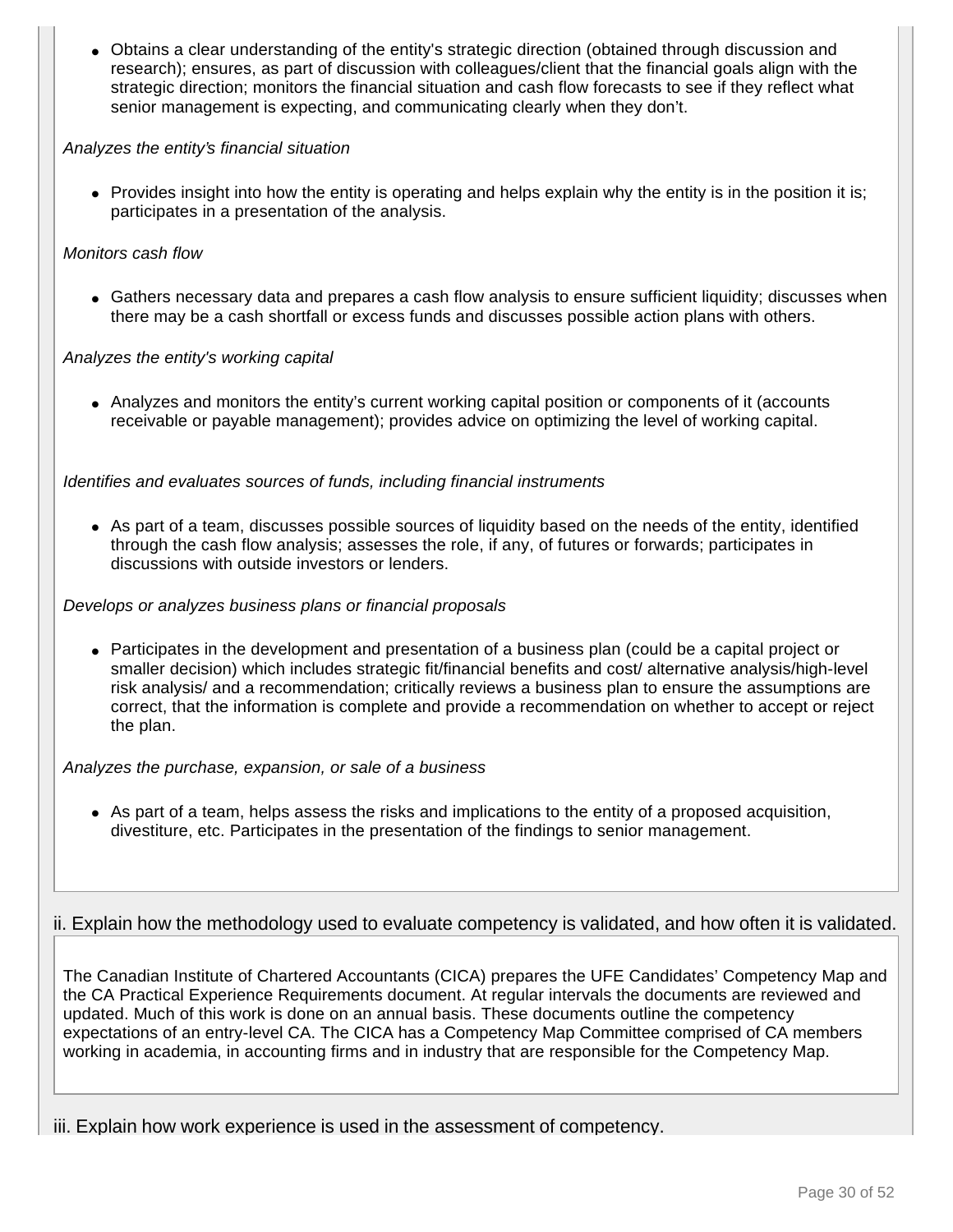• Obtains a clear understanding of the entity's strategic direction (obtained through discussion and research); ensures, as part of discussion with colleagues/client that the financial goals align with the strategic direction; monitors the financial situation and cash flow forecasts to see if they reflect what senior management is expecting, and communicating clearly when they don't.

#### Analyzes the entity's financial situation

• Provides insight into how the entity is operating and helps explain why the entity is in the position it is; participates in a presentation of the analysis.

#### Monitors cash flow

• Gathers necessary data and prepares a cash flow analysis to ensure sufficient liquidity; discusses when there may be a cash shortfall or excess funds and discusses possible action plans with others.

#### Analyzes the entity's working capital

• Analyzes and monitors the entity's current working capital position or components of it (accounts receivable or payable management); provides advice on optimizing the level of working capital.

#### Identifies and evaluates sources of funds, including financial instruments

• As part of a team, discusses possible sources of liquidity based on the needs of the entity, identified through the cash flow analysis; assesses the role, if any, of futures or forwards; participates in discussions with outside investors or lenders.

#### Develops or analyzes business plans or financial proposals

• Participates in the development and presentation of a business plan (could be a capital project or smaller decision) which includes strategic fit/financial benefits and cost/ alternative analysis/high-level risk analysis/ and a recommendation; critically reviews a business plan to ensure the assumptions are correct, that the information is complete and provide a recommendation on whether to accept or reject the plan.

#### Analyzes the purchase, expansion, or sale of a business

• As part of a team, helps assess the risks and implications to the entity of a proposed acquisition, divestiture, etc. Participates in the presentation of the findings to senior management.

#### ii. Explain how the methodology used to evaluate competency is validated, and how often it is validated.

The Canadian Institute of Chartered Accountants (CICA) prepares the UFE Candidates' Competency Map and the CA Practical Experience Requirements document. At regular intervals the documents are reviewed and updated. Much of this work is done on an annual basis. These documents outline the competency expectations of an entry-level CA. The CICA has a Competency Map Committee comprised of CA members working in academia, in accounting firms and in industry that are responsible for the Competency Map.

iii. Explain how work experience is used in the assessment of competency.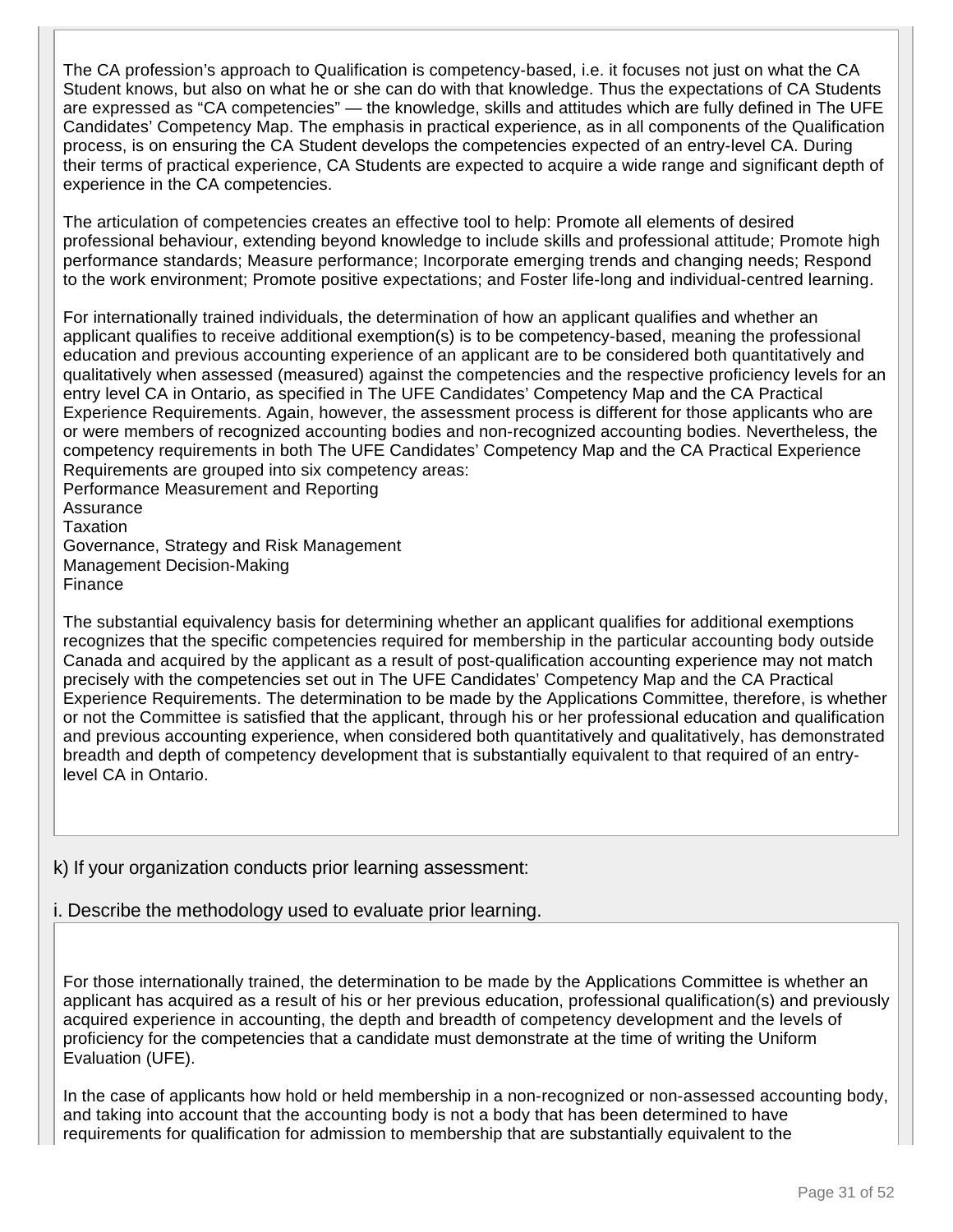The CA profession's approach to Qualification is competency-based, i.e. it focuses not just on what the CA Student knows, but also on what he or she can do with that knowledge. Thus the expectations of CA Students are expressed as "CA competencies" — the knowledge, skills and attitudes which are fully defined in The UFE Candidates' Competency Map. The emphasis in practical experience, as in all components of the Qualification process, is on ensuring the CA Student develops the competencies expected of an entry-level CA. During their terms of practical experience, CA Students are expected to acquire a wide range and significant depth of experience in the CA competencies.

The articulation of competencies creates an effective tool to help: Promote all elements of desired professional behaviour, extending beyond knowledge to include skills and professional attitude; Promote high performance standards; Measure performance; Incorporate emerging trends and changing needs; Respond to the work environment; Promote positive expectations; and Foster life-long and individual-centred learning.

For internationally trained individuals, the determination of how an applicant qualifies and whether an applicant qualifies to receive additional exemption(s) is to be competency-based, meaning the professional education and previous accounting experience of an applicant are to be considered both quantitatively and qualitatively when assessed (measured) against the competencies and the respective proficiency levels for an entry level CA in Ontario, as specified in The UFE Candidates' Competency Map and the CA Practical Experience Requirements. Again, however, the assessment process is different for those applicants who are or were members of recognized accounting bodies and non-recognized accounting bodies. Nevertheless, the competency requirements in both The UFE Candidates' Competency Map and the CA Practical Experience Requirements are grouped into six competency areas:

Performance Measurement and Reporting **Assurance Taxation** Governance, Strategy and Risk Management Management Decision-Making Finance

The substantial equivalency basis for determining whether an applicant qualifies for additional exemptions recognizes that the specific competencies required for membership in the particular accounting body outside Canada and acquired by the applicant as a result of post-qualification accounting experience may not match precisely with the competencies set out in The UFE Candidates' Competency Map and the CA Practical Experience Requirements. The determination to be made by the Applications Committee, therefore, is whether or not the Committee is satisfied that the applicant, through his or her professional education and qualification and previous accounting experience, when considered both quantitatively and qualitatively, has demonstrated breadth and depth of competency development that is substantially equivalent to that required of an entrylevel CA in Ontario.

### k) If your organization conducts prior learning assessment:

i. Describe the methodology used to evaluate prior learning.

For those internationally trained, the determination to be made by the Applications Committee is whether an applicant has acquired as a result of his or her previous education, professional qualification(s) and previously acquired experience in accounting, the depth and breadth of competency development and the levels of proficiency for the competencies that a candidate must demonstrate at the time of writing the Uniform Evaluation (UFE).

In the case of applicants how hold or held membership in a non-recognized or non-assessed accounting body, and taking into account that the accounting body is not a body that has been determined to have requirements for qualification for admission to membership that are substantially equivalent to the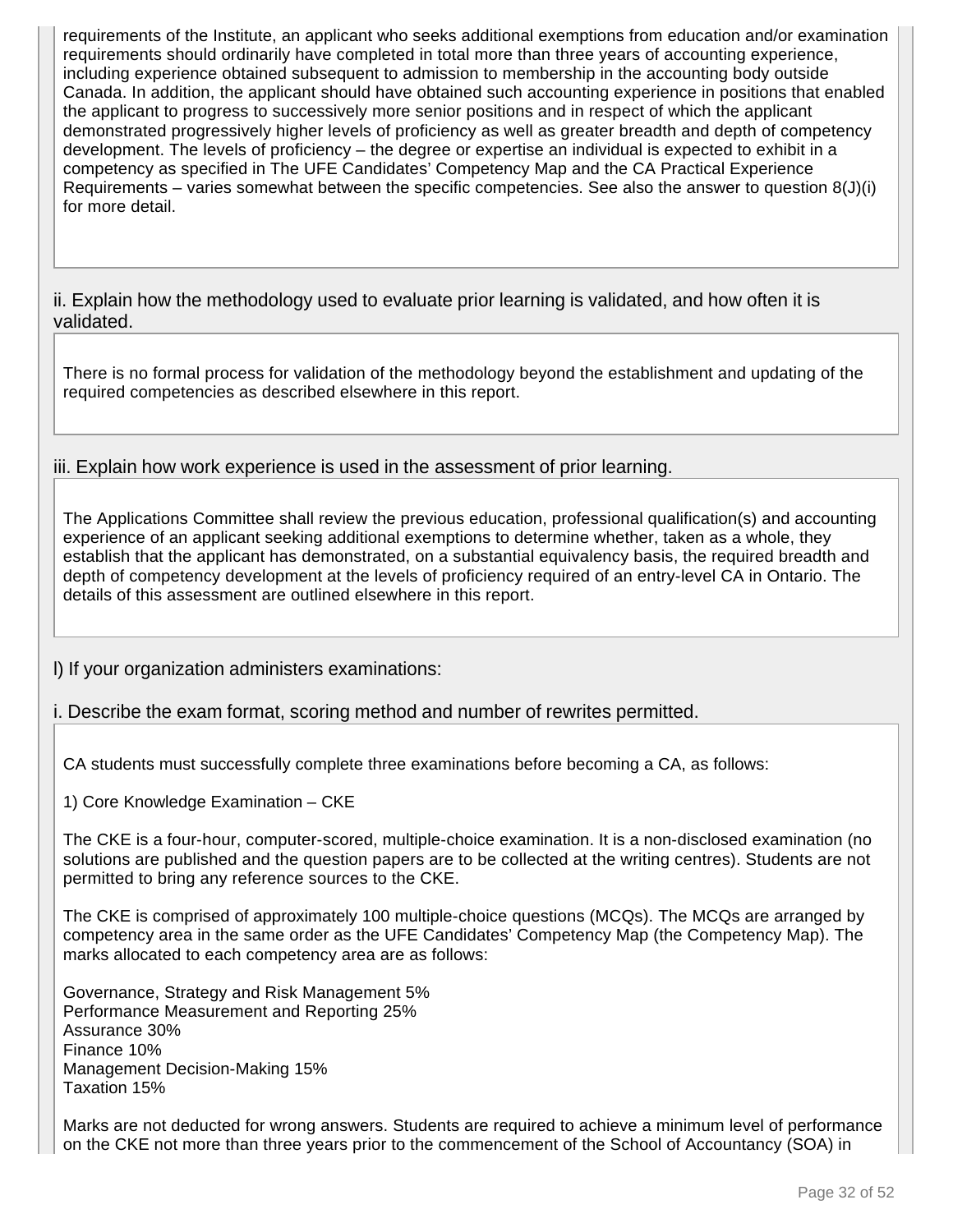requirements of the Institute, an applicant who seeks additional exemptions from education and/or examination requirements should ordinarily have completed in total more than three years of accounting experience, including experience obtained subsequent to admission to membership in the accounting body outside Canada. In addition, the applicant should have obtained such accounting experience in positions that enabled the applicant to progress to successively more senior positions and in respect of which the applicant demonstrated progressively higher levels of proficiency as well as greater breadth and depth of competency development. The levels of proficiency – the degree or expertise an individual is expected to exhibit in a competency as specified in The UFE Candidates' Competency Map and the CA Practical Experience Requirements – varies somewhat between the specific competencies. See also the answer to question 8(J)(i) for more detail.

ii. Explain how the methodology used to evaluate prior learning is validated, and how often it is validated.

There is no formal process for validation of the methodology beyond the establishment and updating of the required competencies as described elsewhere in this report.

iii. Explain how work experience is used in the assessment of prior learning.

The Applications Committee shall review the previous education, professional qualification(s) and accounting experience of an applicant seeking additional exemptions to determine whether, taken as a whole, they establish that the applicant has demonstrated, on a substantial equivalency basis, the required breadth and depth of competency development at the levels of proficiency required of an entry-level CA in Ontario. The details of this assessment are outlined elsewhere in this report.

l) If your organization administers examinations:

i. Describe the exam format, scoring method and number of rewrites permitted.

CA students must successfully complete three examinations before becoming a CA, as follows:

1) Core Knowledge Examination – CKE

The CKE is a four-hour, computer-scored, multiple-choice examination. It is a non-disclosed examination (no solutions are published and the question papers are to be collected at the writing centres). Students are not permitted to bring any reference sources to the CKE.

The CKE is comprised of approximately 100 multiple-choice questions (MCQs). The MCQs are arranged by competency area in the same order as the UFE Candidates' Competency Map (the Competency Map). The marks allocated to each competency area are as follows:

Governance, Strategy and Risk Management 5% Performance Measurement and Reporting 25% Assurance 30% Finance 10% Management Decision-Making 15% Taxation 15%

Marks are not deducted for wrong answers. Students are required to achieve a minimum level of performance on the CKE not more than three years prior to the commencement of the School of Accountancy (SOA) in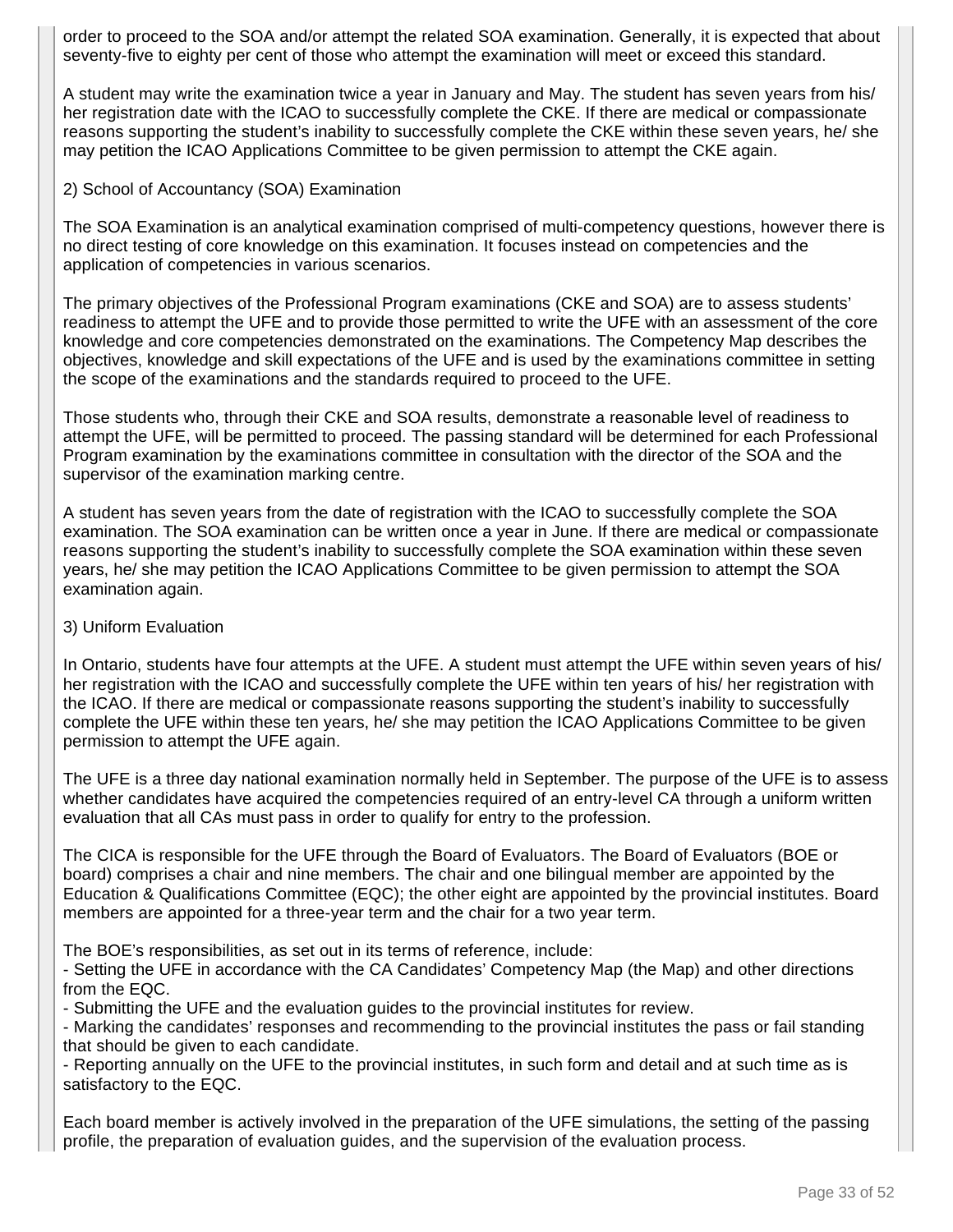order to proceed to the SOA and/or attempt the related SOA examination. Generally, it is expected that about seventy-five to eighty per cent of those who attempt the examination will meet or exceed this standard.

A student may write the examination twice a year in January and May. The student has seven years from his/ her registration date with the ICAO to successfully complete the CKE. If there are medical or compassionate reasons supporting the student's inability to successfully complete the CKE within these seven years, he/ she may petition the ICAO Applications Committee to be given permission to attempt the CKE again.

#### 2) School of Accountancy (SOA) Examination

The SOA Examination is an analytical examination comprised of multi-competency questions, however there is no direct testing of core knowledge on this examination. It focuses instead on competencies and the application of competencies in various scenarios.

The primary objectives of the Professional Program examinations (CKE and SOA) are to assess students' readiness to attempt the UFE and to provide those permitted to write the UFE with an assessment of the core knowledge and core competencies demonstrated on the examinations. The Competency Map describes the objectives, knowledge and skill expectations of the UFE and is used by the examinations committee in setting the scope of the examinations and the standards required to proceed to the UFE.

Those students who, through their CKE and SOA results, demonstrate a reasonable level of readiness to attempt the UFE, will be permitted to proceed. The passing standard will be determined for each Professional Program examination by the examinations committee in consultation with the director of the SOA and the supervisor of the examination marking centre.

A student has seven years from the date of registration with the ICAO to successfully complete the SOA examination. The SOA examination can be written once a year in June. If there are medical or compassionate reasons supporting the student's inability to successfully complete the SOA examination within these seven years, he/ she may petition the ICAO Applications Committee to be given permission to attempt the SOA examination again.

#### 3) Uniform Evaluation

In Ontario, students have four attempts at the UFE. A student must attempt the UFE within seven years of his/ her registration with the ICAO and successfully complete the UFE within ten years of his/ her registration with the ICAO. If there are medical or compassionate reasons supporting the student's inability to successfully complete the UFE within these ten years, he/ she may petition the ICAO Applications Committee to be given permission to attempt the UFE again.

The UFE is a three day national examination normally held in September. The purpose of the UFE is to assess whether candidates have acquired the competencies required of an entry-level CA through a uniform written evaluation that all CAs must pass in order to qualify for entry to the profession.

The CICA is responsible for the UFE through the Board of Evaluators. The Board of Evaluators (BOE or board) comprises a chair and nine members. The chair and one bilingual member are appointed by the Education & Qualifications Committee (EQC); the other eight are appointed by the provincial institutes. Board members are appointed for a three-year term and the chair for a two year term.

The BOE's responsibilities, as set out in its terms of reference, include:

- Setting the UFE in accordance with the CA Candidates' Competency Map (the Map) and other directions from the EQC.

- Submitting the UFE and the evaluation guides to the provincial institutes for review.

- Marking the candidates' responses and recommending to the provincial institutes the pass or fail standing that should be given to each candidate.

- Reporting annually on the UFE to the provincial institutes, in such form and detail and at such time as is satisfactory to the EQC.

Each board member is actively involved in the preparation of the UFE simulations, the setting of the passing profile, the preparation of evaluation guides, and the supervision of the evaluation process.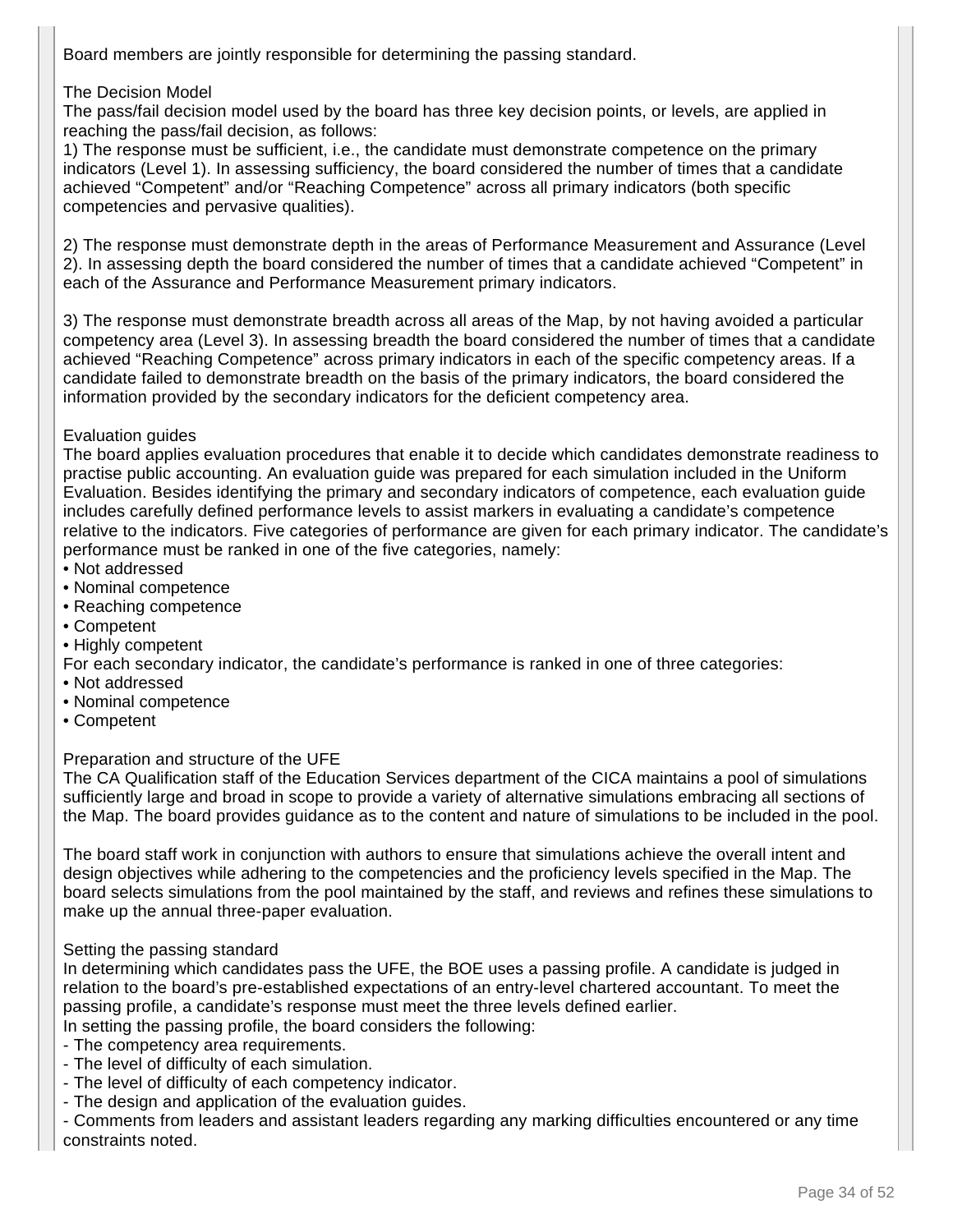Board members are jointly responsible for determining the passing standard.

### The Decision Model

The pass/fail decision model used by the board has three key decision points, or levels, are applied in reaching the pass/fail decision, as follows:

1) The response must be sufficient, i.e., the candidate must demonstrate competence on the primary indicators (Level 1). In assessing sufficiency, the board considered the number of times that a candidate achieved "Competent" and/or "Reaching Competence" across all primary indicators (both specific competencies and pervasive qualities).

2) The response must demonstrate depth in the areas of Performance Measurement and Assurance (Level 2). In assessing depth the board considered the number of times that a candidate achieved "Competent" in each of the Assurance and Performance Measurement primary indicators.

3) The response must demonstrate breadth across all areas of the Map, by not having avoided a particular competency area (Level 3). In assessing breadth the board considered the number of times that a candidate achieved "Reaching Competence" across primary indicators in each of the specific competency areas. If a candidate failed to demonstrate breadth on the basis of the primary indicators, the board considered the information provided by the secondary indicators for the deficient competency area.

#### Evaluation guides

The board applies evaluation procedures that enable it to decide which candidates demonstrate readiness to practise public accounting. An evaluation guide was prepared for each simulation included in the Uniform Evaluation. Besides identifying the primary and secondary indicators of competence, each evaluation guide includes carefully defined performance levels to assist markers in evaluating a candidate's competence relative to the indicators. Five categories of performance are given for each primary indicator. The candidate's performance must be ranked in one of the five categories, namely:

- Not addressed
- Nominal competence
- Reaching competence
- Competent
- Highly competent
- For each secondary indicator, the candidate's performance is ranked in one of three categories:
- Not addressed
- Nominal competence
- Competent

### Preparation and structure of the UFE

The CA Qualification staff of the Education Services department of the CICA maintains a pool of simulations sufficiently large and broad in scope to provide a variety of alternative simulations embracing all sections of the Map. The board provides guidance as to the content and nature of simulations to be included in the pool.

The board staff work in conjunction with authors to ensure that simulations achieve the overall intent and design objectives while adhering to the competencies and the proficiency levels specified in the Map. The board selects simulations from the pool maintained by the staff, and reviews and refines these simulations to make up the annual three-paper evaluation.

#### Setting the passing standard

In determining which candidates pass the UFE, the BOE uses a passing profile. A candidate is judged in relation to the board's pre-established expectations of an entry-level chartered accountant. To meet the passing profile, a candidate's response must meet the three levels defined earlier.

- In setting the passing profile, the board considers the following:
- The competency area requirements.
- The level of difficulty of each simulation.
- The level of difficulty of each competency indicator.
- The design and application of the evaluation guides.

- Comments from leaders and assistant leaders regarding any marking difficulties encountered or any time constraints noted.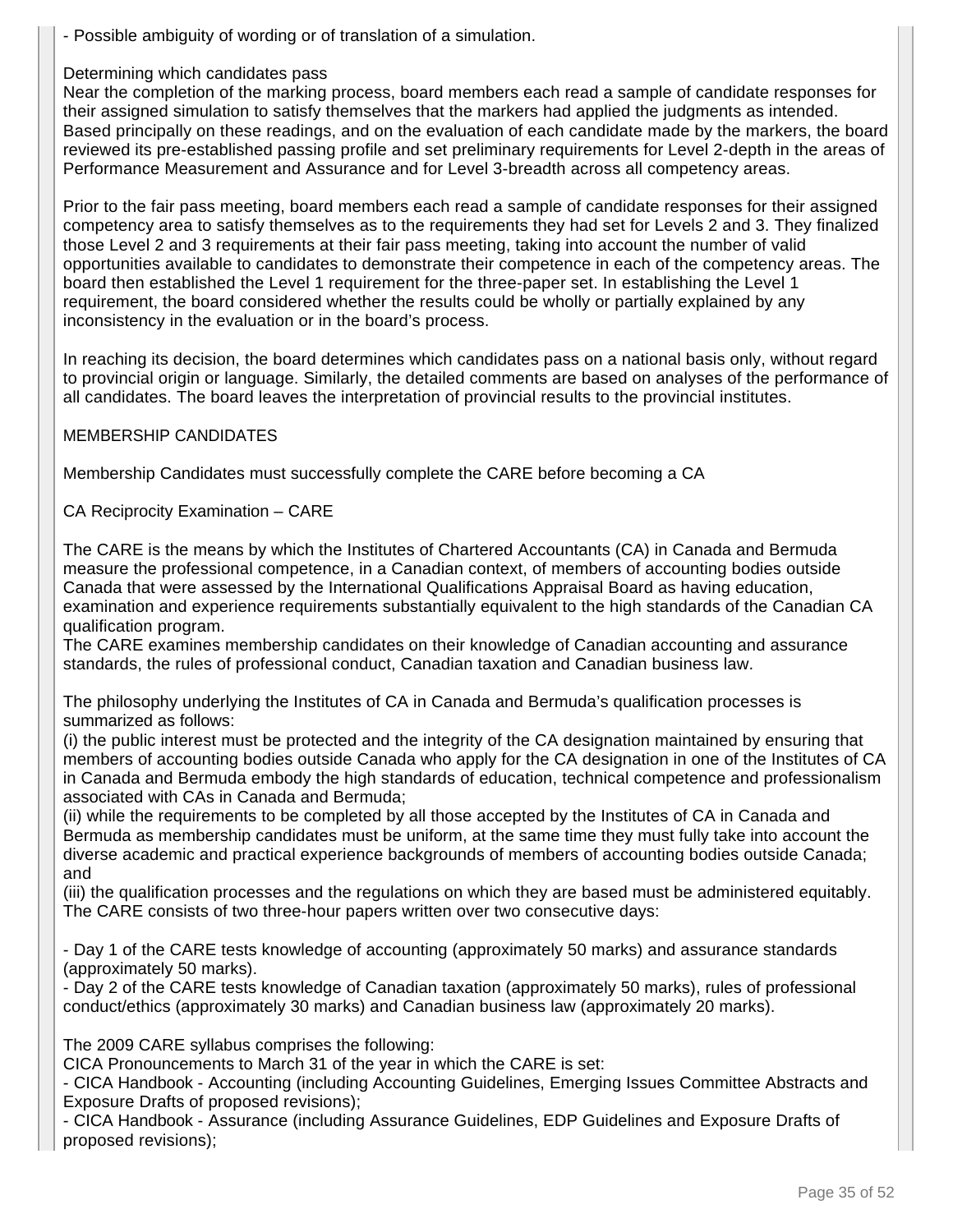- Possible ambiguity of wording or of translation of a simulation.

### Determining which candidates pass

Near the completion of the marking process, board members each read a sample of candidate responses for their assigned simulation to satisfy themselves that the markers had applied the judgments as intended. Based principally on these readings, and on the evaluation of each candidate made by the markers, the board reviewed its pre-established passing profile and set preliminary requirements for Level 2-depth in the areas of Performance Measurement and Assurance and for Level 3-breadth across all competency areas.

Prior to the fair pass meeting, board members each read a sample of candidate responses for their assigned competency area to satisfy themselves as to the requirements they had set for Levels 2 and 3. They finalized those Level 2 and 3 requirements at their fair pass meeting, taking into account the number of valid opportunities available to candidates to demonstrate their competence in each of the competency areas. The board then established the Level 1 requirement for the three-paper set. In establishing the Level 1 requirement, the board considered whether the results could be wholly or partially explained by any inconsistency in the evaluation or in the board's process.

In reaching its decision, the board determines which candidates pass on a national basis only, without regard to provincial origin or language. Similarly, the detailed comments are based on analyses of the performance of all candidates. The board leaves the interpretation of provincial results to the provincial institutes.

#### MEMBERSHIP CANDIDATES

Membership Candidates must successfully complete the CARE before becoming a CA

CA Reciprocity Examination – CARE

The CARE is the means by which the Institutes of Chartered Accountants (CA) in Canada and Bermuda measure the professional competence, in a Canadian context, of members of accounting bodies outside Canada that were assessed by the International Qualifications Appraisal Board as having education, examination and experience requirements substantially equivalent to the high standards of the Canadian CA qualification program.

The CARE examines membership candidates on their knowledge of Canadian accounting and assurance standards, the rules of professional conduct, Canadian taxation and Canadian business law.

The philosophy underlying the Institutes of CA in Canada and Bermuda's qualification processes is summarized as follows:

(i) the public interest must be protected and the integrity of the CA designation maintained by ensuring that members of accounting bodies outside Canada who apply for the CA designation in one of the Institutes of CA in Canada and Bermuda embody the high standards of education, technical competence and professionalism associated with CAs in Canada and Bermuda;

(ii) while the requirements to be completed by all those accepted by the Institutes of CA in Canada and Bermuda as membership candidates must be uniform, at the same time they must fully take into account the diverse academic and practical experience backgrounds of members of accounting bodies outside Canada; and

(iii) the qualification processes and the regulations on which they are based must be administered equitably. The CARE consists of two three-hour papers written over two consecutive days:

- Day 1 of the CARE tests knowledge of accounting (approximately 50 marks) and assurance standards (approximately 50 marks).

- Day 2 of the CARE tests knowledge of Canadian taxation (approximately 50 marks), rules of professional conduct/ethics (approximately 30 marks) and Canadian business law (approximately 20 marks).

The 2009 CARE syllabus comprises the following:

CICA Pronouncements to March 31 of the year in which the CARE is set:

- CICA Handbook - Accounting (including Accounting Guidelines, Emerging Issues Committee Abstracts and Exposure Drafts of proposed revisions);

- CICA Handbook - Assurance (including Assurance Guidelines, EDP Guidelines and Exposure Drafts of proposed revisions);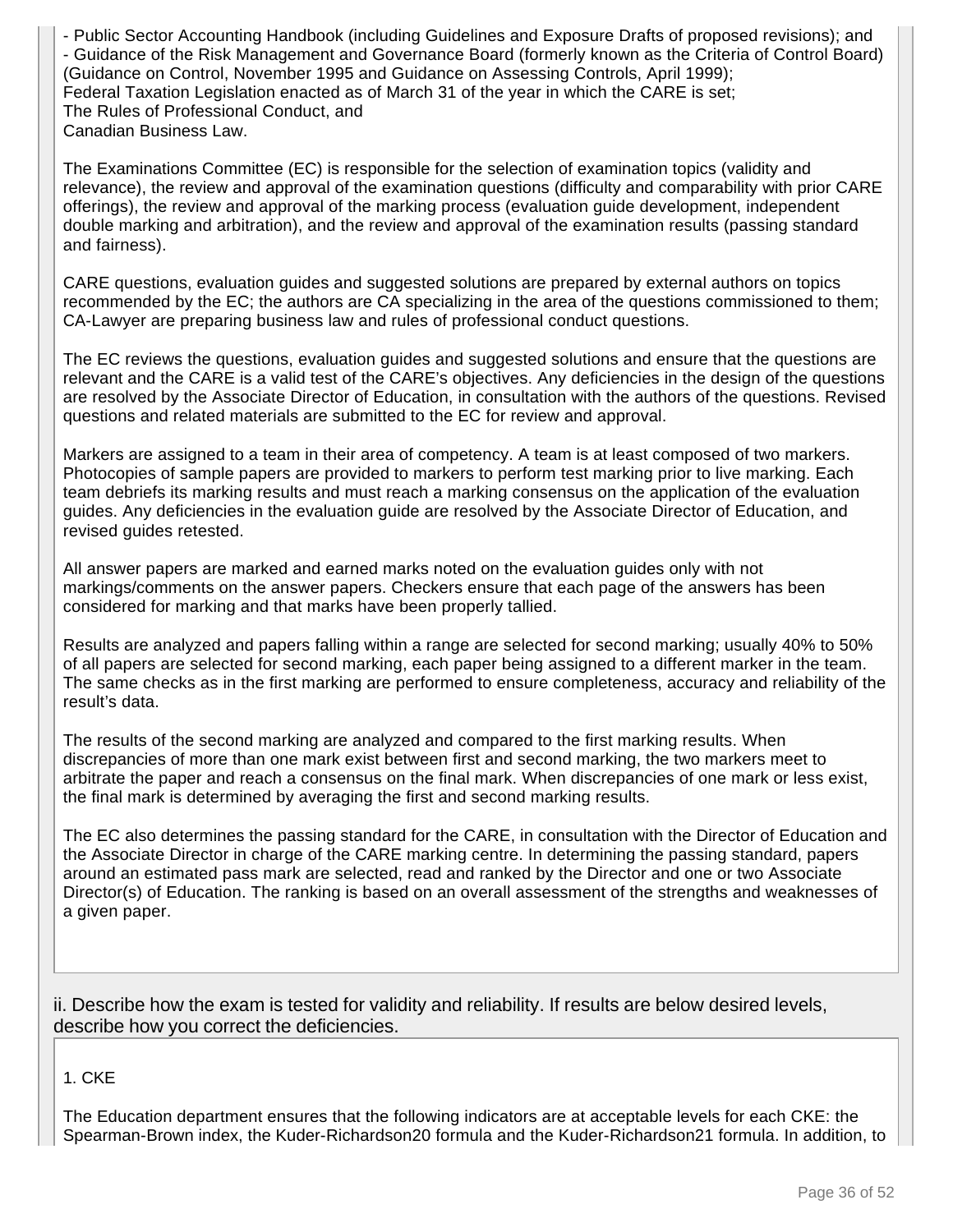- Public Sector Accounting Handbook (including Guidelines and Exposure Drafts of proposed revisions); and - Guidance of the Risk Management and Governance Board (formerly known as the Criteria of Control Board) (Guidance on Control, November 1995 and Guidance on Assessing Controls, April 1999); Federal Taxation Legislation enacted as of March 31 of the year in which the CARE is set; The Rules of Professional Conduct, and Canadian Business Law.

The Examinations Committee (EC) is responsible for the selection of examination topics (validity and relevance), the review and approval of the examination questions (difficulty and comparability with prior CARE offerings), the review and approval of the marking process (evaluation guide development, independent double marking and arbitration), and the review and approval of the examination results (passing standard and fairness).

CARE questions, evaluation guides and suggested solutions are prepared by external authors on topics recommended by the EC; the authors are CA specializing in the area of the questions commissioned to them; CA-Lawyer are preparing business law and rules of professional conduct questions.

The EC reviews the questions, evaluation guides and suggested solutions and ensure that the questions are relevant and the CARE is a valid test of the CARE's objectives. Any deficiencies in the design of the questions are resolved by the Associate Director of Education, in consultation with the authors of the questions. Revised questions and related materials are submitted to the EC for review and approval.

Markers are assigned to a team in their area of competency. A team is at least composed of two markers. Photocopies of sample papers are provided to markers to perform test marking prior to live marking. Each team debriefs its marking results and must reach a marking consensus on the application of the evaluation guides. Any deficiencies in the evaluation guide are resolved by the Associate Director of Education, and revised guides retested.

All answer papers are marked and earned marks noted on the evaluation guides only with not markings/comments on the answer papers. Checkers ensure that each page of the answers has been considered for marking and that marks have been properly tallied.

Results are analyzed and papers falling within a range are selected for second marking; usually 40% to 50% of all papers are selected for second marking, each paper being assigned to a different marker in the team. The same checks as in the first marking are performed to ensure completeness, accuracy and reliability of the result's data.

The results of the second marking are analyzed and compared to the first marking results. When discrepancies of more than one mark exist between first and second marking, the two markers meet to arbitrate the paper and reach a consensus on the final mark. When discrepancies of one mark or less exist, the final mark is determined by averaging the first and second marking results.

The EC also determines the passing standard for the CARE, in consultation with the Director of Education and the Associate Director in charge of the CARE marking centre. In determining the passing standard, papers around an estimated pass mark are selected, read and ranked by the Director and one or two Associate Director(s) of Education. The ranking is based on an overall assessment of the strengths and weaknesses of a given paper.

ii. Describe how the exam is tested for validity and reliability. If results are below desired levels, describe how you correct the deficiencies.

1. CKE

The Education department ensures that the following indicators are at acceptable levels for each CKE: the Spearman-Brown index, the Kuder-Richardson20 formula and the Kuder-Richardson21 formula. In addition, to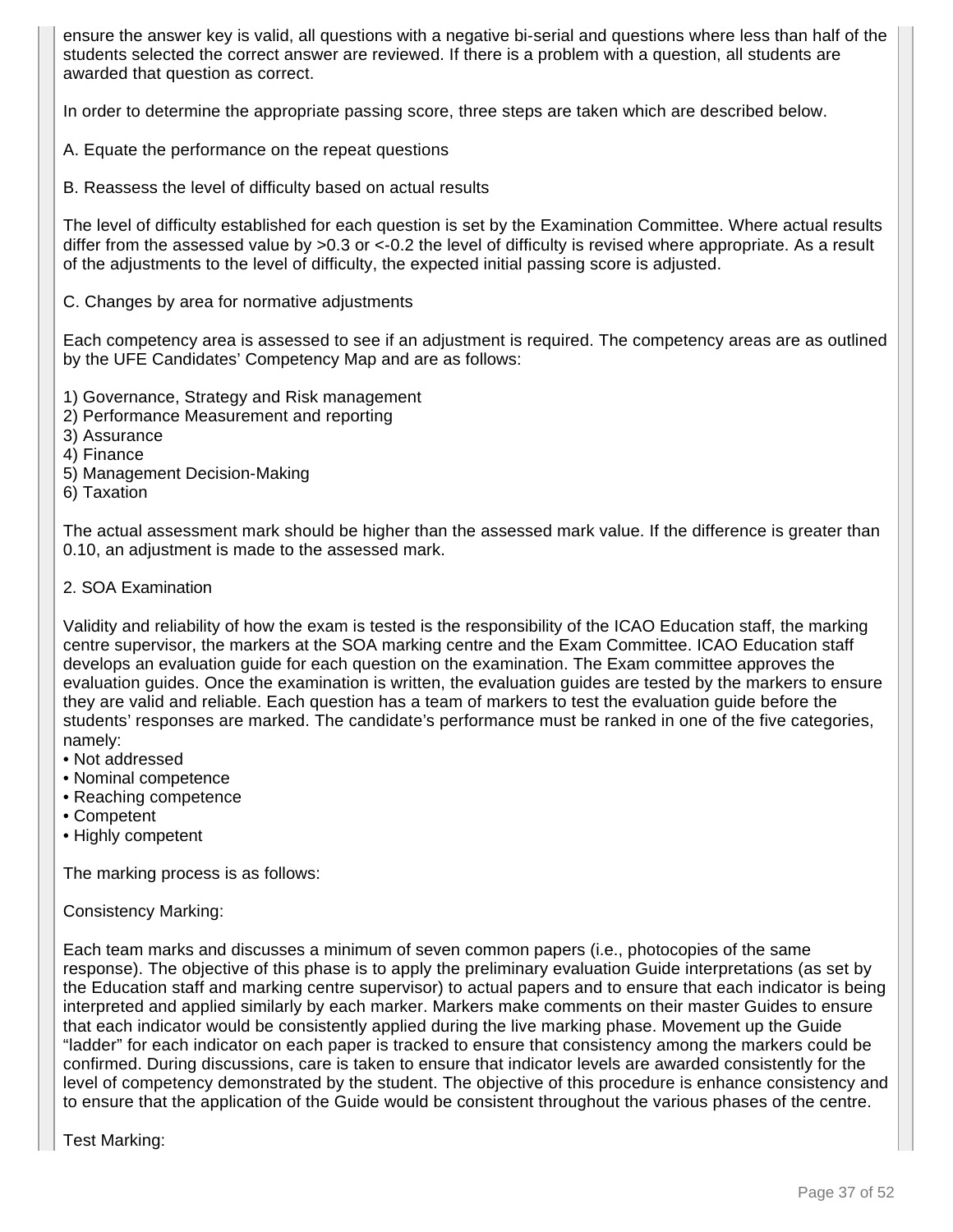ensure the answer key is valid, all questions with a negative bi-serial and questions where less than half of the students selected the correct answer are reviewed. If there is a problem with a question, all students are awarded that question as correct.

In order to determine the appropriate passing score, three steps are taken which are described below.

- A. Equate the performance on the repeat questions
- B. Reassess the level of difficulty based on actual results

The level of difficulty established for each question is set by the Examination Committee. Where actual results differ from the assessed value by >0.3 or <-0.2 the level of difficulty is revised where appropriate. As a result of the adjustments to the level of difficulty, the expected initial passing score is adjusted.

C. Changes by area for normative adjustments

Each competency area is assessed to see if an adjustment is required. The competency areas are as outlined by the UFE Candidates' Competency Map and are as follows:

- 1) Governance, Strategy and Risk management
- 2) Performance Measurement and reporting
- 3) Assurance
- 4) Finance
- 5) Management Decision-Making
- 6) Taxation

The actual assessment mark should be higher than the assessed mark value. If the difference is greater than 0.10, an adjustment is made to the assessed mark.

2. SOA Examination

Validity and reliability of how the exam is tested is the responsibility of the ICAO Education staff, the marking centre supervisor, the markers at the SOA marking centre and the Exam Committee. ICAO Education staff develops an evaluation guide for each question on the examination. The Exam committee approves the evaluation guides. Once the examination is written, the evaluation guides are tested by the markers to ensure they are valid and reliable. Each question has a team of markers to test the evaluation guide before the students' responses are marked. The candidate's performance must be ranked in one of the five categories, namely:

- Not addressed
- Nominal competence
- Reaching competence
- Competent
- Highly competent

The marking process is as follows:

Consistency Marking:

Each team marks and discusses a minimum of seven common papers (i.e., photocopies of the same response). The objective of this phase is to apply the preliminary evaluation Guide interpretations (as set by the Education staff and marking centre supervisor) to actual papers and to ensure that each indicator is being interpreted and applied similarly by each marker. Markers make comments on their master Guides to ensure that each indicator would be consistently applied during the live marking phase. Movement up the Guide "ladder" for each indicator on each paper is tracked to ensure that consistency among the markers could be confirmed. During discussions, care is taken to ensure that indicator levels are awarded consistently for the level of competency demonstrated by the student. The objective of this procedure is enhance consistency and to ensure that the application of the Guide would be consistent throughout the various phases of the centre.

Test Marking: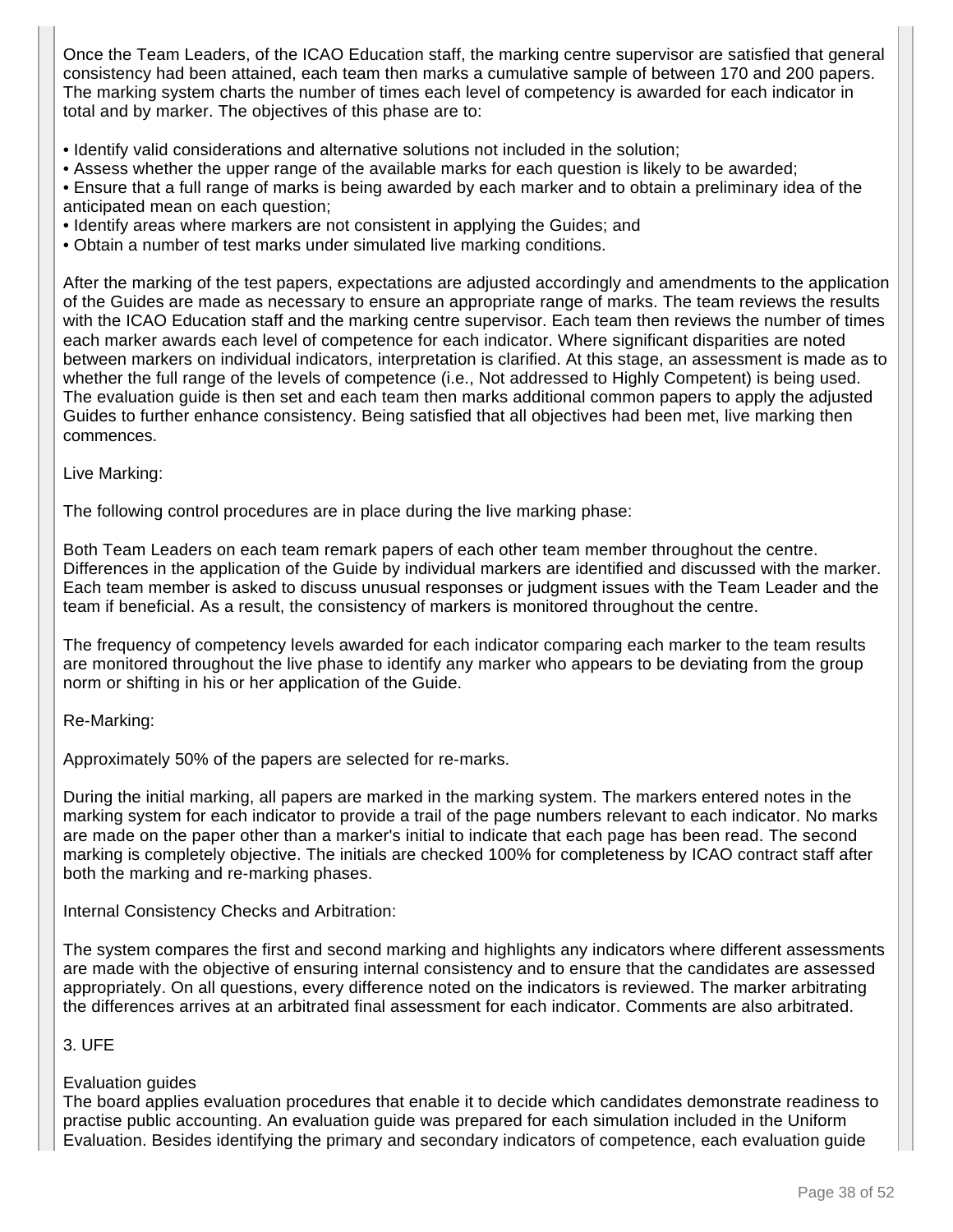Once the Team Leaders, of the ICAO Education staff, the marking centre supervisor are satisfied that general consistency had been attained, each team then marks a cumulative sample of between 170 and 200 papers. The marking system charts the number of times each level of competency is awarded for each indicator in total and by marker. The objectives of this phase are to:

- Identify valid considerations and alternative solutions not included in the solution;
- Assess whether the upper range of the available marks for each question is likely to be awarded;
- Ensure that a full range of marks is being awarded by each marker and to obtain a preliminary idea of the anticipated mean on each question;
- Identify areas where markers are not consistent in applying the Guides; and
- Obtain a number of test marks under simulated live marking conditions.

After the marking of the test papers, expectations are adjusted accordingly and amendments to the application of the Guides are made as necessary to ensure an appropriate range of marks. The team reviews the results with the ICAO Education staff and the marking centre supervisor. Each team then reviews the number of times each marker awards each level of competence for each indicator. Where significant disparities are noted between markers on individual indicators, interpretation is clarified. At this stage, an assessment is made as to whether the full range of the levels of competence (i.e., Not addressed to Highly Competent) is being used. The evaluation guide is then set and each team then marks additional common papers to apply the adjusted Guides to further enhance consistency. Being satisfied that all objectives had been met, live marking then commences.

#### Live Marking:

The following control procedures are in place during the live marking phase:

Both Team Leaders on each team remark papers of each other team member throughout the centre. Differences in the application of the Guide by individual markers are identified and discussed with the marker. Each team member is asked to discuss unusual responses or judgment issues with the Team Leader and the team if beneficial. As a result, the consistency of markers is monitored throughout the centre.

The frequency of competency levels awarded for each indicator comparing each marker to the team results are monitored throughout the live phase to identify any marker who appears to be deviating from the group norm or shifting in his or her application of the Guide.

Re-Marking:

Approximately 50% of the papers are selected for re-marks.

During the initial marking, all papers are marked in the marking system. The markers entered notes in the marking system for each indicator to provide a trail of the page numbers relevant to each indicator. No marks are made on the paper other than a marker's initial to indicate that each page has been read. The second marking is completely objective. The initials are checked 100% for completeness by ICAO contract staff after both the marking and re-marking phases.

Internal Consistency Checks and Arbitration:

The system compares the first and second marking and highlights any indicators where different assessments are made with the objective of ensuring internal consistency and to ensure that the candidates are assessed appropriately. On all questions, every difference noted on the indicators is reviewed. The marker arbitrating the differences arrives at an arbitrated final assessment for each indicator. Comments are also arbitrated.

#### 3. UFE

#### Evaluation guides

The board applies evaluation procedures that enable it to decide which candidates demonstrate readiness to practise public accounting. An evaluation guide was prepared for each simulation included in the Uniform Evaluation. Besides identifying the primary and secondary indicators of competence, each evaluation guide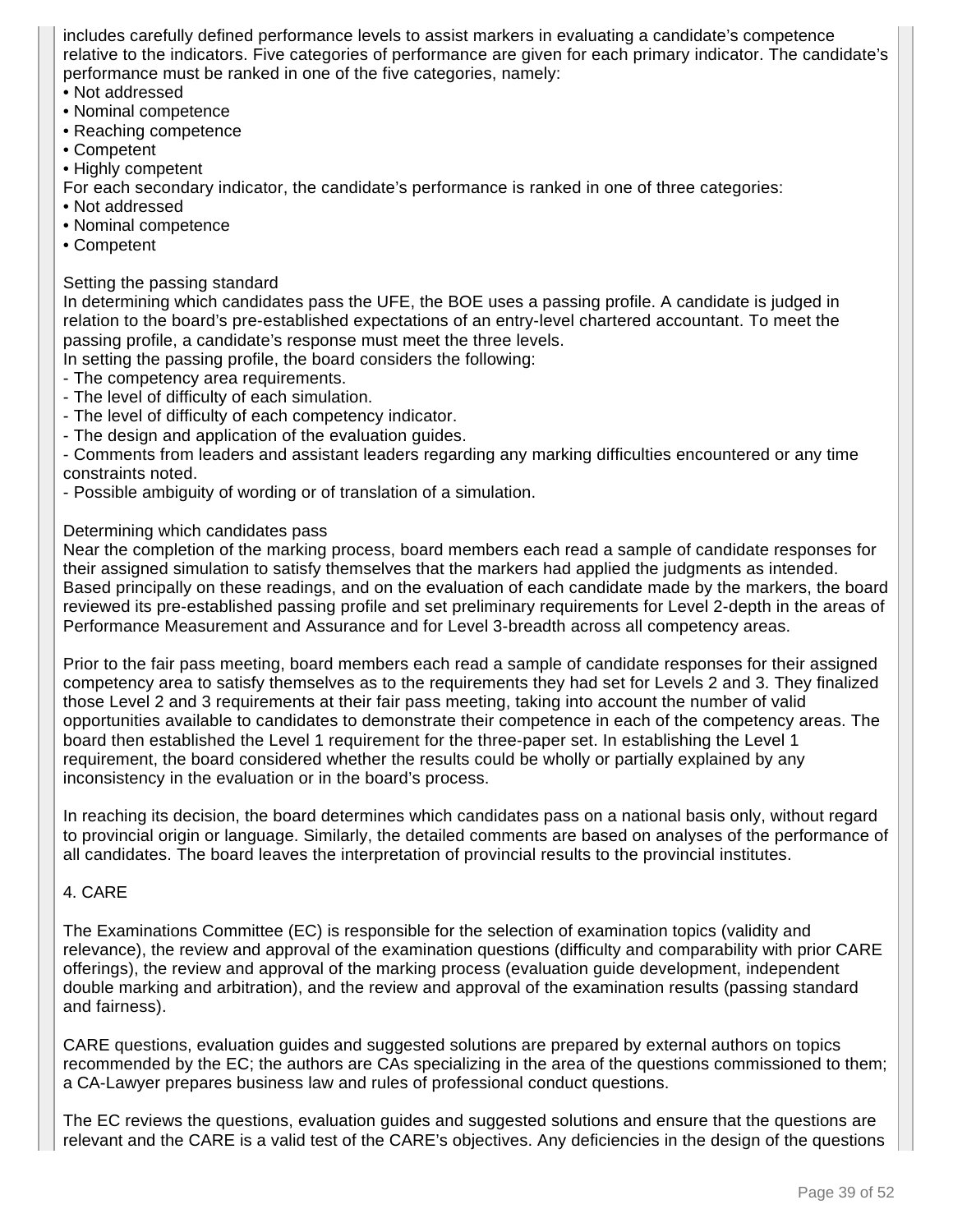includes carefully defined performance levels to assist markers in evaluating a candidate's competence relative to the indicators. Five categories of performance are given for each primary indicator. The candidate's performance must be ranked in one of the five categories, namely:

- Not addressed
- Nominal competence
- Reaching competence
- Competent
- Highly competent

For each secondary indicator, the candidate's performance is ranked in one of three categories:

- Not addressed
- Nominal competence
- Competent

#### Setting the passing standard

In determining which candidates pass the UFE, the BOE uses a passing profile. A candidate is judged in relation to the board's pre-established expectations of an entry-level chartered accountant. To meet the passing profile, a candidate's response must meet the three levels.

- In setting the passing profile, the board considers the following:
- The competency area requirements.
- The level of difficulty of each simulation.
- The level of difficulty of each competency indicator.
- The design and application of the evaluation guides.

- Comments from leaders and assistant leaders regarding any marking difficulties encountered or any time constraints noted.

- Possible ambiguity of wording or of translation of a simulation.

#### Determining which candidates pass

Near the completion of the marking process, board members each read a sample of candidate responses for their assigned simulation to satisfy themselves that the markers had applied the judgments as intended. Based principally on these readings, and on the evaluation of each candidate made by the markers, the board reviewed its pre-established passing profile and set preliminary requirements for Level 2-depth in the areas of Performance Measurement and Assurance and for Level 3-breadth across all competency areas.

Prior to the fair pass meeting, board members each read a sample of candidate responses for their assigned competency area to satisfy themselves as to the requirements they had set for Levels 2 and 3. They finalized those Level 2 and 3 requirements at their fair pass meeting, taking into account the number of valid opportunities available to candidates to demonstrate their competence in each of the competency areas. The board then established the Level 1 requirement for the three-paper set. In establishing the Level 1 requirement, the board considered whether the results could be wholly or partially explained by any inconsistency in the evaluation or in the board's process.

In reaching its decision, the board determines which candidates pass on a national basis only, without regard to provincial origin or language. Similarly, the detailed comments are based on analyses of the performance of all candidates. The board leaves the interpretation of provincial results to the provincial institutes.

#### 4. CARE

The Examinations Committee (EC) is responsible for the selection of examination topics (validity and relevance), the review and approval of the examination questions (difficulty and comparability with prior CARE offerings), the review and approval of the marking process (evaluation guide development, independent double marking and arbitration), and the review and approval of the examination results (passing standard and fairness).

CARE questions, evaluation guides and suggested solutions are prepared by external authors on topics recommended by the EC; the authors are CAs specializing in the area of the questions commissioned to them; a CA-Lawyer prepares business law and rules of professional conduct questions.

The EC reviews the questions, evaluation guides and suggested solutions and ensure that the questions are relevant and the CARE is a valid test of the CARE's objectives. Any deficiencies in the design of the questions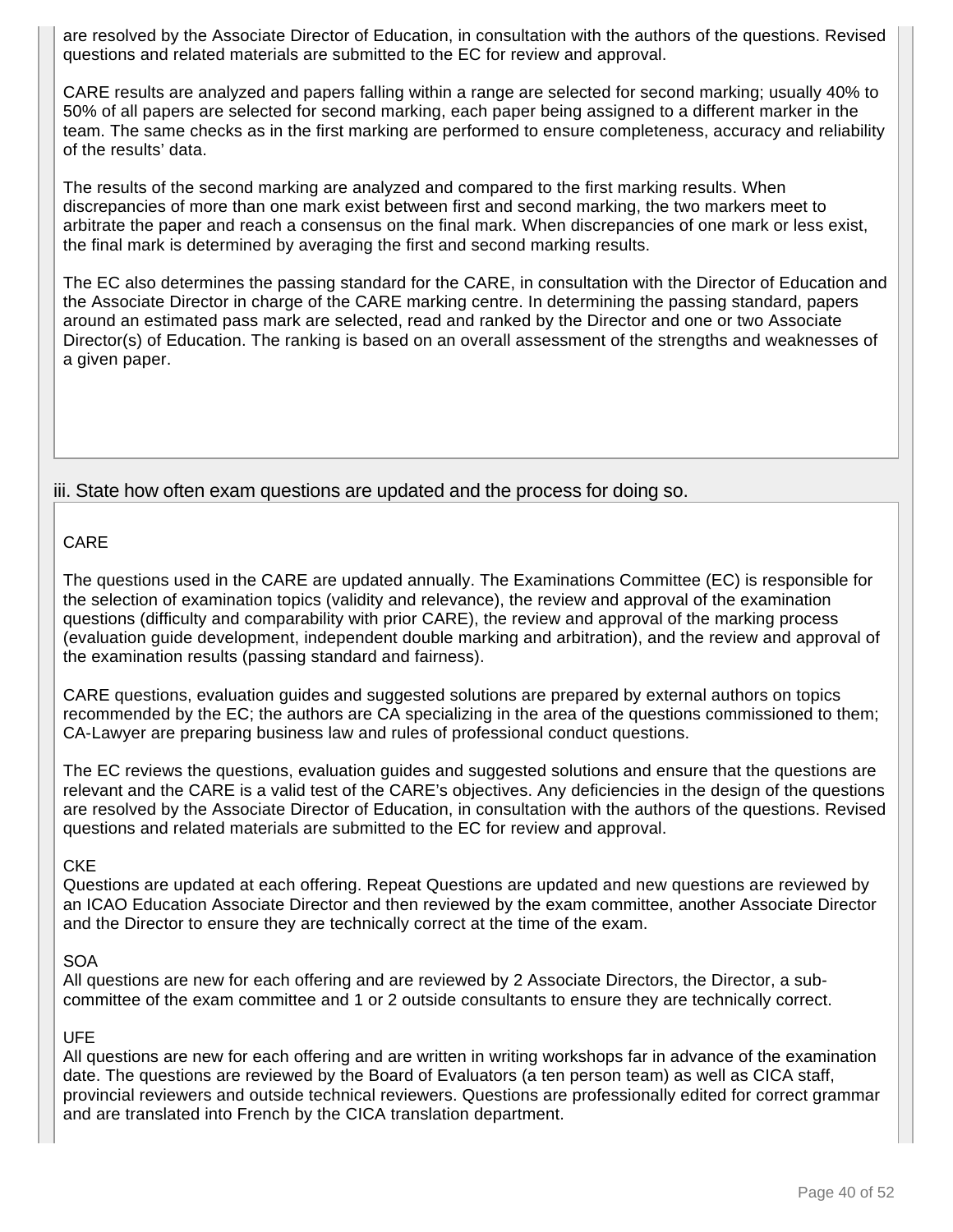are resolved by the Associate Director of Education, in consultation with the authors of the questions. Revised questions and related materials are submitted to the EC for review and approval.

CARE results are analyzed and papers falling within a range are selected for second marking; usually 40% to 50% of all papers are selected for second marking, each paper being assigned to a different marker in the team. The same checks as in the first marking are performed to ensure completeness, accuracy and reliability of the results' data.

The results of the second marking are analyzed and compared to the first marking results. When discrepancies of more than one mark exist between first and second marking, the two markers meet to arbitrate the paper and reach a consensus on the final mark. When discrepancies of one mark or less exist, the final mark is determined by averaging the first and second marking results.

The EC also determines the passing standard for the CARE, in consultation with the Director of Education and the Associate Director in charge of the CARE marking centre. In determining the passing standard, papers around an estimated pass mark are selected, read and ranked by the Director and one or two Associate Director(s) of Education. The ranking is based on an overall assessment of the strengths and weaknesses of a given paper.

iii. State how often exam questions are updated and the process for doing so.

#### CARE

The questions used in the CARE are updated annually. The Examinations Committee (EC) is responsible for the selection of examination topics (validity and relevance), the review and approval of the examination questions (difficulty and comparability with prior CARE), the review and approval of the marking process (evaluation guide development, independent double marking and arbitration), and the review and approval of the examination results (passing standard and fairness).

CARE questions, evaluation guides and suggested solutions are prepared by external authors on topics recommended by the EC; the authors are CA specializing in the area of the questions commissioned to them; CA-Lawyer are preparing business law and rules of professional conduct questions.

The EC reviews the questions, evaluation guides and suggested solutions and ensure that the questions are relevant and the CARE is a valid test of the CARE's objectives. Any deficiencies in the design of the questions are resolved by the Associate Director of Education, in consultation with the authors of the questions. Revised questions and related materials are submitted to the EC for review and approval.

#### **CKE**

Questions are updated at each offering. Repeat Questions are updated and new questions are reviewed by an ICAO Education Associate Director and then reviewed by the exam committee, another Associate Director and the Director to ensure they are technically correct at the time of the exam.

#### SOA

All questions are new for each offering and are reviewed by 2 Associate Directors, the Director, a subcommittee of the exam committee and 1 or 2 outside consultants to ensure they are technically correct.

#### UFE

All questions are new for each offering and are written in writing workshops far in advance of the examination date. The questions are reviewed by the Board of Evaluators (a ten person team) as well as CICA staff, provincial reviewers and outside technical reviewers. Questions are professionally edited for correct grammar and are translated into French by the CICA translation department.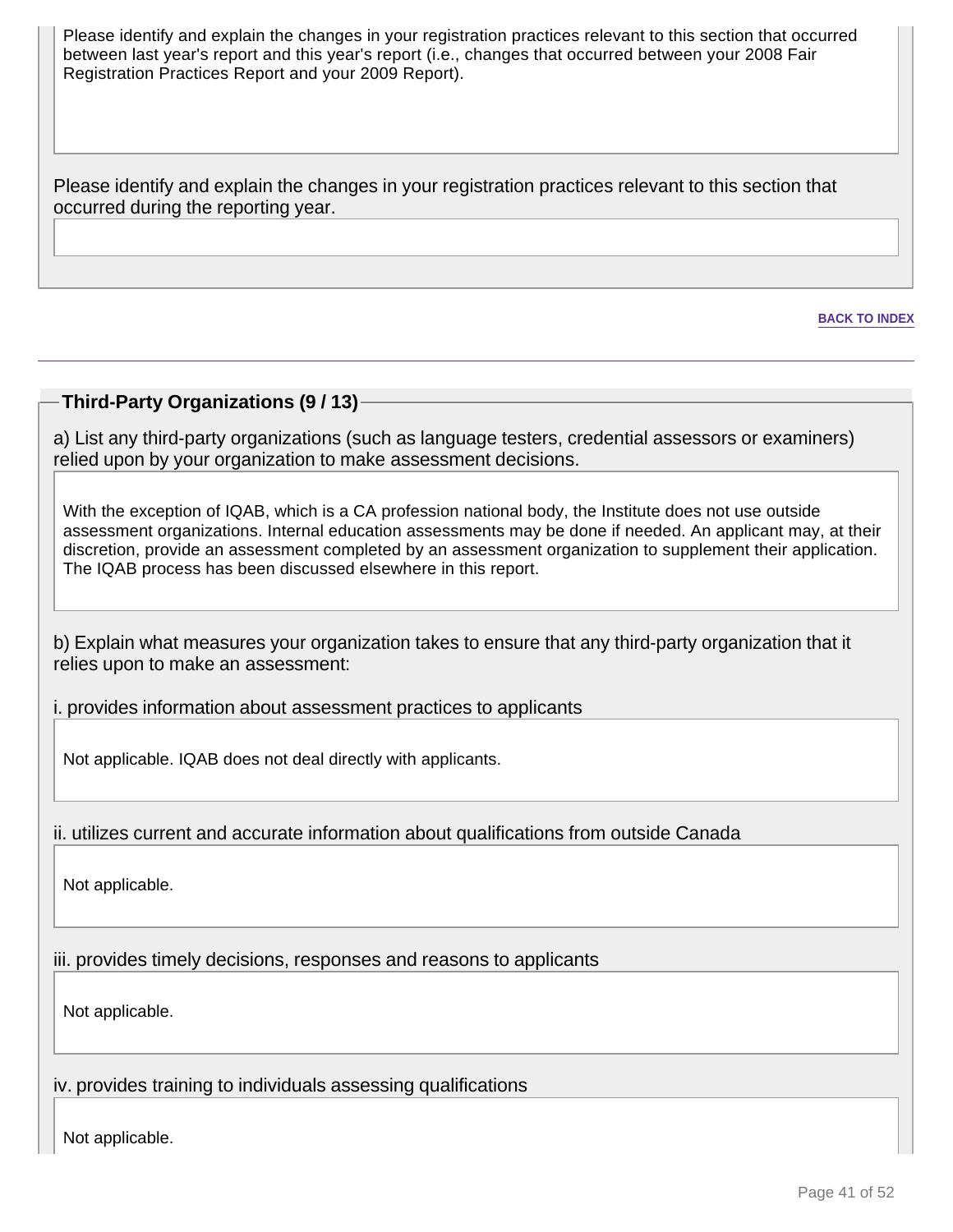Please identify and explain the changes in your registration practices relevant to this section that occurred between last year's report and this year's report (i.e., changes that occurred between your 2008 Fair Registration Practices Report and your 2009 Report).

Please identify and explain the changes in your registration practices relevant to this section that occurred during the reporting year.

**BACK TO INDEX**

#### **Third-Party Organizations (9 / 13)**

a) List any third-party organizations (such as language testers, credential assessors or examiners) relied upon by your organization to make assessment decisions.

With the exception of IQAB, which is a CA profession national body, the Institute does not use outside assessment organizations. Internal education assessments may be done if needed. An applicant may, at their discretion, provide an assessment completed by an assessment organization to supplement their application. The IQAB process has been discussed elsewhere in this report.

b) Explain what measures your organization takes to ensure that any third-party organization that it relies upon to make an assessment:

i. provides information about assessment practices to applicants

Not applicable. IQAB does not deal directly with applicants.

ii. utilizes current and accurate information about qualifications from outside Canada

Not applicable.

iii. provides timely decisions, responses and reasons to applicants

Not applicable.

iv. provides training to individuals assessing qualifications

Not applicable.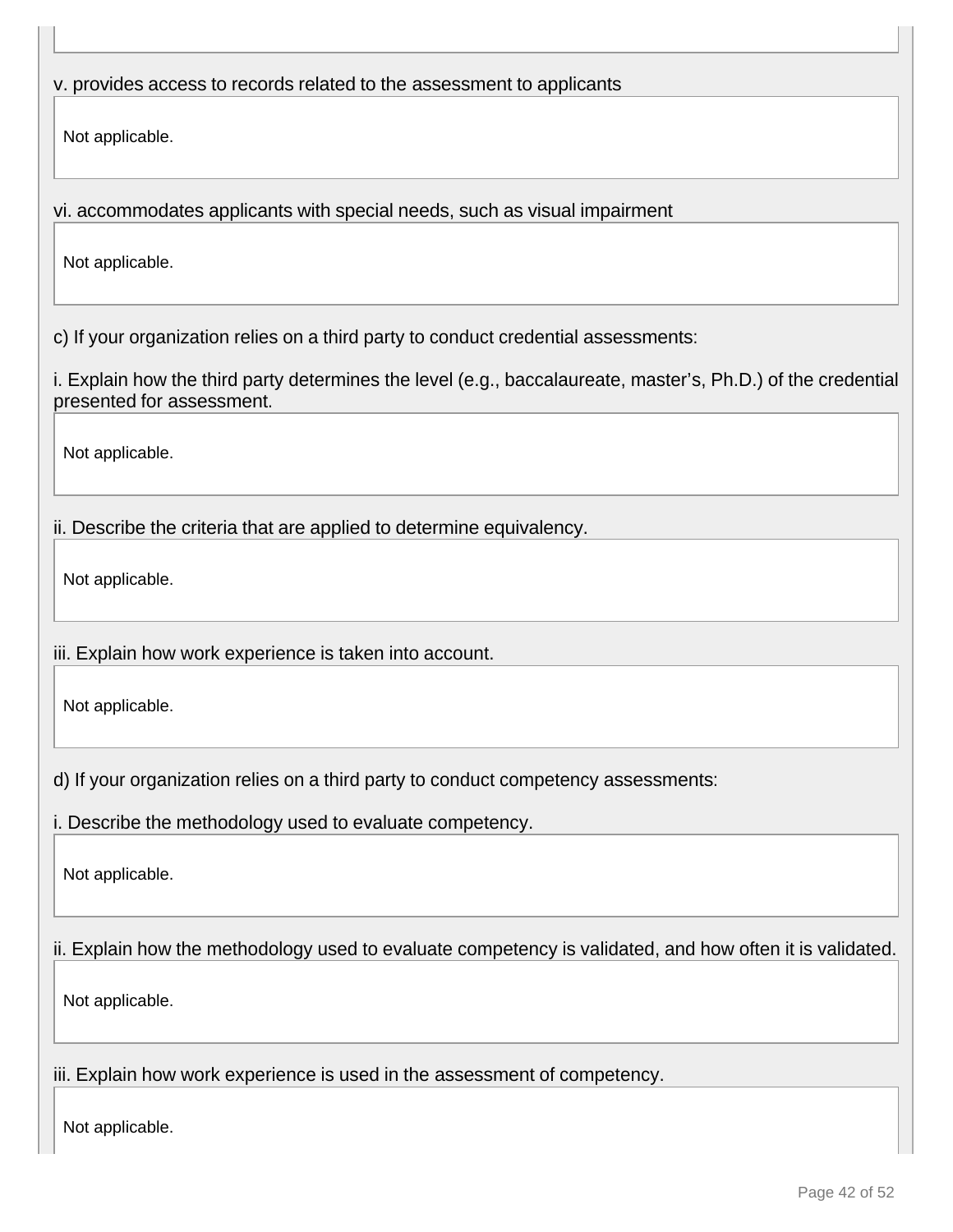# v. provides access to records related to the assessment to applicants

Not applicable.

vi. accommodates applicants with special needs, such as visual impairment

Not applicable.

c) If your organization relies on a third party to conduct credential assessments:

i. Explain how the third party determines the level (e.g., baccalaureate, master's, Ph.D.) of the credential presented for assessment.

Not applicable.

ii. Describe the criteria that are applied to determine equivalency.

Not applicable.

iii. Explain how work experience is taken into account.

Not applicable.

d) If your organization relies on a third party to conduct competency assessments:

i. Describe the methodology used to evaluate competency.

Not applicable.

# ii. Explain how the methodology used to evaluate competency is validated, and how often it is validated.

Not applicable.

iii. Explain how work experience is used in the assessment of competency.

Not applicable.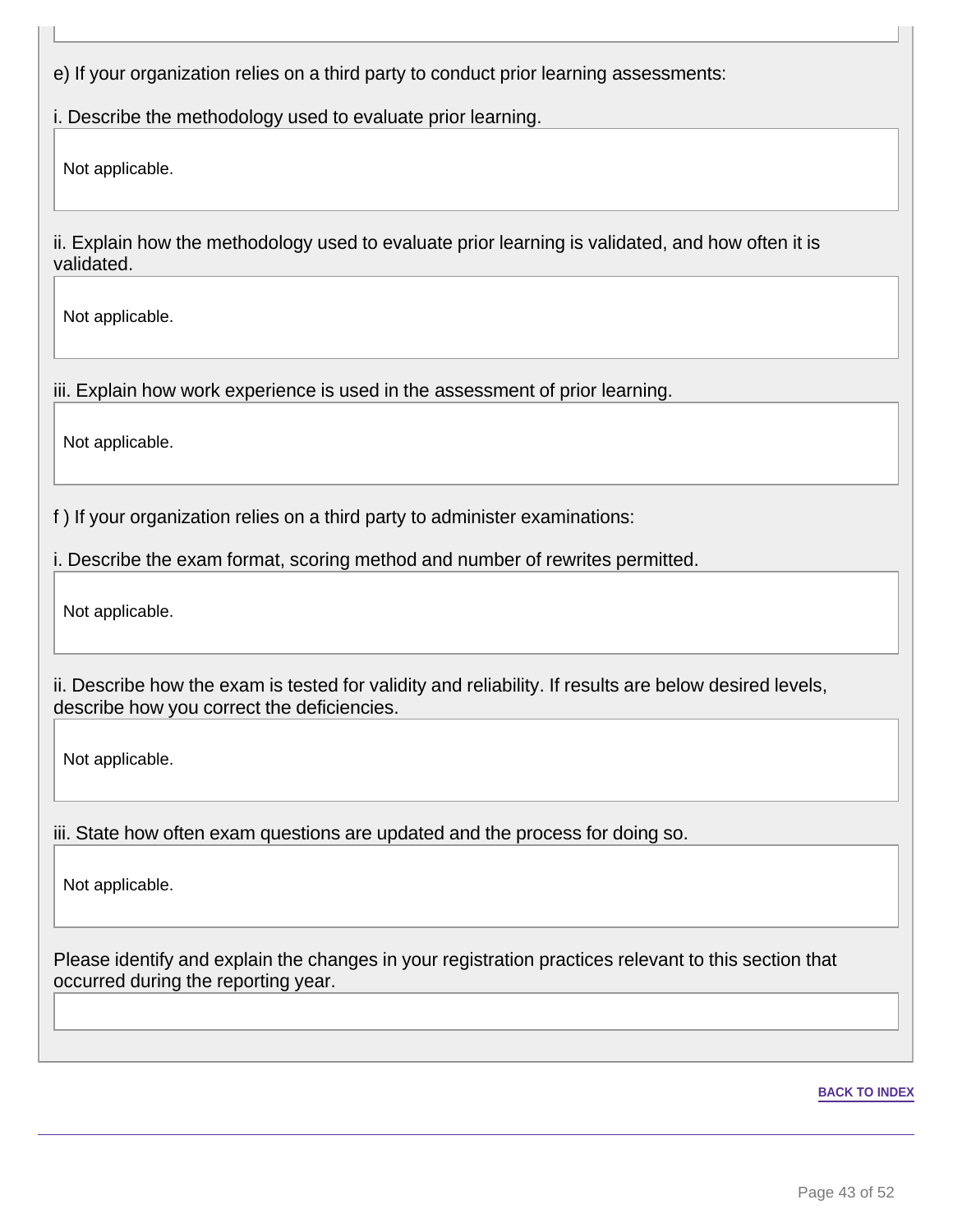e) If your organization relies on a third party to conduct prior learning assessments:

i. Describe the methodology used to evaluate prior learning.

Not applicable.

ii. Explain how the methodology used to evaluate prior learning is validated, and how often it is validated.

Not applicable.

iii. Explain how work experience is used in the assessment of prior learning.

Not applicable.

f ) If your organization relies on a third party to administer examinations:

i. Describe the exam format, scoring method and number of rewrites permitted.

Not applicable.

ii. Describe how the exam is tested for validity and reliability. If results are below desired levels, describe how you correct the deficiencies.

Not applicable.

iii. State how often exam questions are updated and the process for doing so.

Not applicable.

Please identify and explain the changes in your registration practices relevant to this section that occurred during the reporting year.

#### **BACK TO INDEX**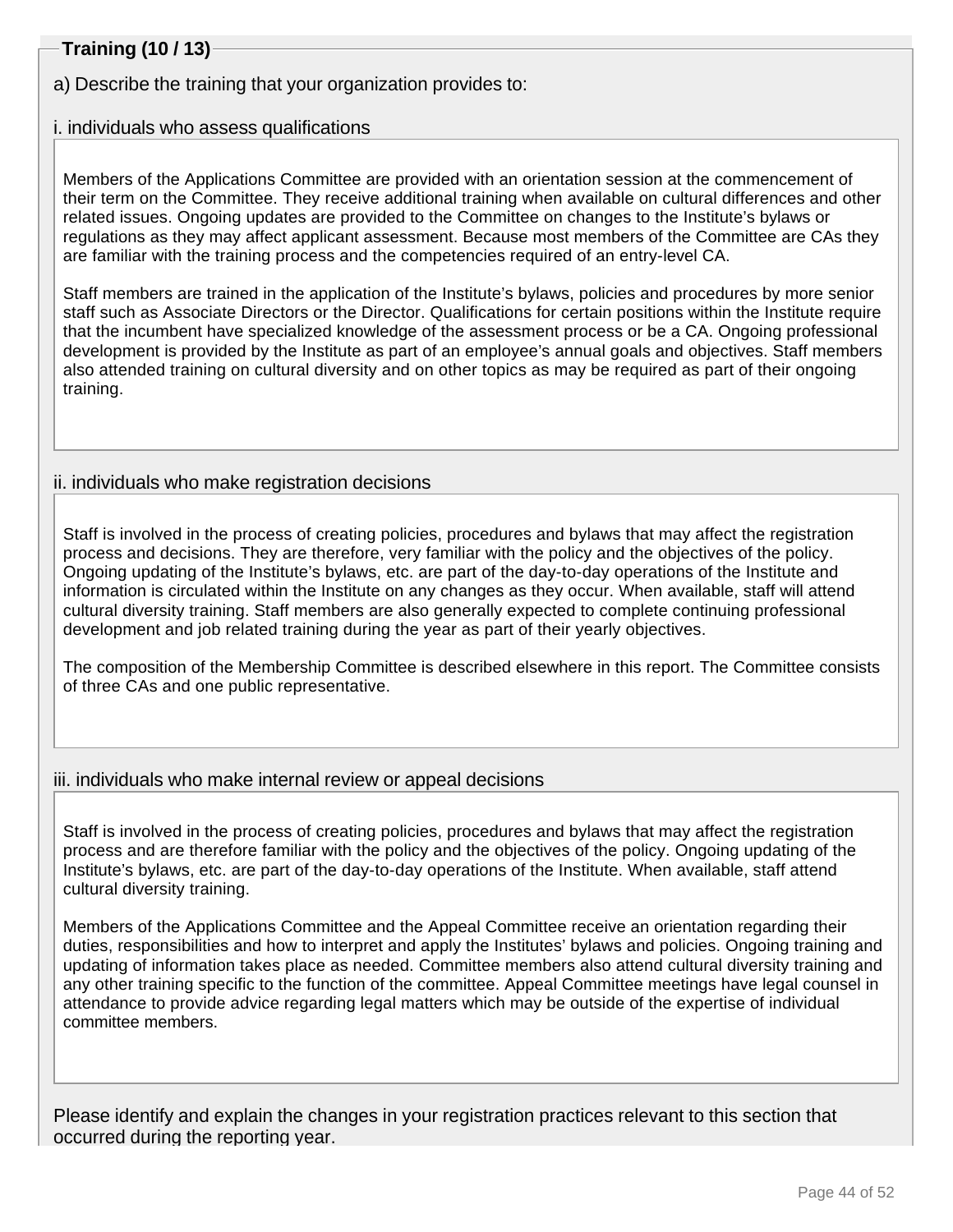# **Training (10 / 13)**

a) Describe the training that your organization provides to:

### i. individuals who assess qualifications

Members of the Applications Committee are provided with an orientation session at the commencement of their term on the Committee. They receive additional training when available on cultural differences and other related issues. Ongoing updates are provided to the Committee on changes to the Institute's bylaws or regulations as they may affect applicant assessment. Because most members of the Committee are CAs they are familiar with the training process and the competencies required of an entry-level CA.

Staff members are trained in the application of the Institute's bylaws, policies and procedures by more senior staff such as Associate Directors or the Director. Qualifications for certain positions within the Institute require that the incumbent have specialized knowledge of the assessment process or be a CA. Ongoing professional development is provided by the Institute as part of an employee's annual goals and objectives. Staff members also attended training on cultural diversity and on other topics as may be required as part of their ongoing training.

### ii. individuals who make registration decisions

Staff is involved in the process of creating policies, procedures and bylaws that may affect the registration process and decisions. They are therefore, very familiar with the policy and the objectives of the policy. Ongoing updating of the Institute's bylaws, etc. are part of the day-to-day operations of the Institute and information is circulated within the Institute on any changes as they occur. When available, staff will attend cultural diversity training. Staff members are also generally expected to complete continuing professional development and job related training during the year as part of their yearly objectives.

The composition of the Membership Committee is described elsewhere in this report. The Committee consists of three CAs and one public representative.

### iii. individuals who make internal review or appeal decisions

Staff is involved in the process of creating policies, procedures and bylaws that may affect the registration process and are therefore familiar with the policy and the objectives of the policy. Ongoing updating of the Institute's bylaws, etc. are part of the day-to-day operations of the Institute. When available, staff attend cultural diversity training.

Members of the Applications Committee and the Appeal Committee receive an orientation regarding their duties, responsibilities and how to interpret and apply the Institutes' bylaws and policies. Ongoing training and updating of information takes place as needed. Committee members also attend cultural diversity training and any other training specific to the function of the committee. Appeal Committee meetings have legal counsel in attendance to provide advice regarding legal matters which may be outside of the expertise of individual committee members.

Please identify and explain the changes in your registration practices relevant to this section that occurred during the reporting year.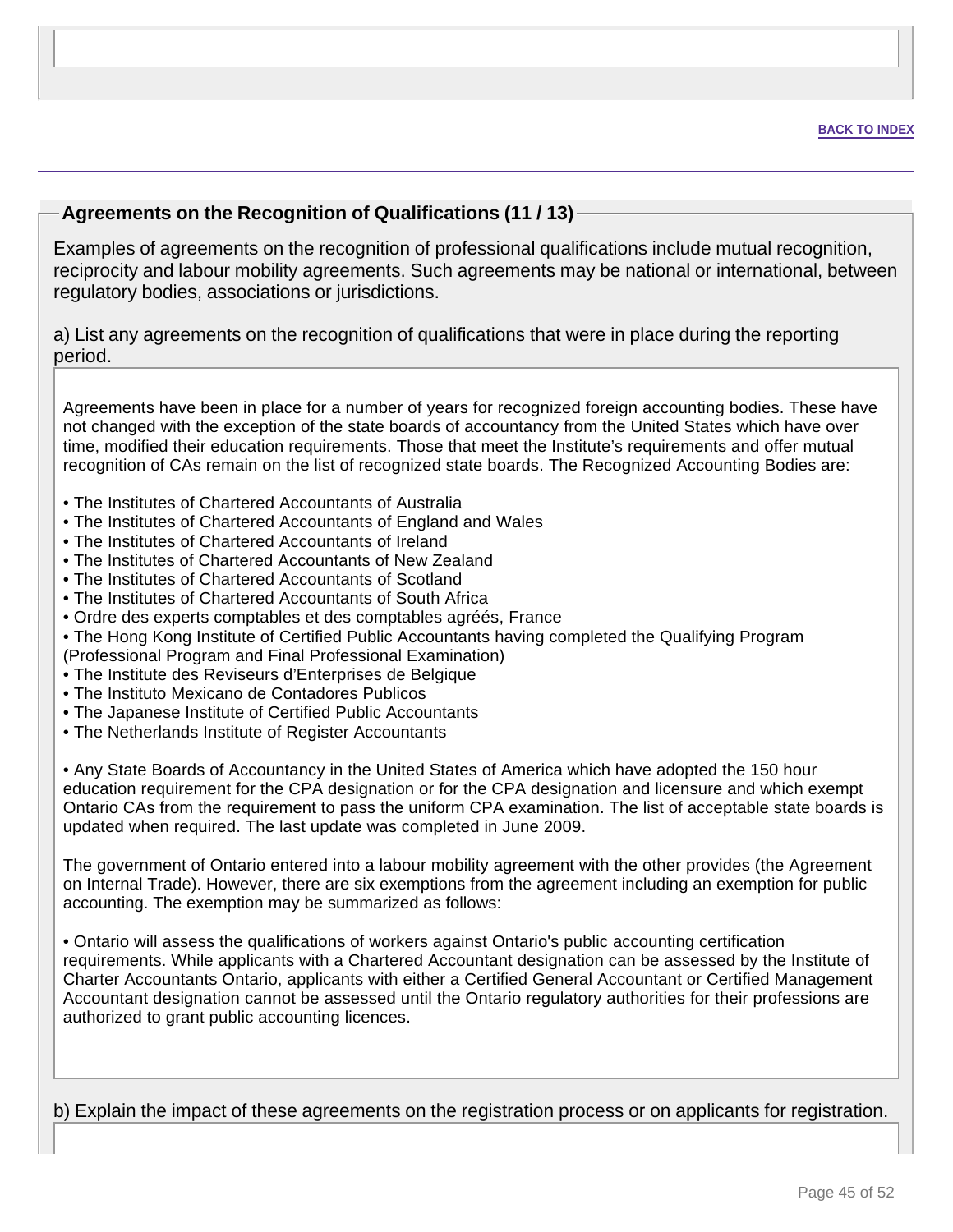### **Agreements on the Recognition of Qualifications (11 / 13)**

Examples of agreements on the recognition of professional qualifications include mutual recognition, reciprocity and labour mobility agreements. Such agreements may be national or international, between regulatory bodies, associations or jurisdictions.

a) List any agreements on the recognition of qualifications that were in place during the reporting period.

Agreements have been in place for a number of years for recognized foreign accounting bodies. These have not changed with the exception of the state boards of accountancy from the United States which have over time, modified their education requirements. Those that meet the Institute's requirements and offer mutual recognition of CAs remain on the list of recognized state boards. The Recognized Accounting Bodies are:

- The Institutes of Chartered Accountants of Australia
- The Institutes of Chartered Accountants of England and Wales
- The Institutes of Chartered Accountants of Ireland
- The Institutes of Chartered Accountants of New Zealand
- The Institutes of Chartered Accountants of Scotland
- The Institutes of Chartered Accountants of South Africa
- Ordre des experts comptables et des comptables agréés, France
- The Hong Kong Institute of Certified Public Accountants having completed the Qualifying Program (Professional Program and Final Professional Examination)
- The Institute des Reviseurs d'Enterprises de Belgique
- The Instituto Mexicano de Contadores Publicos
- The Japanese Institute of Certified Public Accountants
- The Netherlands Institute of Register Accountants

• Any State Boards of Accountancy in the United States of America which have adopted the 150 hour education requirement for the CPA designation or for the CPA designation and licensure and which exempt Ontario CAs from the requirement to pass the uniform CPA examination. The list of acceptable state boards is updated when required. The last update was completed in June 2009.

The government of Ontario entered into a labour mobility agreement with the other provides (the Agreement on Internal Trade). However, there are six exemptions from the agreement including an exemption for public accounting. The exemption may be summarized as follows:

• Ontario will assess the qualifications of workers against Ontario's public accounting certification requirements. While applicants with a Chartered Accountant designation can be assessed by the Institute of Charter Accountants Ontario, applicants with either a Certified General Accountant or Certified Management Accountant designation cannot be assessed until the Ontario regulatory authorities for their professions are authorized to grant public accounting licences.

b) Explain the impact of these agreements on the registration process or on applicants for registration.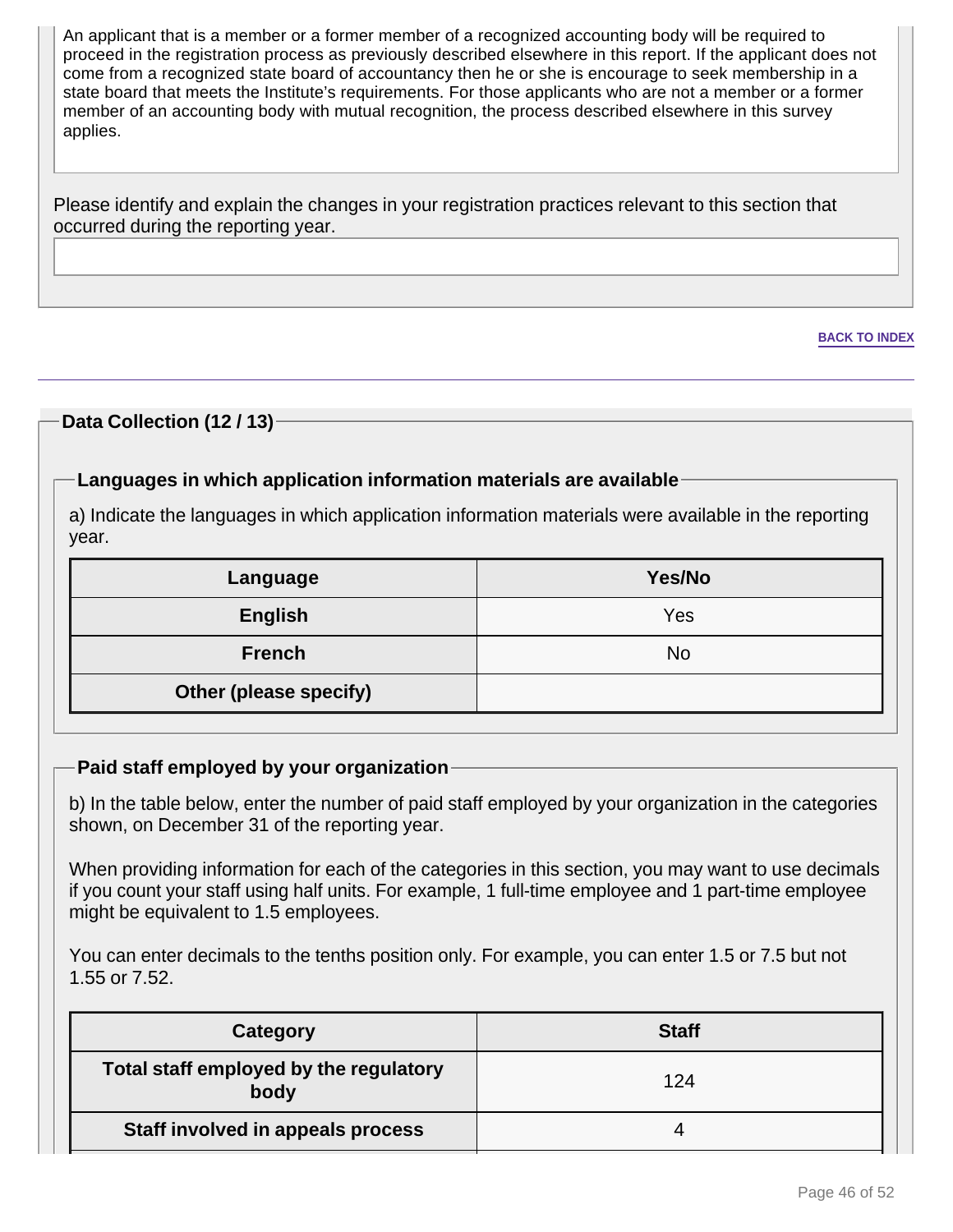An applicant that is a member or a former member of a recognized accounting body will be required to proceed in the registration process as previously described elsewhere in this report. If the applicant does not come from a recognized state board of accountancy then he or she is encourage to seek membership in a state board that meets the Institute's requirements. For those applicants who are not a member or a former member of an accounting body with mutual recognition, the process described elsewhere in this survey applies.

Please identify and explain the changes in your registration practices relevant to this section that occurred during the reporting year.

### **Data Collection (12 / 13)**

### **Languages in which application information materials are available**

a) Indicate the languages in which application information materials were available in the reporting year.

| Language               | Yes/No |
|------------------------|--------|
| <b>English</b>         | Yes    |
| <b>French</b>          | No     |
| Other (please specify) |        |

#### **Paid staff employed by your organization**

b) In the table below, enter the number of paid staff employed by your organization in the categories shown, on December 31 of the reporting year.

When providing information for each of the categories in this section, you may want to use decimals if you count your staff using half units. For example, 1 full-time employee and 1 part-time employee might be equivalent to 1.5 employees.

You can enter decimals to the tenths position only. For example, you can enter 1.5 or 7.5 but not 1.55 or 7.52.

| Category                                       | <b>Staff</b> |
|------------------------------------------------|--------------|
| Total staff employed by the regulatory<br>body | 124          |
| Staff involved in appeals process              |              |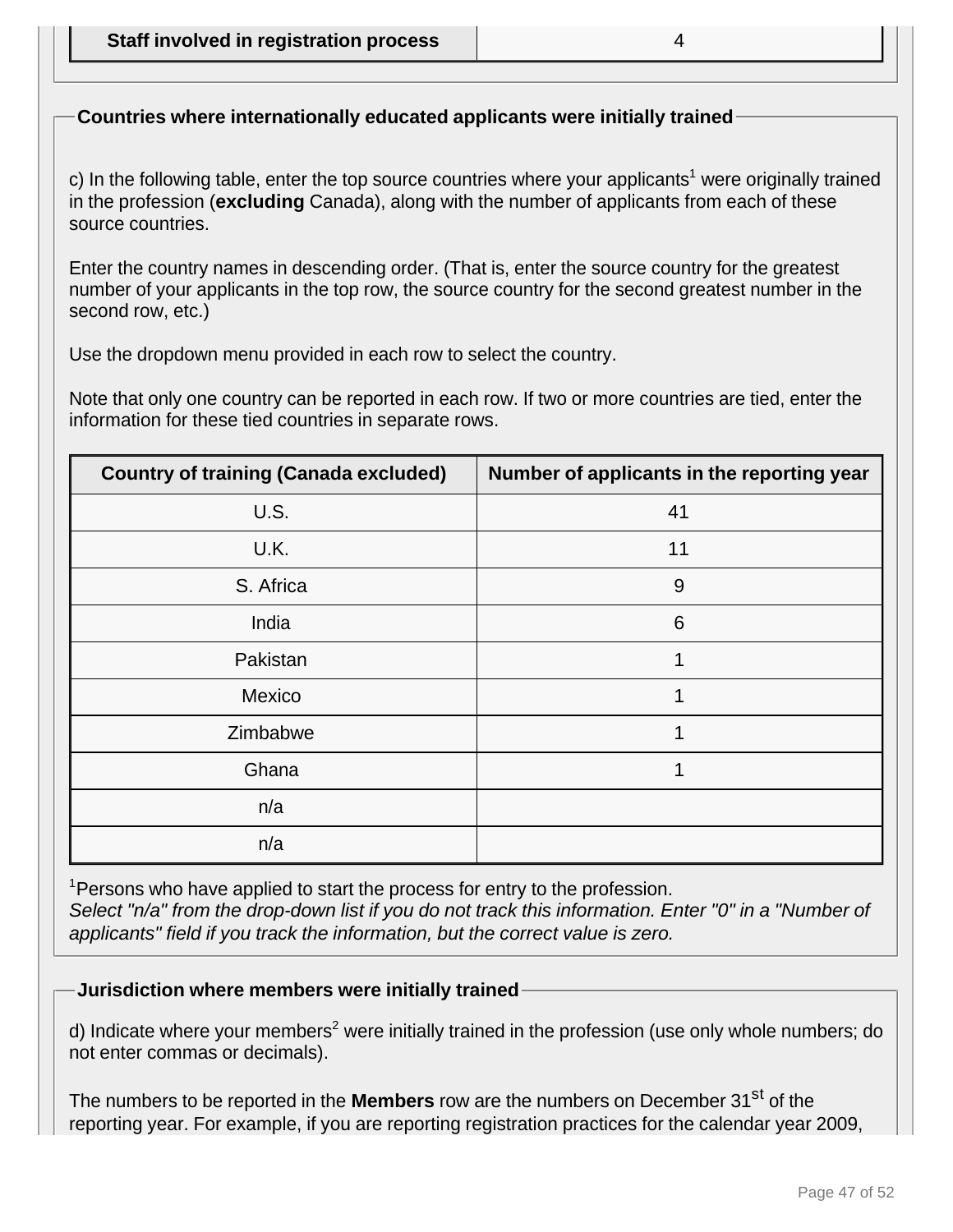# **Countries where internationally educated applicants were initially trained**

c) In the following table, enter the top source countries where your applicants<sup>1</sup> were originally trained in the profession (**excluding** Canada), along with the number of applicants from each of these source countries.

Enter the country names in descending order. (That is, enter the source country for the greatest number of your applicants in the top row, the source country for the second greatest number in the second row, etc.)

Use the dropdown menu provided in each row to select the country.

Note that only one country can be reported in each row. If two or more countries are tied, enter the information for these tied countries in separate rows.

| <b>Country of training (Canada excluded)</b> | Number of applicants in the reporting year |
|----------------------------------------------|--------------------------------------------|
| U.S.                                         | 41                                         |
| U.K.                                         | 11                                         |
| S. Africa                                    | 9                                          |
| India                                        | 6                                          |
| Pakistan                                     |                                            |
| Mexico                                       | 1                                          |
| Zimbabwe                                     | 1                                          |
| Ghana                                        |                                            |
| n/a                                          |                                            |
| n/a                                          |                                            |

<sup>1</sup> Persons who have applied to start the process for entry to the profession. Select "n/a" from the drop-down list if you do not track this information. Enter "0" in a "Number of applicants" field if you track the information, but the correct value is zero.

**Jurisdiction where members were initially trained**

d) Indicate where your members<sup>2</sup> were initially trained in the profession (use only whole numbers; do not enter commas or decimals).

The numbers to be reported in the **Members** row are the numbers on December 31<sup>st</sup> of the reporting year. For example, if you are reporting registration practices for the calendar year 2009,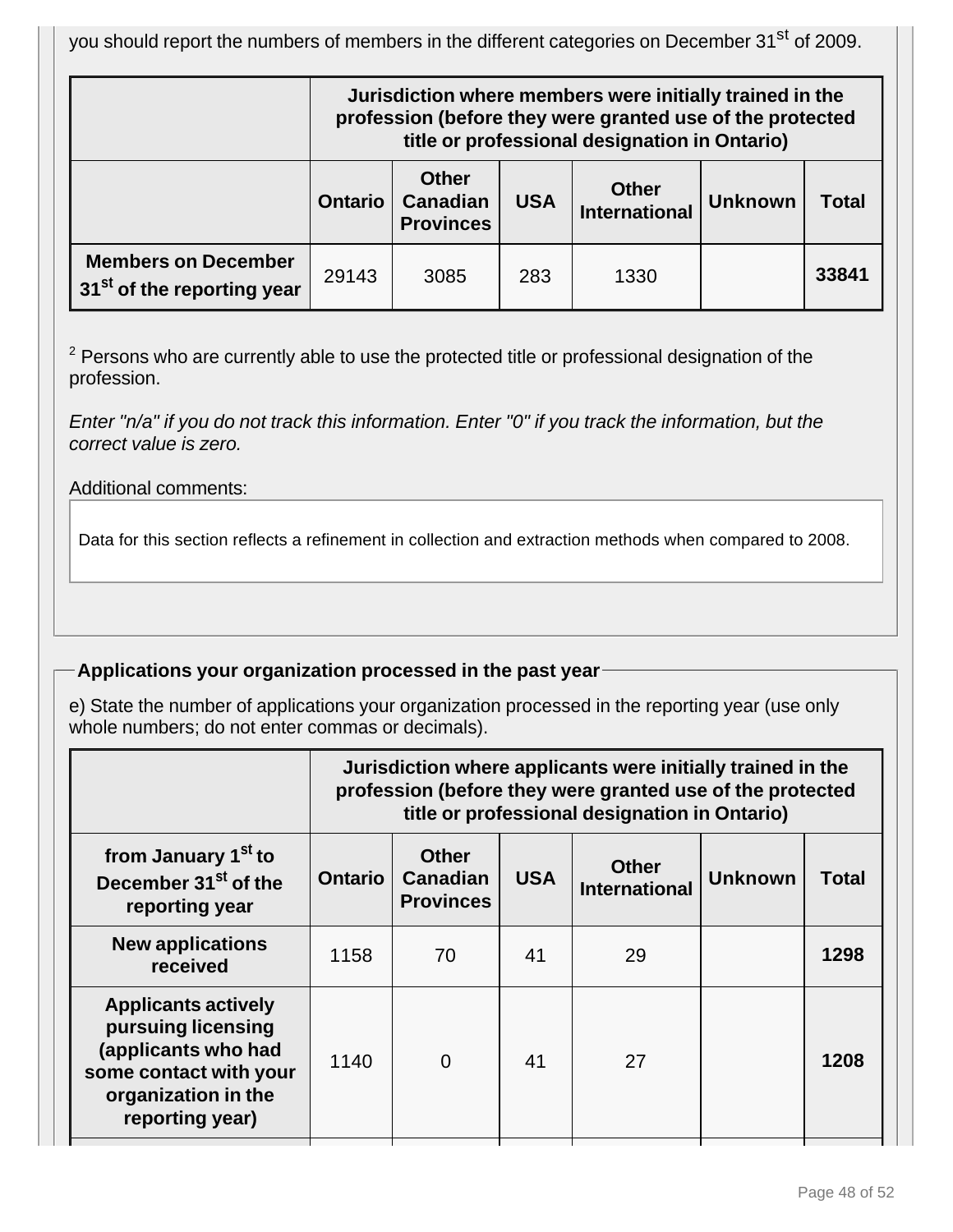you should report the numbers of members in the different categories on December 31<sup>st</sup> of 2009.

|                                                                      | Jurisdiction where members were initially trained in the<br>profession (before they were granted use of the protected<br>title or professional designation in Ontario) |      |     |      |  |       |
|----------------------------------------------------------------------|------------------------------------------------------------------------------------------------------------------------------------------------------------------------|------|-----|------|--|-------|
|                                                                      | <b>Other</b><br><b>Other</b><br><b>Canadian</b><br><b>USA</b><br><b>Unknown</b><br><b>Ontario</b><br><b>Total</b><br><b>International</b><br><b>Provinces</b>          |      |     |      |  |       |
| <b>Members on December</b><br>31 <sup>st</sup> of the reporting year | 29143                                                                                                                                                                  | 3085 | 283 | 1330 |  | 33841 |

 $2$  Persons who are currently able to use the protected title or professional designation of the profession.

Enter "n/a" if you do not track this information. Enter "0" if you track the information, but the correct value is zero.

Additional comments:

Data for this section reflects a refinement in collection and extraction methods when compared to 2008.

# **Applications your organization processed in the past year**

e) State the number of applications your organization processed in the reporting year (use only whole numbers; do not enter commas or decimals).

|                                                                                                                                             | Jurisdiction where applicants were initially trained in the<br>profession (before they were granted use of the protected<br>title or professional designation in Ontario) |                                                     |            |                                      |                |       |
|---------------------------------------------------------------------------------------------------------------------------------------------|---------------------------------------------------------------------------------------------------------------------------------------------------------------------------|-----------------------------------------------------|------------|--------------------------------------|----------------|-------|
| from January 1 <sup>st</sup> to<br>December 31 <sup>st</sup> of the<br>reporting year                                                       | <b>Ontario</b>                                                                                                                                                            | <b>Other</b><br><b>Canadian</b><br><b>Provinces</b> | <b>USA</b> | <b>Other</b><br><b>International</b> | <b>Unknown</b> | Total |
| <b>New applications</b><br>received                                                                                                         | 1158                                                                                                                                                                      | 70                                                  | 41         | 29                                   |                | 1298  |
| <b>Applicants actively</b><br>pursuing licensing<br>(applicants who had<br>some contact with your<br>organization in the<br>reporting year) | 1140                                                                                                                                                                      | $\overline{0}$                                      | 41         | 27                                   |                | 1208  |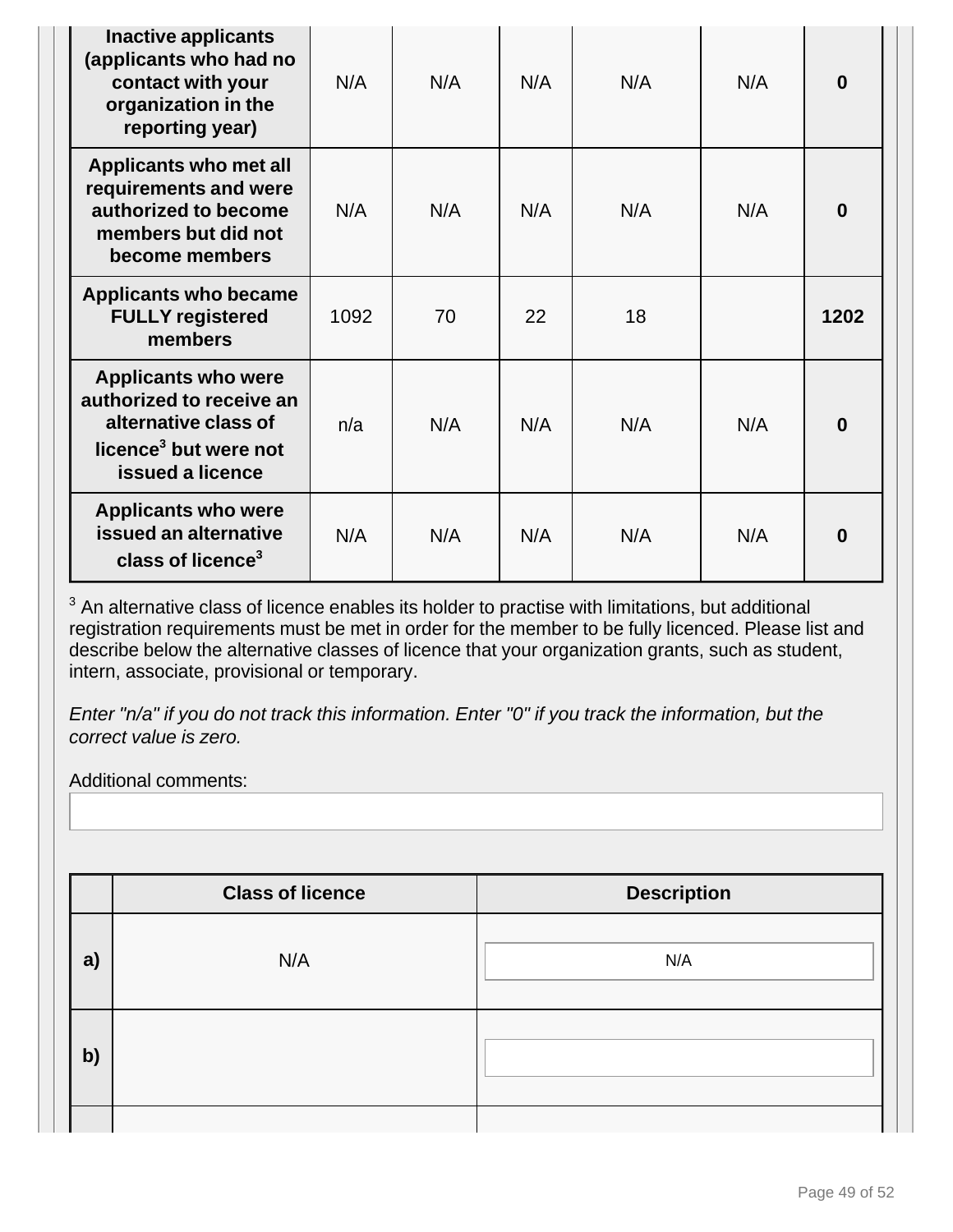| Inactive applicants<br>(applicants who had no<br>contact with your<br>organization in the<br>reporting year)                            | N/A  | N/A | N/A | N/A | N/A | $\bf{0}$ |
|-----------------------------------------------------------------------------------------------------------------------------------------|------|-----|-----|-----|-----|----------|
| Applicants who met all<br>requirements and were<br>authorized to become<br>members but did not<br>become members                        | N/A  | N/A | N/A | N/A | N/A | $\bf{0}$ |
| <b>Applicants who became</b><br><b>FULLY registered</b><br>members                                                                      | 1092 | 70  | 22  | 18  |     | 1202     |
| <b>Applicants who were</b><br>authorized to receive an<br>alternative class of<br>licence <sup>3</sup> but were not<br>issued a licence | n/a  | N/A | N/A | N/A | N/A | $\bf{0}$ |
| <b>Applicants who were</b><br>issued an alternative<br>class of licence <sup>3</sup>                                                    | N/A  | N/A | N/A | N/A | N/A | 0        |

 $3$  An alternative class of licence enables its holder to practise with limitations, but additional registration requirements must be met in order for the member to be fully licenced. Please list and describe below the alternative classes of licence that your organization grants, such as student, intern, associate, provisional or temporary.

Enter "n/a" if you do not track this information. Enter "0" if you track the information, but the correct value is zero.

Additional comments:

|    | <b>Class of licence</b> | <b>Description</b> |
|----|-------------------------|--------------------|
| a) | N/A                     | N/A                |
| b) |                         |                    |
|    |                         |                    |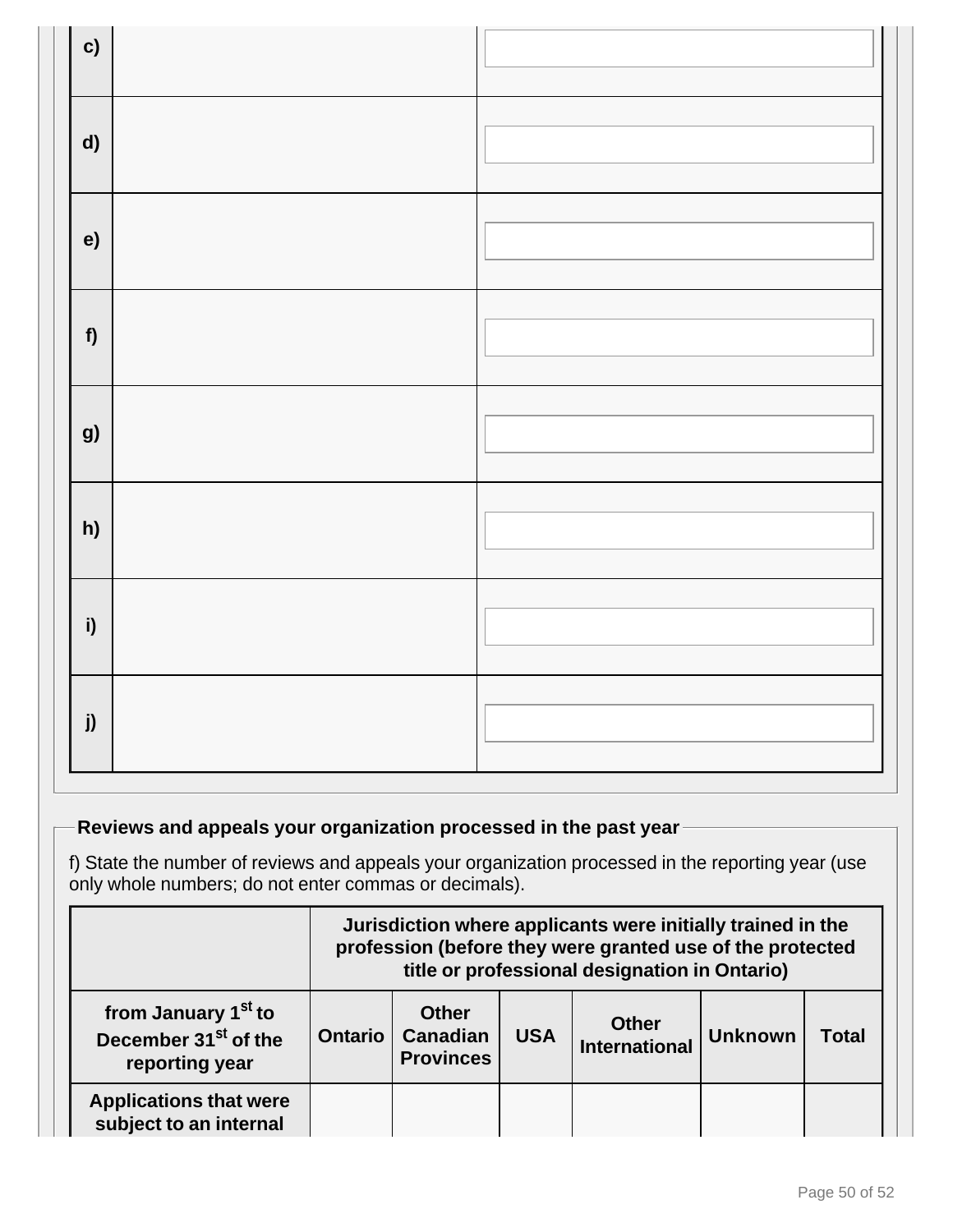| $\mathbf{c}$ |  |
|--------------|--|
| $\mathsf{d}$ |  |
| e)           |  |
| f            |  |
| g)           |  |
| h)           |  |
| i)           |  |
| j)           |  |

# **Reviews and appeals your organization processed in the past year**

f) State the number of reviews and appeals your organization processed in the reporting year (use only whole numbers; do not enter commas or decimals).

|                                                                                       | Jurisdiction where applicants were initially trained in the<br>profession (before they were granted use of the protected<br>title or professional designation in Ontario) |  |  |  |  |       |
|---------------------------------------------------------------------------------------|---------------------------------------------------------------------------------------------------------------------------------------------------------------------------|--|--|--|--|-------|
| from January 1 <sup>st</sup> to<br>December 31 <sup>st</sup> of the<br>reporting year | <b>Other</b><br><b>Other</b><br><b>Canadian</b><br><b>USA</b><br><b>Ontario</b><br><b>Unknown</b><br><b>International</b><br><b>Provinces</b>                             |  |  |  |  | Total |
| <b>Applications that were</b><br>subject to an internal                               |                                                                                                                                                                           |  |  |  |  |       |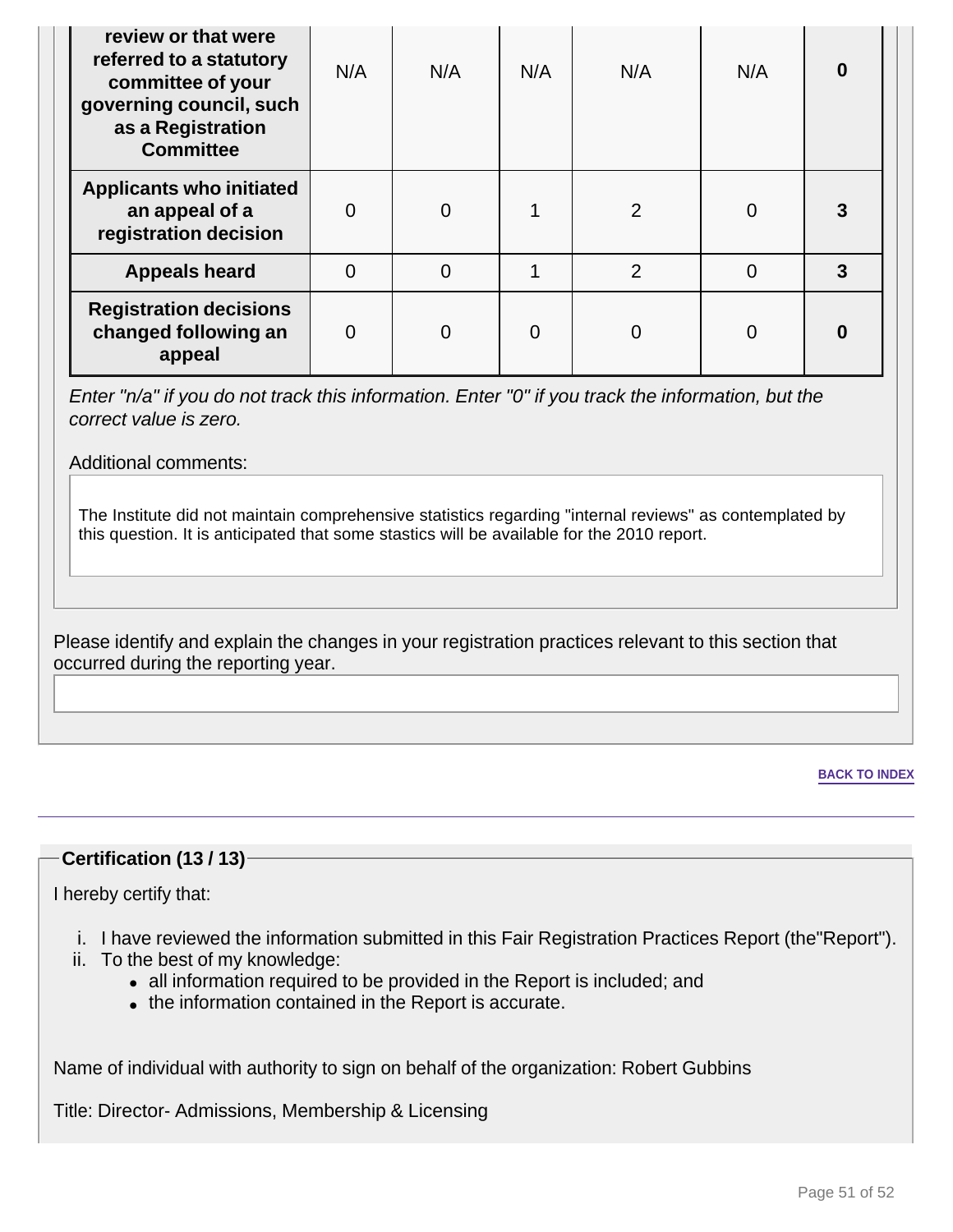| review or that were<br>referred to a statutory<br>committee of your<br>governing council, such<br>as a Registration<br><b>Committee</b> | N/A      | N/A            | N/A            | N/A            | N/A | 0 |
|-----------------------------------------------------------------------------------------------------------------------------------------|----------|----------------|----------------|----------------|-----|---|
| <b>Applicants who initiated</b><br>an appeal of a<br>registration decision                                                              | $\Omega$ | $\overline{0}$ | 1              | $\overline{2}$ | 0   | 3 |
| <b>Appeals heard</b>                                                                                                                    | $\Omega$ | $\overline{0}$ | 1              | $\overline{2}$ | 0   | 3 |
| <b>Registration decisions</b><br>changed following an<br>appeal                                                                         | $\Omega$ | 0              | $\overline{0}$ | $\Omega$       | 0   | 0 |

Enter "n/a" if you do not track this information. Enter "0" if you track the information, but the correct value is zero.

Additional comments:

The Institute did not maintain comprehensive statistics regarding "internal reviews" as contemplated by this question. It is anticipated that some stastics will be available for the 2010 report.

Please identify and explain the changes in your registration practices relevant to this section that occurred during the reporting year.

**BACK TO INDEX**

### **Certification (13 / 13)**

I hereby certify that:

- i. I have reviewed the information submitted in this Fair Registration Practices Report (the"Report").
- ii. To the best of my knowledge:
	- all information required to be provided in the Report is included; and
	- the information contained in the Report is accurate.

Name of individual with authority to sign on behalf of the organization: Robert Gubbins

Title: Director- Admissions, Membership & Licensing